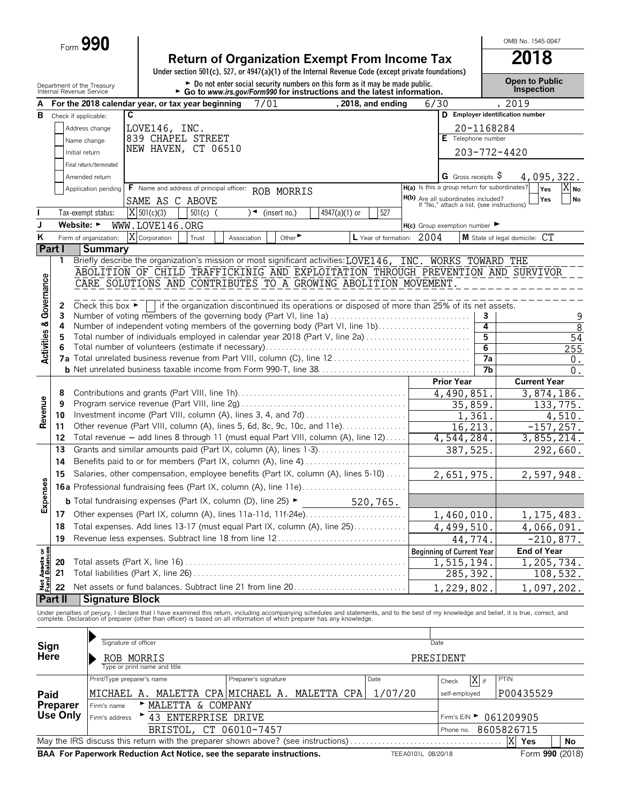|                                        |             | $_{\text{Form}}$ 990                                   |                                                                                                                                                                                                                                   |                                               |                                  | OMB No. 1545-0047                   |                |
|----------------------------------------|-------------|--------------------------------------------------------|-----------------------------------------------------------------------------------------------------------------------------------------------------------------------------------------------------------------------------------|-----------------------------------------------|----------------------------------|-------------------------------------|----------------|
|                                        |             |                                                        | <b>Return of Organization Exempt From Income Tax</b><br>Under section 501(c), 527, or 4947(a)(1) of the Internal Revenue Code (except private foundations)                                                                        |                                               |                                  | 2018                                |                |
|                                        |             | Department of the Treasury<br>Internal Revenue Service | ► Do not enter social security numbers on this form as it may be made public.<br>► Go to www.irs.gov/Form990 for instructions and the latest information.                                                                         |                                               |                                  | <b>Open to Public</b><br>Inspection |                |
| А                                      |             |                                                        | , 2018, and ending<br>For the 2018 calendar year, or tax year beginning<br>7/01<br>6/30                                                                                                                                           |                                               | , 2019                           |                                     |                |
| в                                      |             | Check if applicable:                                   | C                                                                                                                                                                                                                                 |                                               | D Employer identification number |                                     |                |
|                                        |             | Address change                                         | LOVE146, INC.                                                                                                                                                                                                                     |                                               | 20-1168284                       |                                     |                |
|                                        |             | Name change                                            | 839 CHAPEL STREET                                                                                                                                                                                                                 | E Telephone number                            |                                  |                                     |                |
|                                        |             | Initial return                                         | NEW HAVEN, CT 06510                                                                                                                                                                                                               |                                               | 203-772-4420                     |                                     |                |
|                                        |             | Final return/terminated                                |                                                                                                                                                                                                                                   |                                               |                                  |                                     |                |
|                                        |             | Amended return                                         |                                                                                                                                                                                                                                   | G Gross receipts S                            |                                  | 4,095,322.                          |                |
|                                        |             | Application pending                                    | H(a) Is this a group return for subordinates?<br>F Name and address of principal officer: ROB MORRIS                                                                                                                              |                                               |                                  | $X_{\mathsf{No}}$<br>Yes            |                |
|                                        |             |                                                        | <b>H(b)</b> Are all subordinates included?<br>If "No," attach a list. (see instructions)<br>SAME AS C ABOVE                                                                                                                       |                                               |                                  | Yes<br>No                           |                |
|                                        |             | Tax-exempt status:                                     | $X$ 501(c)(3)<br>4947(a)(1) or<br>527<br>$501(c)$ (<br>)◄<br>(insert no.)                                                                                                                                                         |                                               |                                  |                                     |                |
| J                                      |             | Website: $\blacktriangleright$                         | WWW.LOVE146.ORG<br>$H(c)$ Group exemption number                                                                                                                                                                                  |                                               |                                  |                                     |                |
| Κ                                      |             | Form of organization:                                  | X Corporation<br>Other <sup>&gt;</sup><br>L Year of formation: 2004<br>Trust<br>Association                                                                                                                                       |                                               | M State of legal domicile: CT    |                                     |                |
|                                        | Part I<br>1 | <b>Summary</b>                                         | Briefly describe the organization's mission or most significant activities: LOVE146, INC. WORKS TOWARD THE                                                                                                                        |                                               |                                  |                                     |                |
|                                        |             |                                                        | ABOLITION OF CHILD TRAFFICKINIG AND EXPLOITATION THROUGH PREVENTION AND SURVIVOR                                                                                                                                                  |                                               |                                  |                                     |                |
|                                        |             |                                                        | CARE SOLUTIONS AND CONTRIBUTES TO A GROWING ABOLITION MOVEMENT.                                                                                                                                                                   |                                               |                                  |                                     |                |
| <b>Activities &amp; Governance</b>     |             |                                                        |                                                                                                                                                                                                                                   |                                               |                                  |                                     |                |
|                                        | 2           |                                                        | Check this box $\blacktriangleright$   if the organization discontinued its operations or disposed of more than 25% of its net assets.                                                                                            |                                               |                                  |                                     |                |
|                                        | 3           |                                                        | Number of voting members of the governing body (Part VI, line 1a)                                                                                                                                                                 |                                               | 3                                |                                     |                |
|                                        | 4           |                                                        | Number of independent voting members of the governing body (Part VI, line 1b)                                                                                                                                                     |                                               | $\overline{4}$                   |                                     | $\overline{8}$ |
|                                        | 5<br>6      |                                                        | Total number of individuals employed in calendar year 2018 (Part V, line 2a)                                                                                                                                                      |                                               | 5<br>6                           | 54<br>255                           |                |
|                                        |             |                                                        |                                                                                                                                                                                                                                   |                                               | $\overline{7a}$                  | 0.                                  |                |
|                                        |             |                                                        |                                                                                                                                                                                                                                   |                                               | $\overline{7b}$                  | $0$ .                               |                |
|                                        |             |                                                        |                                                                                                                                                                                                                                   | <b>Prior Year</b>                             |                                  | <b>Current Year</b>                 |                |
|                                        | 8           |                                                        |                                                                                                                                                                                                                                   | 4,490,851                                     |                                  | 3,874,186.                          |                |
|                                        | 9           |                                                        |                                                                                                                                                                                                                                   | 35,859.                                       |                                  | 133, 775.                           |                |
| Revenue                                | 10          |                                                        | Investment income (Part VIII, column (A), lines 3, 4, and 7d)                                                                                                                                                                     | 1,361                                         |                                  | 4,510.                              |                |
|                                        | 11<br>12    |                                                        | Other revenue (Part VIII, column (A), lines 5, 6d, 8c, 9c, 10c, and 11e)<br>Total revenue - add lines 8 through 11 (must equal Part VIII, column (A), line 12)                                                                    | 16,213.                                       |                                  | $-157, 257.$                        |                |
|                                        | 13          |                                                        | Grants and similar amounts paid (Part IX, column (A), lines 1-3)                                                                                                                                                                  | 4,544,284.<br>387,525                         |                                  | 3,855,214.                          |                |
|                                        | 14          |                                                        |                                                                                                                                                                                                                                   |                                               |                                  | 292,660.                            |                |
|                                        | 15          |                                                        | Salaries, other compensation, employee benefits (Part IX, column (A), lines 5-10)                                                                                                                                                 | 2,651,975.                                    |                                  | 2,597,948.                          |                |
| o                                      |             |                                                        |                                                                                                                                                                                                                                   |                                               |                                  |                                     |                |
|                                        |             |                                                        |                                                                                                                                                                                                                                   |                                               |                                  |                                     |                |
| Expense                                |             |                                                        | <b>b</b> Total fundraising expenses (Part IX, column (D), line 25) $\blacktriangleright$<br>520,765.                                                                                                                              |                                               |                                  |                                     |                |
|                                        | 17          |                                                        | Other expenses (Part IX, column (A), lines 11a-11d, 11f-24e)<br>Total expenses. Add lines 13-17 (must equal Part IX, column (A), line 25)                                                                                         | 1,460,010.                                    |                                  | 1, 175, 483.                        |                |
|                                        | 18<br>19    |                                                        | Revenue less expenses. Subtract line 18 from line 12                                                                                                                                                                              | 4,499,510                                     |                                  | 4,066,091.                          |                |
|                                        |             |                                                        |                                                                                                                                                                                                                                   | 44,774.                                       |                                  | $-210,877.$<br><b>End of Year</b>   |                |
|                                        | 20          |                                                        |                                                                                                                                                                                                                                   | <b>Beginning of Current Year</b><br>1,515,194 |                                  | 1, 205, 734.                        |                |
|                                        | 21          |                                                        |                                                                                                                                                                                                                                   | 285, 392.                                     |                                  | 108,532.                            |                |
| <b>Net Assets or<br/>Fund Balances</b> | 22          |                                                        |                                                                                                                                                                                                                                   | 1,229,802.                                    |                                  | 1,097,202.                          |                |
|                                        | Part II     | <b>Signature Block</b>                                 |                                                                                                                                                                                                                                   |                                               |                                  |                                     |                |
|                                        |             |                                                        |                                                                                                                                                                                                                                   |                                               |                                  |                                     |                |
|                                        |             |                                                        | Under penalties of perjury, I declare that I have examined this return, including accompanying schedules and statements, and to the best of my knowledge and belief, it is true, correct, and<br>complete. Declaration of prepare |                                               |                                  |                                     |                |
|                                        |             |                                                        |                                                                                                                                                                                                                                   |                                               |                                  |                                     |                |
| Sign                                   |             |                                                        | Signature of officer<br>Date                                                                                                                                                                                                      |                                               |                                  |                                     |                |

|                | Signature or officer                    |                                               | Date    |                                       |            |                                                                                                                 |  |  |  |  |  |
|----------------|-----------------------------------------|-----------------------------------------------|---------|---------------------------------------|------------|-----------------------------------------------------------------------------------------------------------------|--|--|--|--|--|
| Sign<br>Here   | ROB MORRIS                              | PRESIDENT                                     |         |                                       |            |                                                                                                                 |  |  |  |  |  |
|                | Type or print name and title            |                                               |         |                                       |            |                                                                                                                 |  |  |  |  |  |
|                | Print/Type preparer's name              | Preparer's signature                          | Date    | X if<br>Check                         | PTIN       |                                                                                                                 |  |  |  |  |  |
| Paid           |                                         | MICHAEL A. MALETTA CPA MICHAEL A. MALETTA CPA | 1/07/20 | self-employed                         | P00435529  |                                                                                                                 |  |  |  |  |  |
| Preparer       | MALETTA & COMPANY<br>Firm's name        |                                               |         |                                       |            |                                                                                                                 |  |  |  |  |  |
| Use Only       | ▶ 43 ENTERPRISE DRIVE<br>Firm's address |                                               |         | Firm's EIN $\triangleright$ 061209905 |            |                                                                                                                 |  |  |  |  |  |
|                | BRISTOL, CT 06010-7457                  |                                               |         | Phone no.                             | 8605826715 |                                                                                                                 |  |  |  |  |  |
| X<br>Yes<br>No |                                         |                                               |         |                                       |            |                                                                                                                 |  |  |  |  |  |
|                |                                         |                                               |         |                                       |            | BAA For Paperwork Reduction Act Notice, see the separate instructions.<br>Form 990 (2018)<br>TEEA0101L 08/20/18 |  |  |  |  |  |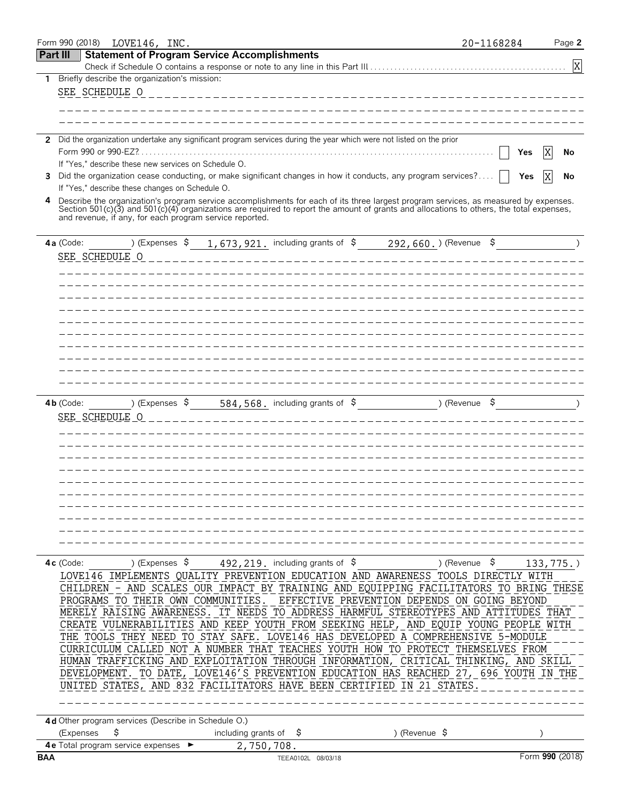|            | Form 990 (2018)       | LOVE146, INC.                                        |                |                                                         |                                                                                                                      |                                                                                                                                                                                                                                                                                      | 20-1168284 | Page 2                    |
|------------|-----------------------|------------------------------------------------------|----------------|---------------------------------------------------------|----------------------------------------------------------------------------------------------------------------------|--------------------------------------------------------------------------------------------------------------------------------------------------------------------------------------------------------------------------------------------------------------------------------------|------------|---------------------------|
| Part III   |                       |                                                      |                | <b>Statement of Program Service Accomplishments</b>     |                                                                                                                      |                                                                                                                                                                                                                                                                                      |            |                           |
|            |                       |                                                      |                |                                                         |                                                                                                                      |                                                                                                                                                                                                                                                                                      |            | $\boldsymbol{\mathrm{X}}$ |
| 1          |                       | Briefly describe the organization's mission:         |                |                                                         |                                                                                                                      |                                                                                                                                                                                                                                                                                      |            |                           |
|            | SEE SCHEDULE O        |                                                      |                |                                                         |                                                                                                                      |                                                                                                                                                                                                                                                                                      |            |                           |
|            |                       |                                                      |                |                                                         |                                                                                                                      |                                                                                                                                                                                                                                                                                      |            |                           |
|            |                       |                                                      |                |                                                         |                                                                                                                      |                                                                                                                                                                                                                                                                                      |            |                           |
|            |                       |                                                      |                |                                                         | 2 Did the organization undertake any significant program services during the year which were not listed on the prior |                                                                                                                                                                                                                                                                                      |            |                           |
|            | Form 990 or 990-EZ?   |                                                      |                |                                                         |                                                                                                                      |                                                                                                                                                                                                                                                                                      | Yes        | X<br>No                   |
|            |                       | If "Yes." describe these new services on Schedule O. |                |                                                         |                                                                                                                      |                                                                                                                                                                                                                                                                                      |            |                           |
| 3.         |                       |                                                      |                |                                                         |                                                                                                                      | Did the organization cease conducting, or make significant changes in how it conducts, any program services?                                                                                                                                                                         | Yes        | X<br>No                   |
|            |                       | If "Yes," describe these changes on Schedule O.      |                |                                                         |                                                                                                                      |                                                                                                                                                                                                                                                                                      |            |                           |
| 4          |                       |                                                      |                | and revenue, if any, for each program service reported. |                                                                                                                      | Describe the organization's program service accomplishments for each of its three largest program services, as measured by expenses.<br>Section $501(c)(3)$ and $501(c)(4)$ organizations are required to report the amount of grants and allocations to others, the total expenses, |            |                           |
|            | 4a (Code:             | ) (Expenses \$                                       |                |                                                         |                                                                                                                      | 1, 673, 921. including grants of $\sin 292$ , 660. ) (Revenue $\sin$                                                                                                                                                                                                                 |            |                           |
|            | SEE SCHEDULE O        |                                                      |                |                                                         |                                                                                                                      |                                                                                                                                                                                                                                                                                      |            |                           |
|            |                       |                                                      |                |                                                         |                                                                                                                      |                                                                                                                                                                                                                                                                                      |            |                           |
|            |                       |                                                      |                |                                                         |                                                                                                                      |                                                                                                                                                                                                                                                                                      |            |                           |
|            |                       |                                                      |                |                                                         |                                                                                                                      |                                                                                                                                                                                                                                                                                      |            |                           |
|            |                       |                                                      |                |                                                         |                                                                                                                      |                                                                                                                                                                                                                                                                                      |            |                           |
|            |                       |                                                      |                |                                                         |                                                                                                                      |                                                                                                                                                                                                                                                                                      |            |                           |
|            |                       |                                                      |                |                                                         |                                                                                                                      |                                                                                                                                                                                                                                                                                      |            |                           |
|            |                       |                                                      |                |                                                         |                                                                                                                      |                                                                                                                                                                                                                                                                                      |            |                           |
|            |                       |                                                      |                |                                                         |                                                                                                                      |                                                                                                                                                                                                                                                                                      |            |                           |
|            |                       |                                                      |                |                                                         |                                                                                                                      |                                                                                                                                                                                                                                                                                      |            |                           |
|            |                       |                                                      |                |                                                         |                                                                                                                      |                                                                                                                                                                                                                                                                                      |            |                           |
|            | $4b$ (Code:           |                                                      | ) (Expenses \$ |                                                         | 584, 568. including grants of \$                                                                                     | ) (Revenue \$                                                                                                                                                                                                                                                                        |            |                           |
|            | <b>SEE SCHEDULE O</b> |                                                      |                |                                                         |                                                                                                                      |                                                                                                                                                                                                                                                                                      |            |                           |
|            |                       |                                                      |                |                                                         |                                                                                                                      |                                                                                                                                                                                                                                                                                      |            |                           |
|            |                       |                                                      |                |                                                         |                                                                                                                      |                                                                                                                                                                                                                                                                                      |            |                           |
|            |                       |                                                      |                |                                                         |                                                                                                                      |                                                                                                                                                                                                                                                                                      |            |                           |
|            |                       |                                                      |                |                                                         |                                                                                                                      |                                                                                                                                                                                                                                                                                      |            |                           |
|            |                       |                                                      |                |                                                         |                                                                                                                      |                                                                                                                                                                                                                                                                                      |            |                           |
|            |                       |                                                      |                |                                                         |                                                                                                                      |                                                                                                                                                                                                                                                                                      |            |                           |
|            |                       |                                                      |                |                                                         |                                                                                                                      |                                                                                                                                                                                                                                                                                      |            |                           |
|            |                       |                                                      |                |                                                         |                                                                                                                      |                                                                                                                                                                                                                                                                                      |            |                           |
|            |                       |                                                      |                |                                                         |                                                                                                                      |                                                                                                                                                                                                                                                                                      |            |                           |
|            |                       |                                                      |                |                                                         |                                                                                                                      |                                                                                                                                                                                                                                                                                      |            |                           |
|            | $4c$ (Code:           | ) (Expenses \$                                       |                |                                                         | 492, 219. including grants of \$                                                                                     | ) (Revenue \$                                                                                                                                                                                                                                                                        |            | $133, 775.$ )             |
|            |                       |                                                      |                |                                                         |                                                                                                                      | LOVE146 IMPLEMENTS QUALITY PREVENTION EDUCATION AND AWARENESS TOOLS DIRECTLY WITH                                                                                                                                                                                                    |            |                           |
|            |                       |                                                      |                |                                                         |                                                                                                                      | CHILDREN - AND SCALES OUR IMPACT BY TRAINING AND EQUIPPING FACILITATORS TO BRING THESE                                                                                                                                                                                               |            |                           |
|            |                       |                                                      |                |                                                         |                                                                                                                      | PROGRAMS TO THEIR OWN COMMUNITIES. EFFECTIVE PREVENTION DEPENDS ON GOING BEYOND                                                                                                                                                                                                      |            |                           |
|            |                       |                                                      |                |                                                         |                                                                                                                      | MERELY RAISING AWARENESS. IT NEEDS TO ADDRESS HARMFUL STEREOTYPES AND ATTITUDES THAT                                                                                                                                                                                                 |            |                           |
|            |                       |                                                      |                |                                                         |                                                                                                                      | CREATE VULNERABILITIES AND KEEP YOUTH FROM SEEKING HELP, AND EQUIP YOUNG PEOPLE WITH                                                                                                                                                                                                 |            |                           |
|            |                       |                                                      |                |                                                         |                                                                                                                      | THE TOOLS THEY NEED TO STAY SAFE. LOVE146 HAS DEVELOPED A COMPREHENSIVE 5-MODULE<br>CURRICULUM CALLED NOT A NUMBER THAT TEACHES YOUTH HOW TO PROTECT THEMSELVES FROM                                                                                                                 |            |                           |
|            |                       |                                                      |                |                                                         |                                                                                                                      | HUMAN TRAFFICKING AND EXPLOITATION THROUGH INFORMATION, CRITICAL THINKING, AND SKILL                                                                                                                                                                                                 |            |                           |
|            |                       |                                                      |                |                                                         |                                                                                                                      | DEVELOPMENT. TO DATE, LOVE146'S PREVENTION EDUCATION HAS REACHED 27, 696 YOUTH IN THE                                                                                                                                                                                                |            |                           |
|            |                       |                                                      |                |                                                         |                                                                                                                      | UNITED STATES, AND 832 FACILITATORS HAVE BEEN CERTIFIED IN 21 STATES                                                                                                                                                                                                                 |            |                           |
|            |                       |                                                      |                |                                                         |                                                                                                                      |                                                                                                                                                                                                                                                                                      |            |                           |
|            |                       |                                                      |                |                                                         |                                                                                                                      |                                                                                                                                                                                                                                                                                      |            |                           |
|            |                       | 4d Other program services (Describe in Schedule O.)  |                |                                                         |                                                                                                                      |                                                                                                                                                                                                                                                                                      |            |                           |
|            | (Expenses             | \$                                                   |                | including grants of                                     | Ş.                                                                                                                   | ) (Revenue \$                                                                                                                                                                                                                                                                        |            |                           |
|            |                       | 4 e Total program service expenses ▶                 |                | 2,750,708.                                              |                                                                                                                      |                                                                                                                                                                                                                                                                                      |            |                           |
| <b>BAA</b> |                       |                                                      |                |                                                         | TEEA0102L 08/03/18                                                                                                   |                                                                                                                                                                                                                                                                                      |            | Form 990 (2018)           |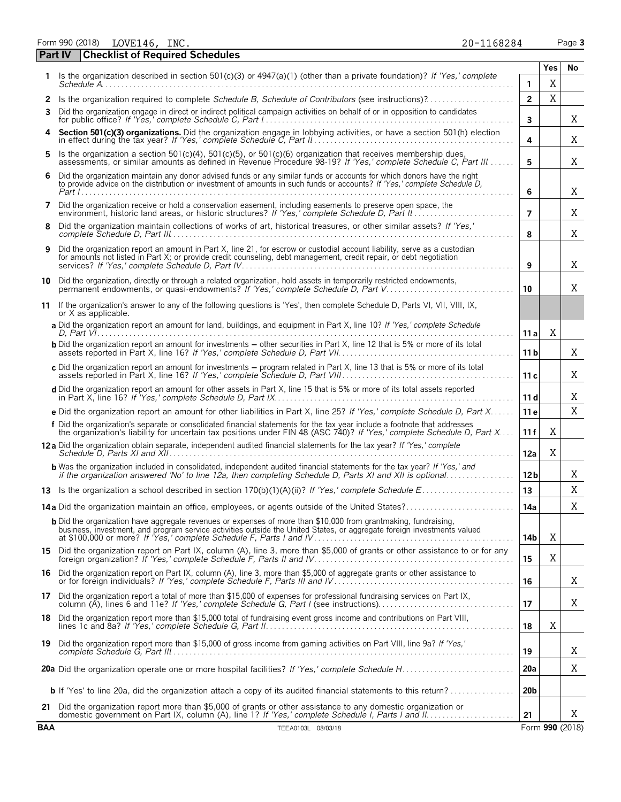Form 990 (2018) Page **3** LOVE146, INC. 20-1168284

|  | 20-1168284 |  |
|--|------------|--|
|  |            |  |

|    | Part IV | <b>Checklist of Required Schedules</b>                                                                                                                                                                                                              |                 |     |    |
|----|---------|-----------------------------------------------------------------------------------------------------------------------------------------------------------------------------------------------------------------------------------------------------|-----------------|-----|----|
| 1  |         | Is the organization described in section 501(c)(3) or $4947(a)(1)$ (other than a private foundation)? If 'Yes,' complete                                                                                                                            |                 | Yes | No |
|    |         | $S$ chedule $A$                                                                                                                                                                                                                                     | 1               | Χ   |    |
| 3  |         | Did the organization engage in direct or indirect political campaign activities on behalf of or in opposition to candidates                                                                                                                         | $\overline{2}$  | X   |    |
|    |         |                                                                                                                                                                                                                                                     | 3               |     | Χ  |
| 4  |         | Section 501(c)(3) organizations. Did the organization engage in lobbying activities, or have a section 501(h) election in effect during the tax year? If 'Yes,' complete Schedule C, Part II.                                                       | 4               |     | Χ  |
|    |         | 5 Is the organization a section 501(c)(4), 501(c)(5), or 501(c)(6) organization that receives membership dues,<br>assessments, or similar amounts as defined in Revenue Procedure 98-19? If 'Yes,' complete Schedule C, Part III.                   | 5               |     | Χ  |
| 6. |         | Did the organization maintain any donor advised funds or any similar funds or accounts for which donors have the right<br>to provide advice on the distribution or investment of amounts in such funds or accounts? If 'Yes,' complete Schedule D,  | 6               |     | Χ  |
| 7  |         | Did the organization receive or hold a conservation easement, including easements to preserve open space, the<br>environment, historic land areas, or historic structures? If 'Yes,' complete Schedule D, Part II                                   | 7               |     | Χ  |
| 8  |         | Did the organization maintain collections of works of art, historical treasures, or other similar assets? If 'Yes,'                                                                                                                                 | 8               |     | Χ  |
| 9  |         | Did the organization report an amount in Part X, line 21, for escrow or custodial account liability, serve as a custodian<br>for amounts not listed in Part X; or provide credit counseling, debt management, credit repair, or debt negotiation    | 9               |     | Χ  |
| 10 |         | Did the organization, directly or through a related organization, hold assets in temporarily restricted endowments,<br>permanent endowments, or quasi-endowments? If 'Yes,' complete Schedule D, Part V                                             | 10              |     | Χ  |
| 11 |         | If the organization's answer to any of the following questions is 'Yes', then complete Schedule D, Parts VI, VII, VIII, IX,<br>or X as applicable.                                                                                                  |                 |     |    |
|    |         | a Did the organization report an amount for land, buildings, and equipment in Part X, line 10? If 'Yes,' complete Schedule                                                                                                                          | 11 a            | X   |    |
|    |         | <b>b</b> Did the organization report an amount for investments – other securities in Part X, line 12 that is 5% or more of its total                                                                                                                | 11 b            |     | X  |
|    |         | c Did the organization report an amount for investments - program related in Part X, line 13 that is 5% or more of its total                                                                                                                        | 11c             |     | Χ  |
|    |         | d Did the organization report an amount for other assets in Part X, line 15 that is 5% or more of its total assets reported                                                                                                                         | 11 d            |     | Χ  |
|    |         | e Did the organization report an amount for other liabilities in Part X, line 25? If 'Yes,' complete Schedule D, Part X                                                                                                                             | 11 e            |     | X  |
|    |         | f Did the organization's separate or consolidated financial statements for the tax year include a footnote that addresses<br>the organization's liability for uncertain tax positions under FIN 48 (ASC 740)? If 'Yes,' complete Schedule D, Part X | 11 f            | X   |    |
|    |         | 12a Did the organization obtain separate, independent audited financial statements for the tax year? If 'Yes,' complete                                                                                                                             | 12a             | Χ   |    |
|    |         | <b>b</b> Was the organization included in consolidated, independent audited financial statements for the tax year? If 'Yes,' and<br>if the organization answered 'No' to line 12a, then completing Schedule D, Parts XI and XII is optional         | 12 b            |     | Χ  |
|    |         |                                                                                                                                                                                                                                                     | 13              |     | Χ  |
|    |         | <b>14a</b> Did the organization maintain an office, employees, or agents outside of the United States?                                                                                                                                              | 14a             |     | X  |
|    |         | <b>b</b> Did the organization have aggregate revenues or expenses of more than \$10,000 from grantmaking, fundraising,                                                                                                                              | 14b             | Χ   |    |
|    |         | 15 Did the organization report on Part IX, column (A), line 3, more than \$5,000 of grants or other assistance to or for any foreign organization? If 'Yes,' complete Schedule F, Parts II and IV                                                   | 15              | Χ   |    |
|    |         | 16 Did the organization report on Part IX, column (A), line 3, more than \$5,000 of aggregate grants or other assistance to<br>or for foreign individuals? If 'Yes,' complete Schedule F, Parts III and IV                                          | 16              |     | Χ  |
|    |         | 17 Did the organization report a total of more than \$15,000 of expenses for professional fundraising services on Part IX,<br>column (A), lines 6 and 11e? If Yes, complete Schedule G, Part I (see instructions).                                  | 17              |     | Χ  |
|    |         | 18 Did the organization report more than \$15,000 total of fundraising event gross income and contributions on Part VIII,                                                                                                                           | 18              | Χ   |    |
|    |         | 19 Did the organization report more than \$15,000 of gross income from gaming activities on Part VIII, line 9a? If 'Yes,'                                                                                                                           | 19              |     | X  |
|    |         |                                                                                                                                                                                                                                                     | 20a             |     | Χ  |
|    |         | <b>b</b> If 'Yes' to line 20a, did the organization attach a copy of its audited financial statements to this return?                                                                                                                               | 20 <sub>b</sub> |     |    |
|    |         | 21 Did the organization report more than \$5,000 of grants or other assistance to any domestic organization or                                                                                                                                      | 21              |     | X  |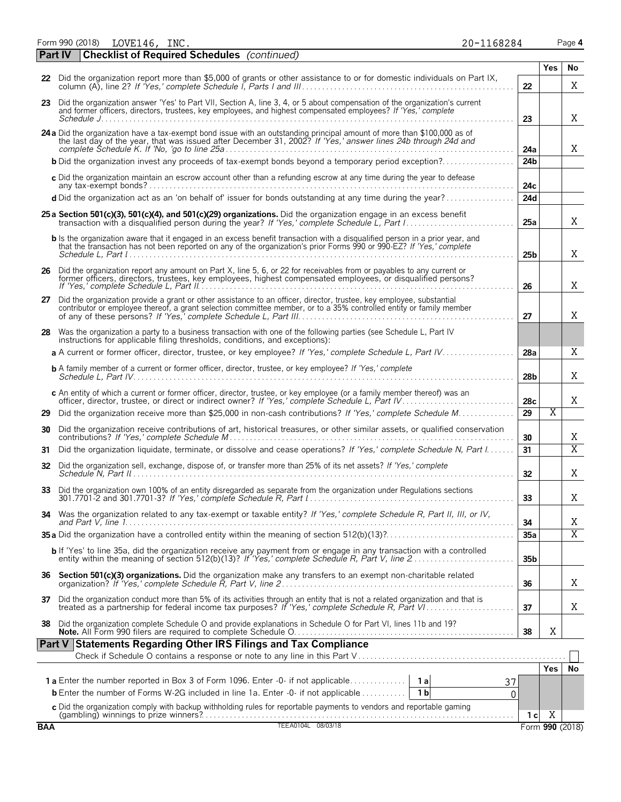Form 990 (2018) Page **4**

| LOVE146, | INC. | 20-1168284 |  |
|----------|------|------------|--|
|          |      |            |  |

| ar | ٦e | п |
|----|----|---|
|    |    |   |

|    | <b>Part IV</b> | <b>Checklist of Required Schedules</b> (continued)                                                                                                                                                                                                           |                 |                       |                |
|----|----------------|--------------------------------------------------------------------------------------------------------------------------------------------------------------------------------------------------------------------------------------------------------------|-----------------|-----------------------|----------------|
|    |                |                                                                                                                                                                                                                                                              |                 | Yes                   | No             |
|    |                | 22 Did the organization report more than \$5,000 of grants or other assistance to or for domestic individuals on Part IX,                                                                                                                                    | 22              |                       | X              |
|    |                | 23 Did the organization answer 'Yes' to Part VII, Section A, line 3, 4, or 5 about compensation of the organization's current<br>and former officers, directors, trustees, key employees, and highest compensated employees? If 'Yes,' complete              | 23              |                       | X              |
|    |                | 24 a Did the organization have a tax-exempt bond issue with an outstanding principal amount of more than \$100,000 as of the last day of the year, that was issued after December 31, 2002? If 'Yes,' answer lines 24b through                               | 24a             |                       | X              |
|    |                | <b>b</b> Did the organization invest any proceeds of tax-exempt bonds beyond a temporary period exception?                                                                                                                                                   | 24 <sub>b</sub> |                       |                |
|    |                | c Did the organization maintain an escrow account other than a refunding escrow at any time during the year to defease                                                                                                                                       | 24c             |                       |                |
|    |                | d Did the organization act as an 'on behalf of' issuer for bonds outstanding at any time during the year?                                                                                                                                                    | 24d             |                       |                |
|    |                | 25 a Section 501(c)(3), 501(c)(4), and 501(c)(29) organizations. Did the organization engage in an excess benefit                                                                                                                                            |                 |                       |                |
|    |                |                                                                                                                                                                                                                                                              | 25a             |                       | X              |
|    |                | <b>b</b> Is the organization aware that it engaged in an excess benefit transaction with a disqualified person in a prior year, and<br>that the transaction has not been reported on any of the organization's prior Forms 990 or 990-EZ? If 'Yes,' complete | 25 <sub>b</sub> |                       | Χ              |
|    |                | 26 Did the organization report any amount on Part X, line 5, 6, or 22 for receivables from or payables to any current or former officers, directors, trustees, key employees, highest compensated employees, or disqualified p                               | 26              |                       | Χ              |
|    |                | 27 Did the organization provide a grant or other assistance to an officer, director, trustee, key employee, substantial contributor or employee thereof, a grant selection committee member, or to a 35% controlled entity or                                | 27              |                       | X              |
|    |                | 28 Was the organization a party to a business transaction with one of the following parties (see Schedule L. Part IV<br>instructions for applicable filing thresholds, conditions, and exceptions):                                                          |                 |                       |                |
|    |                | a A current or former officer, director, trustee, or key employee? If 'Yes,' complete Schedule L, Part IV                                                                                                                                                    | 28a             |                       | X              |
|    |                | <b>b</b> A family member of a current or former officer, director, trustee, or key employee? If 'Yes,' complete                                                                                                                                              | 28 <sub>b</sub> |                       | X              |
|    |                | c An entity of which a current or former officer, director, trustee, or key employee (or a family member thereof) was an                                                                                                                                     | 28 <sub>c</sub> |                       | X              |
| 29 |                | Did the organization receive more than \$25,000 in non-cash contributions? If 'Yes,' complete Schedule M                                                                                                                                                     | 29              | $\overline{\text{X}}$ |                |
| 30 |                | Did the organization receive contributions of art, historical treasures, or other similar assets, or qualified conservation                                                                                                                                  | 30              |                       | X              |
| 31 |                | Did the organization liquidate, terminate, or dissolve and cease operations? If 'Yes,' complete Schedule N, Part I                                                                                                                                           | 31              |                       | $\overline{X}$ |
| 32 |                | Did the organization sell, exchange, dispose of, or transfer more than 25% of its net assets? If 'Yes,' complete                                                                                                                                             | 32              |                       | X              |
|    |                | 33 Did the organization own 100% of an entity disregarded as separate from the organization under Regulations sections                                                                                                                                       | 33              |                       | X              |
|    |                | 34 Was the organization related to any tax-exempt or taxable entity? If 'Yes,' complete Schedule R, Part II, III, or IV,                                                                                                                                     | 34              |                       | X              |
|    |                |                                                                                                                                                                                                                                                              | 35a             |                       | $\overline{X}$ |
|    |                | <b>b</b> If 'Yes' to line 35a, did the organization receive any payment from or engage in any transaction with a controlled                                                                                                                                  | 35 <sub>b</sub> |                       |                |
| 36 |                | Section 501(c)(3) organizations. Did the organization make any transfers to an exempt non-charitable related                                                                                                                                                 | 36              |                       | Χ              |
|    |                | 37 Did the organization conduct more than 5% of its activities through an entity that is not a related organization and that is                                                                                                                              | 37              |                       | X              |
| 38 |                | Did the organization complete Schedule O and provide explanations in Schedule O for Part VI, lines 11b and 19?                                                                                                                                               | 38              | Χ                     |                |
|    |                | <b>Part V Statements Regarding Other IRS Filings and Tax Compliance</b>                                                                                                                                                                                      |                 |                       |                |
|    |                |                                                                                                                                                                                                                                                              |                 | <b>Yes</b>            | No             |
|    |                | <b>1a</b> Enter the number reported in Box 3 of Form 1096. Enter -0- if not applicable<br>1a<br>37                                                                                                                                                           |                 |                       |                |
|    |                | <b>b</b> Enter the number of Forms W-2G included in line 1a. Enter -0- if not applicable<br>1 <sub>b</sub><br>0                                                                                                                                              |                 |                       |                |
|    |                | c Did the organization comply with backup withholding rules for reportable payments to vendors and reportable gaming                                                                                                                                         | 1 <sub>c</sub>  | $\overline{X}$        |                |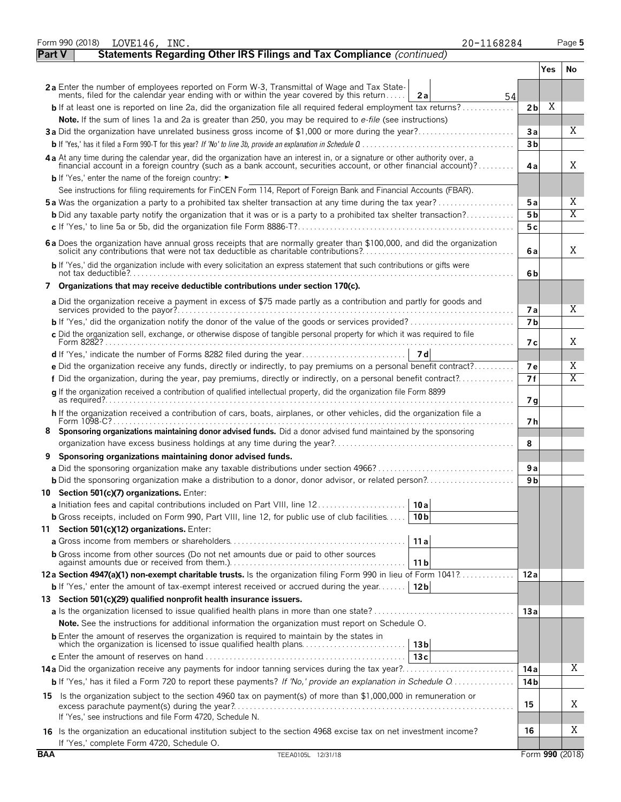|            | 20-1168284<br>Form 990 (2018)<br>LOVE146, INC.                                                                                                                                                                                                   |                         |     | Page 5 |
|------------|--------------------------------------------------------------------------------------------------------------------------------------------------------------------------------------------------------------------------------------------------|-------------------------|-----|--------|
| Part V     | Statements Regarding Other IRS Filings and Tax Compliance (continued)                                                                                                                                                                            |                         |     |        |
|            |                                                                                                                                                                                                                                                  |                         | Yes | No     |
|            | 2a Enter the number of employees reported on Form W-3, Transmittal of Wage and Tax State-<br>ments, filed for the calendar year ending with or within the year covered by this return<br>2a<br>54                                                |                         |     |        |
|            | <b>b</b> If at least one is reported on line 2a, did the organization file all required federal employment tax returns?                                                                                                                          | 2 <sub>b</sub>          | Χ   |        |
|            | Note. If the sum of lines 1a and 2a is greater than 250, you may be required to e-file (see instructions)                                                                                                                                        |                         |     |        |
|            | 3a Did the organization have unrelated business gross income of \$1,000 or more during the year?                                                                                                                                                 | Зa                      |     | X      |
|            |                                                                                                                                                                                                                                                  | 3 <sub>b</sub>          |     |        |
|            | 4a At any time during the calendar year, did the organization have an interest in, or a signature or other authority over, a<br>financial account in a foreign country (such as a bank account, securities account, or other financial account)? | 4a                      |     | X      |
|            | <b>b</b> If 'Yes,' enter the name of the foreign country: ►                                                                                                                                                                                      |                         |     |        |
|            | See instructions for filing requirements for FinCEN Form 114, Report of Foreign Bank and Financial Accounts (FBAR).                                                                                                                              |                         |     | Χ      |
|            | <b>5a</b> Was the organization a party to a prohibited tax shelter transaction at any time during the tax year?<br><b>b</b> Did any taxable party notify the organization that it was or is a party to a prohibited tax shelter transaction?     | 5 a<br>5 <sub>b</sub>   |     | X      |
|            |                                                                                                                                                                                                                                                  | 5 c                     |     |        |
|            |                                                                                                                                                                                                                                                  |                         |     |        |
|            | 6a Does the organization have annual gross receipts that are normally greater than \$100,000, and did the organization                                                                                                                           | 6a                      |     | X      |
|            | b If 'Yes,' did the organization include with every solicitation an express statement that such contributions or gifts were                                                                                                                      | 6b                      |     |        |
|            | 7 Organizations that may receive deductible contributions under section 170(c).                                                                                                                                                                  |                         |     |        |
|            | a Did the organization receive a payment in excess of \$75 made partly as a contribution and partly for goods and<br>services provided to the payor?                                                                                             |                         |     | X      |
|            |                                                                                                                                                                                                                                                  | 7 a<br>7 <sub>b</sub>   |     |        |
|            | c Did the organization sell, exchange, or otherwise dispose of tangible personal property for which it was required to file                                                                                                                      |                         |     |        |
|            |                                                                                                                                                                                                                                                  | 7 с                     |     | X      |
|            |                                                                                                                                                                                                                                                  |                         |     |        |
|            | e Did the organization receive any funds, directly or indirectly, to pay premiums on a personal benefit contract?                                                                                                                                | 7е                      |     | Χ<br>X |
|            | f Did the organization, during the year, pay premiums, directly or indirectly, on a personal benefit contract?                                                                                                                                   | 7f                      |     |        |
|            | g If the organization received a contribution of qualified intellectual property, did the organization file Form 8899                                                                                                                            | 7 <sub>q</sub>          |     |        |
|            | h If the organization received a contribution of cars, boats, airplanes, or other vehicles, did the organization file a<br>Form 1098-C?                                                                                                          | 7 h                     |     |        |
|            | 8 Sponsoring organizations maintaining donor advised funds. Did a donor advised fund maintained by the sponsoring                                                                                                                                |                         |     |        |
|            |                                                                                                                                                                                                                                                  | 8                       |     |        |
|            | Sponsoring organizations maintaining donor advised funds.                                                                                                                                                                                        |                         |     |        |
|            |                                                                                                                                                                                                                                                  | 9 a                     |     |        |
|            | <b>b</b> Did the sponsoring organization make a distribution to a donor, donor advisor, or related person?<br>10 Section 501(c)(7) organizations. Enter:                                                                                         | 9 b                     |     |        |
|            | a Initiation fees and capital contributions included on Part VIII, line 12<br>10 a                                                                                                                                                               |                         |     |        |
|            | <b>b</b> Gross receipts, included on Form 990, Part VIII, line 12, for public use of club facilities<br>10 <sub>b</sub>                                                                                                                          |                         |     |        |
|            | 11 Section 501(c)(12) organizations. Enter:                                                                                                                                                                                                      |                         |     |        |
|            | 11a                                                                                                                                                                                                                                              |                         |     |        |
|            | <b>b</b> Gross income from other sources (Do not net amounts due or paid to other sources<br>11 b                                                                                                                                                |                         |     |        |
|            | 12a Section 4947(a)(1) non-exempt charitable trusts. Is the organization filing Form 990 in lieu of Form 1041?                                                                                                                                   | 12a                     |     |        |
|            | <b>b</b> If 'Yes,' enter the amount of tax-exempt interest received or accrued during the year<br>12 <sub>b</sub>                                                                                                                                |                         |     |        |
|            | 13 Section 501(c)(29) qualified nonprofit health insurance issuers.                                                                                                                                                                              |                         |     |        |
|            |                                                                                                                                                                                                                                                  | 13a                     |     |        |
|            | <b>Note.</b> See the instructions for additional information the organization must report on Schedule O.                                                                                                                                         |                         |     |        |
|            | <b>b</b> Enter the amount of reserves the organization is required to maintain by the states in<br>13 <sub>b</sub>                                                                                                                               |                         |     |        |
|            | 13c                                                                                                                                                                                                                                              |                         |     | Χ      |
|            | <b>b</b> If 'Yes,' has it filed a Form 720 to report these payments? If 'No,' provide an explanation in Schedule O                                                                                                                               | 14 a<br>14 <sub>b</sub> |     |        |
|            |                                                                                                                                                                                                                                                  |                         |     |        |
|            | 15 Is the organization subject to the section 4960 tax on payment(s) of more than \$1,000,000 in remuneration or                                                                                                                                 | 15                      |     | Χ      |
|            | If 'Yes,' see instructions and file Form 4720, Schedule N.                                                                                                                                                                                       |                         |     |        |
|            | 16 Is the organization an educational institution subject to the section 4968 excise tax on net investment income?<br>If 'Yes,' complete Form 4720, Schedule O.                                                                                  | 16                      |     | Χ      |
| <b>BAA</b> | TEEA0105L 12/31/18                                                                                                                                                                                                                               | Form 990 (2018)         |     |        |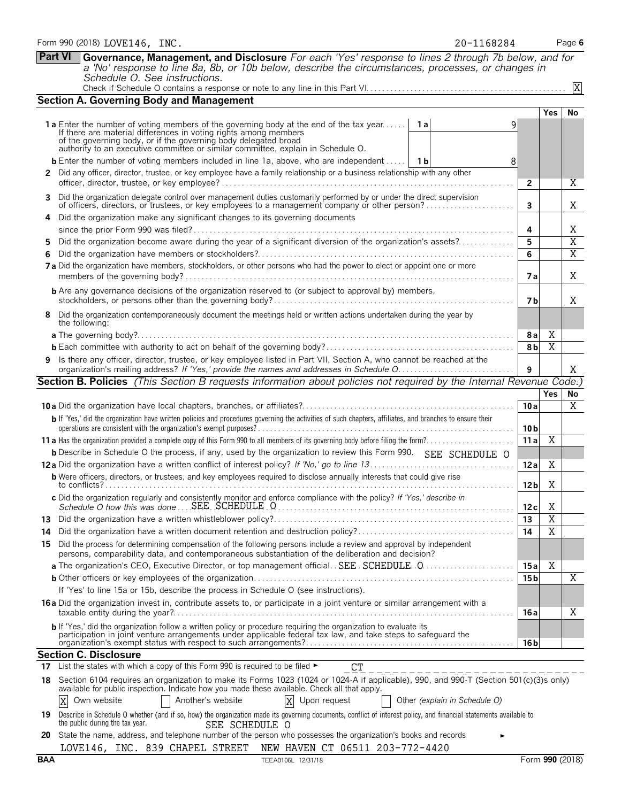|    | <b>Part VI</b><br>Governance, Management, and Disclosure For each 'Yes' response to lines 2 through 7b below, and for<br>a 'No' response to line 8a, 8b, or 10b below, describe the circumstances, processes, or changes in                                                                                                     |                 |                |    |
|----|---------------------------------------------------------------------------------------------------------------------------------------------------------------------------------------------------------------------------------------------------------------------------------------------------------------------------------|-----------------|----------------|----|
|    | Schedule O. See instructions.                                                                                                                                                                                                                                                                                                   |                 |                |    |
|    |                                                                                                                                                                                                                                                                                                                                 |                 |                | X  |
|    | <b>Section A. Governing Body and Management</b>                                                                                                                                                                                                                                                                                 |                 |                |    |
|    | <b>1a</b> Enter the number of voting members of the governing body at the end of the tax year   1a<br>9<br>If there are material differences in voting rights among members<br>of the governing body, or if the governing body delegated broad authority to an executive committee or similar committee, explain in Schedule O. |                 | $\bar{Y}$ es   | No |
|    | <b>b</b> Enter the number of voting members included in line 1a, above, who are independent    1b<br>8                                                                                                                                                                                                                          |                 |                |    |
|    | 2 Did any officer, director, trustee, or key employee have a family relationship or a business relationship with any other                                                                                                                                                                                                      | $\mathbf{2}$    |                | X  |
| 3  | Did the organization delegate control over management duties customarily performed by or under the direct supervision<br>of officers, directors, or trustees, or key employees to a management company or other person?                                                                                                         | 3               |                | X  |
| 4  | Did the organization make any significant changes to its governing documents                                                                                                                                                                                                                                                    |                 |                |    |
|    |                                                                                                                                                                                                                                                                                                                                 | 4               |                | Χ  |
| 5  | Did the organization become aware during the year of a significant diversion of the organization's assets?                                                                                                                                                                                                                      | 5               |                | X  |
| 6  |                                                                                                                                                                                                                                                                                                                                 | 6               |                | X  |
|    | 7a Did the organization have members, stockholders, or other persons who had the power to elect or appoint one or more                                                                                                                                                                                                          | 7 a             |                | Χ  |
|    | <b>b</b> Are any governance decisions of the organization reserved to (or subject to approval by) members,                                                                                                                                                                                                                      | 7 b             |                | X  |
| 8  | Did the organization contemporaneously document the meetings held or written actions undertaken during the year by<br>the following:                                                                                                                                                                                            |                 |                |    |
|    |                                                                                                                                                                                                                                                                                                                                 | 8a              | Χ              |    |
|    |                                                                                                                                                                                                                                                                                                                                 | 8 <sub>b</sub>  | $\overline{X}$ |    |
| 9  | Is there any officer, director, trustee, or key employee listed in Part VII, Section A, who cannot be reached at the                                                                                                                                                                                                            | 9               |                | Χ  |
|    | Section B. Policies (This Section B requests information about policies not required by the Internal Revenue Code.)                                                                                                                                                                                                             |                 |                |    |
|    |                                                                                                                                                                                                                                                                                                                                 |                 | <b>Yes</b>     | No |
|    |                                                                                                                                                                                                                                                                                                                                 | 10a             |                | X  |
|    | b If 'Yes,' did the organization have written policies and procedures governing the activities of such chapters, affiliates, and branches to ensure their                                                                                                                                                                       | 10 <sub>b</sub> |                |    |
|    |                                                                                                                                                                                                                                                                                                                                 | 11a             | Χ              |    |
|    | <b>b</b> Describe in Schedule O the process, if any, used by the organization to review this Form 990. SEE SCHEDULE O                                                                                                                                                                                                           |                 |                |    |
|    |                                                                                                                                                                                                                                                                                                                                 | 12a             | Χ              |    |
|    | <b>b</b> Were officers, directors, or trustees, and key employees required to disclose annually interests that could give rise                                                                                                                                                                                                  | 12 <sub>b</sub> | X              |    |
|    | c Did the organization regularly and consistently monitor and enforce compliance with the policy? If 'Yes,' describe in                                                                                                                                                                                                         | 12 c            | Χ              |    |
| 13 |                                                                                                                                                                                                                                                                                                                                 | 13              | Χ              |    |
| 14 |                                                                                                                                                                                                                                                                                                                                 | 14              | Χ              |    |
| 15 | Did the process for determining compensation of the following persons include a review and approval by independent<br>persons, comparability data, and contemporaneous substantiation of the deliberation and decision?                                                                                                         |                 |                |    |
|    |                                                                                                                                                                                                                                                                                                                                 | 15a             | Χ              |    |
|    |                                                                                                                                                                                                                                                                                                                                 | 15 <sub>b</sub> |                | X  |
|    | If 'Yes' to line 15a or 15b, describe the process in Schedule O (see instructions).                                                                                                                                                                                                                                             |                 |                |    |
|    | <b>16a</b> Did the organization invest in, contribute assets to, or participate in a joint venture or similar arrangement with a                                                                                                                                                                                                | 16 a            |                | Χ  |
|    | b If 'Yes,' did the organization follow a written policy or procedure requiring the organization to evaluate its<br>participation in joint venture arrangements under applicable federal tax law, and take steps to safeguard the                                                                                               | 16 b            |                |    |
|    | <b>Section C. Disclosure</b>                                                                                                                                                                                                                                                                                                    |                 |                |    |
| 17 | List the states with which a copy of this Form 990 is required to be filed ►<br><b>CT</b>                                                                                                                                                                                                                                       |                 |                |    |
| 18 | Section 6104 requires an organization to make its Forms 1023 (1024 or 1024-A if applicable), 990, and 990-T (Section 501(c)(3)s only)<br>available for public inspection. Indicate how you made these available. Check all that apply.                                                                                          |                 |                |    |
|    | Another's website<br>X<br>Upon request<br>X<br>Own website<br>Other (explain in Schedule O)                                                                                                                                                                                                                                     |                 |                |    |
|    | 19 Describe in Schedule O whether (and if so, how) the organization made its governing documents, conflict of interest policy, and financial statements available to<br>the public during the tax year.<br>SEE SCHEDULE O                                                                                                       |                 |                |    |
| 20 | State the name, address, and telephone number of the person who possesses the organization's books and records                                                                                                                                                                                                                  |                 |                |    |
|    | LOVE146, INC. 839 CHAPEL STREET NEW HAVEN CT 06511 203-772-4420                                                                                                                                                                                                                                                                 |                 |                |    |

| Form 990 (2018) LOVE146, | INC. | $-1168284$<br>$20 - 1$ | Page 6 |
|--------------------------|------|------------------------|--------|
|--------------------------|------|------------------------|--------|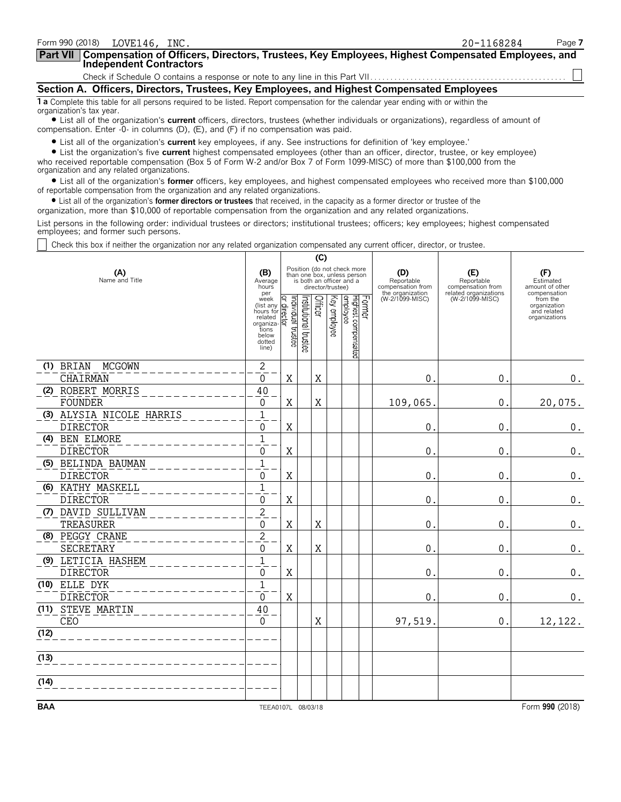| Form 990 (2018)<br>LOVE146, INC.                                                                                                                                                                                                                                                                                                                                                                                                 | 20-1168284 | Page 7 |
|----------------------------------------------------------------------------------------------------------------------------------------------------------------------------------------------------------------------------------------------------------------------------------------------------------------------------------------------------------------------------------------------------------------------------------|------------|--------|
| Part VII Compensation of Officers, Directors, Trustees, Key Employees, Highest Compensated Employees, and<br><b>Independent Contractors</b>                                                                                                                                                                                                                                                                                      |            |        |
|                                                                                                                                                                                                                                                                                                                                                                                                                                  |            |        |
| Section A. Officers, Directors, Trustees, Key Employees, and Highest Compensated Employees                                                                                                                                                                                                                                                                                                                                       |            |        |
| <b>1 a</b> Complete this table for all persons required to be listed. Report compensation for the calendar year ending with or within the<br>organization's tax year.                                                                                                                                                                                                                                                            |            |        |
| • List all of the organization's current officers, directors, trustees (whether individuals or organizations), regardless of amount of<br>compensation. Enter $-0$ - in columns (D), (E), and (F) if no compensation was paid.                                                                                                                                                                                                   |            |        |
| • List all of the organization's current key employees, if any. See instructions for definition of 'key employee.'<br>• List the organization's five current highest compensated employees (other than an officer, director, trustee, or key employee)<br>who received reportable compensation (Box 5 of Form W-2 and/or Box 7 of Form 1099-MISC) of more than \$100,000 from the<br>organization and any related organizations. |            |        |

? List all of the organization's **former** officers, key employees, and highest compensated employees who received more than \$100,000 of reportable compensation from the organization and any related organizations.

? List all of the organization's **former directors or trustees** that received, in the capacity as a former director or trustee of the

organization, more than \$10,000 of reportable compensation from the organization and any related organizations.

List persons in the following order: individual trustees or directors; institutional trustees; officers; key employees; highest compensated employees; and former such persons.

Check this box if neither the organization nor any related organization compensated any current officer, director, or trustee.

|            |                            |                                                                                             | (C)                               |                       |         |                   |                                                                                        |                                        |                                          |                                                          |
|------------|----------------------------|---------------------------------------------------------------------------------------------|-----------------------------------|-----------------------|---------|-------------------|----------------------------------------------------------------------------------------|----------------------------------------|------------------------------------------|----------------------------------------------------------|
|            | (A)<br>Name and Title      | (B)<br>Average<br>hours<br>per                                                              |                                   |                       |         | director/trustee) | Position (do not check more<br>than one box, unless person<br>is both an officer and a | (D)<br>Reportable<br>compensation from | (E)<br>Reportable<br>compensation from   | (F)<br>Estimated<br>amount of other<br>compensation      |
|            |                            | week<br>(list any<br>hours for<br>related<br>organiza-<br>tions<br>below<br>dotted<br>line) | əətərid laubivibni<br>direct<br>Σ | Institutional trustee | Officer | Key employee      | Former<br>Highest compensated<br>employee                                              | the organization<br>(W-2/1099-MISC)    | related organizations<br>(W-2/1099-MISC) | from the<br>organization<br>and related<br>organizations |
|            | (1) BRIAN<br><b>MCGOWN</b> | $\mathbf{2}$                                                                                |                                   |                       |         |                   |                                                                                        |                                        |                                          |                                                          |
|            | CHAIRMAN                   | $\Omega$                                                                                    | X                                 |                       | X       |                   |                                                                                        | $\mathbf 0$                            | 0.                                       | $0_{.}$                                                  |
|            | (2) ROBERT MORRIS          | 40                                                                                          |                                   |                       |         |                   |                                                                                        |                                        |                                          |                                                          |
|            | <b>FOUNDER</b>             | 0                                                                                           | X                                 |                       | Χ       |                   |                                                                                        | 109,065                                | 0.                                       | 20,075.                                                  |
|            | (3) ALYSIA NICOLE HARRIS   | $\mathbf{1}$                                                                                |                                   |                       |         |                   |                                                                                        |                                        |                                          |                                                          |
|            | <b>DIRECTOR</b>            | $\mathbf{0}$                                                                                | X                                 |                       |         |                   |                                                                                        | 0                                      | 0.                                       | $\boldsymbol{0}$ .                                       |
|            | (4) BEN ELMORE             | $\overline{1}$                                                                              |                                   |                       |         |                   |                                                                                        |                                        |                                          |                                                          |
|            | <b>DIRECTOR</b>            | 0                                                                                           | $\mathbf X$                       |                       |         |                   |                                                                                        | $\boldsymbol{0}$                       | 0.                                       | $\boldsymbol{0}$ .                                       |
|            | (5) BELINDA BAUMAN         | $\mathbf{1}$                                                                                |                                   |                       |         |                   |                                                                                        |                                        |                                          |                                                          |
|            | <b>DIRECTOR</b>            | 0                                                                                           | X                                 |                       |         |                   |                                                                                        | $\mathbf 0$                            | 0.                                       | 0.                                                       |
|            | (6) KATHY MASKELL          | $\mathbf{1}$                                                                                |                                   |                       |         |                   |                                                                                        |                                        |                                          |                                                          |
|            | <b>DIRECTOR</b>            | $\Omega$                                                                                    | X                                 |                       |         |                   |                                                                                        | $\mathbf 0$                            | 0.                                       | $0$ .                                                    |
|            | (7) DAVID SULLIVAN         | $\overline{c}$                                                                              |                                   |                       |         |                   |                                                                                        |                                        |                                          |                                                          |
|            | TREASURER                  | 0                                                                                           | X                                 |                       | X       |                   |                                                                                        | $\mathbf 0$                            | 0.                                       | 0.                                                       |
|            | (8) PEGGY CRANE            | $\overline{c}$                                                                              |                                   |                       |         |                   |                                                                                        |                                        |                                          |                                                          |
|            | SECRETARY                  | $\mathbf 0$                                                                                 | X                                 |                       | X       |                   |                                                                                        | $\mathbf 0$                            | $\mathbf{0}$ .                           | $0_{.}$                                                  |
|            | (9) LETICIA HASHEM         | $\overline{1}$                                                                              |                                   |                       |         |                   |                                                                                        |                                        |                                          |                                                          |
|            | <b>DIRECTOR</b>            | $\mathbf 0$                                                                                 | X                                 |                       |         |                   |                                                                                        | $\mathbf 0$                            | $\mathbf{0}$                             | $\boldsymbol{0}$ .                                       |
|            | (10) ELLE DYK              | $\overline{1}$                                                                              |                                   |                       |         |                   |                                                                                        |                                        |                                          |                                                          |
|            | <b>DIRECTOR</b>            | 0                                                                                           | X                                 |                       |         |                   |                                                                                        | $\mathbf 0$                            | $\mathsf{O}$ .                           | $0_{.}$                                                  |
|            | (11) STEVE MARTIN          | 40                                                                                          |                                   |                       |         |                   |                                                                                        |                                        |                                          |                                                          |
|            | <b>CEO</b>                 | $\Omega$                                                                                    |                                   |                       | X       |                   |                                                                                        | 97,519.                                | 0.                                       | 12,122.                                                  |
| (12)       |                            |                                                                                             |                                   |                       |         |                   |                                                                                        |                                        |                                          |                                                          |
| (13)       |                            |                                                                                             |                                   |                       |         |                   |                                                                                        |                                        |                                          |                                                          |
| (14)       |                            |                                                                                             |                                   |                       |         |                   |                                                                                        |                                        |                                          |                                                          |
| <b>BAA</b> |                            | TEEA0107L 08/03/18                                                                          |                                   |                       |         |                   |                                                                                        |                                        |                                          | Form 990 (2018)                                          |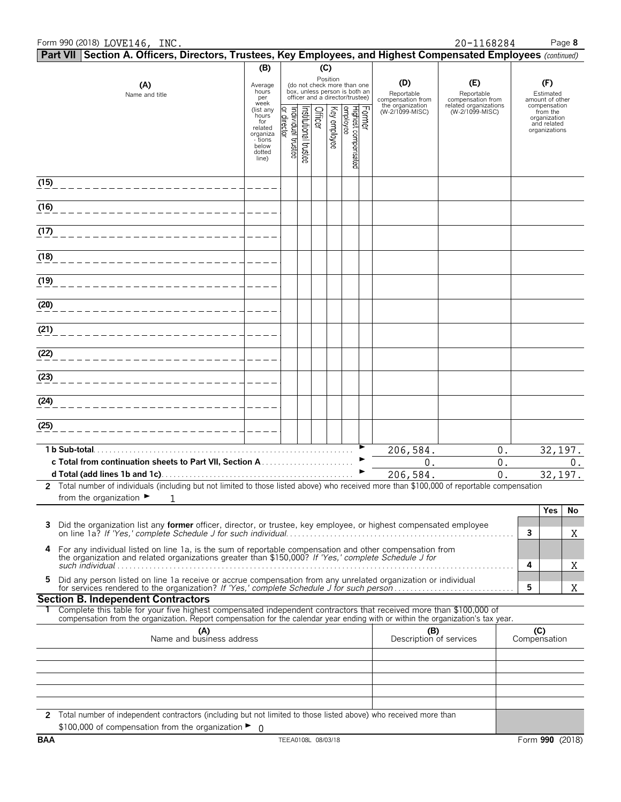# Form 990 (2018) Page **8** LOVE146, INC. 20-1168284

| Part VII Section A. Officers, Directors, Trustees, Key Employees, and Highest Compensated Employees (continued)                                                                                                                                        |                                                                                         |                                                       |                                                                            |              |                                 |        |                                                            |                                                                 |                     |                                                          |       |
|--------------------------------------------------------------------------------------------------------------------------------------------------------------------------------------------------------------------------------------------------------|-----------------------------------------------------------------------------------------|-------------------------------------------------------|----------------------------------------------------------------------------|--------------|---------------------------------|--------|------------------------------------------------------------|-----------------------------------------------------------------|---------------------|----------------------------------------------------------|-------|
|                                                                                                                                                                                                                                                        | (B)                                                                                     |                                                       |                                                                            | (C)          |                                 |        |                                                            |                                                                 |                     |                                                          |       |
| (A)<br>Name and title                                                                                                                                                                                                                                  | Average<br>hours<br>per<br>week                                                         | box, unless person is both an                         | Position<br>(do not check more than one<br>officer and a director/trustee) |              |                                 |        | (D)<br>Reportable<br>compensation from<br>the organization | (E)<br>Reportable<br>compensation from<br>related organizations |                     | (F)<br>Estimated<br>amount of other<br>compensation      |       |
|                                                                                                                                                                                                                                                        | (list any<br>hours<br>for<br>related<br>organiza<br>- tions<br>below<br>dotted<br>line) | nstitutional trustee<br>ndividual trustee<br>director | Officer                                                                    | Key employee | Highest compensated<br>employee | Former | (W-2/1099-MISC)                                            | (W-2/1099-MISC)                                                 |                     | from the<br>organization<br>and related<br>organizations |       |
| (15)                                                                                                                                                                                                                                                   |                                                                                         |                                                       |                                                                            |              |                                 |        |                                                            |                                                                 |                     |                                                          |       |
| (16)                                                                                                                                                                                                                                                   |                                                                                         |                                                       |                                                                            |              |                                 |        |                                                            |                                                                 |                     |                                                          |       |
| (17)                                                                                                                                                                                                                                                   |                                                                                         |                                                       |                                                                            |              |                                 |        |                                                            |                                                                 |                     |                                                          |       |
| (18)                                                                                                                                                                                                                                                   |                                                                                         |                                                       |                                                                            |              |                                 |        |                                                            |                                                                 |                     |                                                          |       |
| (19)                                                                                                                                                                                                                                                   |                                                                                         |                                                       |                                                                            |              |                                 |        |                                                            |                                                                 |                     |                                                          |       |
| (20)                                                                                                                                                                                                                                                   |                                                                                         |                                                       |                                                                            |              |                                 |        |                                                            |                                                                 |                     |                                                          |       |
| (21)                                                                                                                                                                                                                                                   |                                                                                         |                                                       |                                                                            |              |                                 |        |                                                            |                                                                 |                     |                                                          |       |
| (22)                                                                                                                                                                                                                                                   |                                                                                         |                                                       |                                                                            |              |                                 |        |                                                            |                                                                 |                     |                                                          |       |
| (23)                                                                                                                                                                                                                                                   |                                                                                         |                                                       |                                                                            |              |                                 |        |                                                            |                                                                 |                     |                                                          |       |
| (24)                                                                                                                                                                                                                                                   |                                                                                         |                                                       |                                                                            |              |                                 |        |                                                            |                                                                 |                     |                                                          |       |
| (25)                                                                                                                                                                                                                                                   |                                                                                         |                                                       |                                                                            |              |                                 |        |                                                            |                                                                 |                     |                                                          |       |
| 1 b Sub-total                                                                                                                                                                                                                                          |                                                                                         |                                                       |                                                                            |              |                                 |        | 206,584.                                                   | $0$ .                                                           |                     | 32, 197.                                                 |       |
|                                                                                                                                                                                                                                                        |                                                                                         |                                                       |                                                                            |              |                                 |        | 0.                                                         | $0$ .                                                           |                     |                                                          | $0$ . |
|                                                                                                                                                                                                                                                        |                                                                                         |                                                       |                                                                            |              |                                 |        | 206,584.                                                   | 0.                                                              |                     | 32, 197.                                                 |       |
| 2 Total number of individuals (including but not limited to those listed above) who received more than \$100,000 of reportable compensation<br>from the organization $\blacktriangleright$<br>1                                                        |                                                                                         |                                                       |                                                                            |              |                                 |        |                                                            |                                                                 |                     |                                                          |       |
|                                                                                                                                                                                                                                                        |                                                                                         |                                                       |                                                                            |              |                                 |        |                                                            |                                                                 |                     | <b>Yes</b>                                               | No    |
| Did the organization list any former officer, director, or trustee, key employee, or highest compensated employee                                                                                                                                      |                                                                                         |                                                       |                                                                            |              |                                 |        |                                                            |                                                                 | 3                   |                                                          | X     |
| For any individual listed on line 1a, is the sum of reportable compensation and other compensation from<br>4<br>the organization and related organizations greater than \$150,000? If 'Yes,' complete Schedule J for                                   |                                                                                         |                                                       |                                                                            |              |                                 |        |                                                            |                                                                 | 4                   |                                                          | X     |
| Did any person listed on line 1a receive or accrue compensation from any unrelated organization or individual<br>5                                                                                                                                     |                                                                                         |                                                       |                                                                            |              |                                 |        |                                                            |                                                                 | 5                   |                                                          | Χ     |
| <b>Section B. Independent Contractors</b>                                                                                                                                                                                                              |                                                                                         |                                                       |                                                                            |              |                                 |        |                                                            |                                                                 |                     |                                                          |       |
| Complete this table for your five highest compensated independent contractors that received more than \$100,000 of<br>compensation from the organization. Report compensation for the calendar year ending with or within the organization's tax year. |                                                                                         |                                                       |                                                                            |              |                                 |        |                                                            |                                                                 |                     |                                                          |       |
| (A)<br>Name and business address                                                                                                                                                                                                                       |                                                                                         |                                                       |                                                                            |              |                                 |        | (B)<br>Description of services                             |                                                                 | (C)<br>Compensation |                                                          |       |
|                                                                                                                                                                                                                                                        |                                                                                         |                                                       |                                                                            |              |                                 |        |                                                            |                                                                 |                     |                                                          |       |
|                                                                                                                                                                                                                                                        |                                                                                         |                                                       |                                                                            |              |                                 |        |                                                            |                                                                 |                     |                                                          |       |
|                                                                                                                                                                                                                                                        |                                                                                         |                                                       |                                                                            |              |                                 |        |                                                            |                                                                 |                     |                                                          |       |
|                                                                                                                                                                                                                                                        |                                                                                         |                                                       |                                                                            |              |                                 |        |                                                            |                                                                 |                     |                                                          |       |
| 2 Total number of independent contractors (including but not limited to those listed above) who received more than<br>\$100,000 of compensation from the organization $\blacktriangleright$ 0                                                          |                                                                                         |                                                       |                                                                            |              |                                 |        |                                                            |                                                                 |                     |                                                          |       |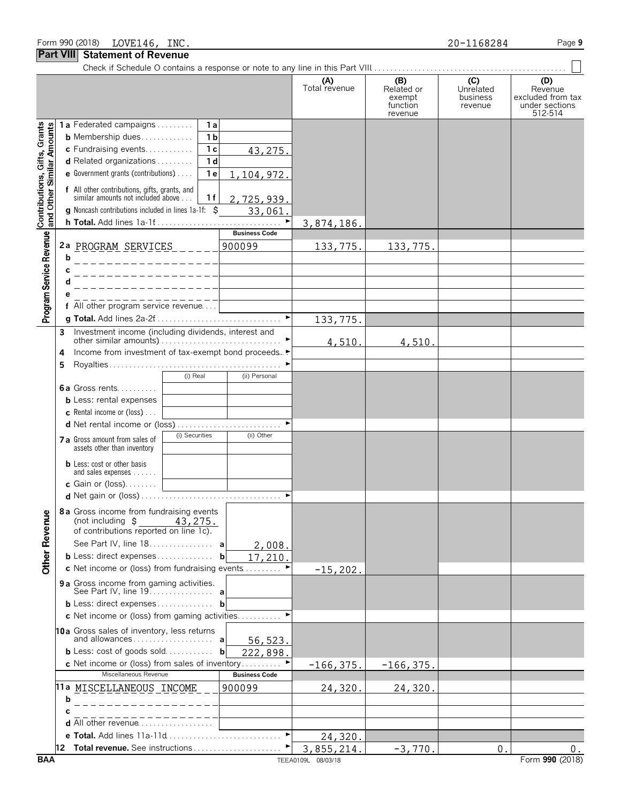|                                                           |        | <b>OMUNISTIE OF INGRUI</b>                                                                                                                                                                                                                                                                                                                                                                                             |                      |                                                    |                                         |                                                                  |
|-----------------------------------------------------------|--------|------------------------------------------------------------------------------------------------------------------------------------------------------------------------------------------------------------------------------------------------------------------------------------------------------------------------------------------------------------------------------------------------------------------------|----------------------|----------------------------------------------------|-----------------------------------------|------------------------------------------------------------------|
|                                                           |        |                                                                                                                                                                                                                                                                                                                                                                                                                        | (A)<br>Total revenue | (B)<br>Related or<br>exempt<br>function<br>revenue | (C)<br>Unrelated<br>business<br>revenue | (D)<br>Revenue<br>excluded from tax<br>under sections<br>512-514 |
| Contributions, Gifts, Grants<br>and Other Similar Amounts |        | 1a Federated campaigns<br>1a<br>1 <sub>b</sub><br><b>b</b> Membership dues<br>c Fundraising events<br>1 <sub>c</sub><br>43,275.<br>d Related organizations<br>1 <sub>d</sub><br>e Government grants (contributions)<br>1 e<br>1,104,972.<br>f All other contributions, gifts, grants, and<br>similar amounts not included above<br>1 f<br>2,725,939.<br>g Noncash contributions included in lines 1a-1f: \$<br>33,061. |                      |                                                    |                                         |                                                                  |
|                                                           |        | ▶                                                                                                                                                                                                                                                                                                                                                                                                                      | 3,874,186.           |                                                    |                                         |                                                                  |
| Program Service Revenue                                   | b<br>С | <b>Business Code</b><br>2a PROGRAM SERVICES<br>900099                                                                                                                                                                                                                                                                                                                                                                  | 133, 775.            | 133, 775.                                          |                                         |                                                                  |
|                                                           |        |                                                                                                                                                                                                                                                                                                                                                                                                                        |                      |                                                    |                                         |                                                                  |
|                                                           |        | f All other program service revenue                                                                                                                                                                                                                                                                                                                                                                                    |                      |                                                    |                                         |                                                                  |
|                                                           |        |                                                                                                                                                                                                                                                                                                                                                                                                                        | 133, 775.            |                                                    |                                         |                                                                  |
|                                                           | 3      | Investment income (including dividends, interest and                                                                                                                                                                                                                                                                                                                                                                   |                      |                                                    |                                         |                                                                  |
|                                                           |        |                                                                                                                                                                                                                                                                                                                                                                                                                        | 4,510.               | 4,510.                                             |                                         |                                                                  |
|                                                           | 4      | Income from investment of tax-exempt bond proceeds▶                                                                                                                                                                                                                                                                                                                                                                    |                      |                                                    |                                         |                                                                  |
|                                                           | 5      | (i) Real<br>(ii) Personal                                                                                                                                                                                                                                                                                                                                                                                              |                      |                                                    |                                         |                                                                  |
|                                                           |        | <b>6a</b> Gross rents                                                                                                                                                                                                                                                                                                                                                                                                  |                      |                                                    |                                         |                                                                  |
|                                                           |        | <b>b</b> Less: rental expenses                                                                                                                                                                                                                                                                                                                                                                                         |                      |                                                    |                                         |                                                                  |
|                                                           |        | <b>c</b> Rental income or (loss) $\ldots$                                                                                                                                                                                                                                                                                                                                                                              |                      |                                                    |                                         |                                                                  |
|                                                           |        |                                                                                                                                                                                                                                                                                                                                                                                                                        |                      |                                                    |                                         |                                                                  |
|                                                           |        | (i) Securities<br>(ii) Other<br>7 a Gross amount from sales of<br>assets other than inventory                                                                                                                                                                                                                                                                                                                          |                      |                                                    |                                         |                                                                  |
|                                                           |        | <b>b</b> Less: cost or other basis<br>and sales expenses                                                                                                                                                                                                                                                                                                                                                               |                      |                                                    |                                         |                                                                  |
|                                                           |        | c Gain or $(loss)$                                                                                                                                                                                                                                                                                                                                                                                                     |                      |                                                    |                                         |                                                                  |
|                                                           |        |                                                                                                                                                                                                                                                                                                                                                                                                                        |                      |                                                    |                                         |                                                                  |
| <b>Other Revenue</b>                                      |        | 8a Gross income from fundraising events<br>(not including $\sharp$<br>43,275.<br>of contributions reported on line 1c).                                                                                                                                                                                                                                                                                                |                      |                                                    |                                         |                                                                  |
|                                                           |        | See Part IV, line 18. a<br>2,008.<br><b>b</b> Less: direct expenses                                                                                                                                                                                                                                                                                                                                                    |                      |                                                    |                                         |                                                                  |
|                                                           |        | b<br>17,210.<br>c Net income or (loss) from fundraising events                                                                                                                                                                                                                                                                                                                                                         |                      |                                                    |                                         |                                                                  |
|                                                           |        | 9a Gross income from gaming activities.                                                                                                                                                                                                                                                                                                                                                                                | $-15,202.$           |                                                    |                                         |                                                                  |
|                                                           |        |                                                                                                                                                                                                                                                                                                                                                                                                                        |                      |                                                    |                                         |                                                                  |
|                                                           |        | <b>b</b> Less: direct expenses<br>b                                                                                                                                                                                                                                                                                                                                                                                    |                      |                                                    |                                         |                                                                  |
|                                                           |        | <b>c</b> Net income or (loss) from gaming activities                                                                                                                                                                                                                                                                                                                                                                   |                      |                                                    |                                         |                                                                  |
|                                                           |        | 10a Gross sales of inventory, less returns<br>56, 523.<br><b>b</b> Less: cost of goods sold<br>b<br>222,898.                                                                                                                                                                                                                                                                                                           |                      |                                                    |                                         |                                                                  |
|                                                           |        | c Net income or (loss) from sales of inventory                                                                                                                                                                                                                                                                                                                                                                         | $-166, 375.$         | $-166, 375.$                                       |                                         |                                                                  |
|                                                           |        | Miscellaneous Revenue<br><b>Business Code</b>                                                                                                                                                                                                                                                                                                                                                                          |                      |                                                    |                                         |                                                                  |
|                                                           | b      | 11ª MIS <u>CELLANEOUS INCOME</u><br>900099                                                                                                                                                                                                                                                                                                                                                                             | 24,320.              | 24,320                                             |                                         |                                                                  |
|                                                           |        |                                                                                                                                                                                                                                                                                                                                                                                                                        |                      |                                                    |                                         |                                                                  |
|                                                           |        | <b>d</b> All other revenue $\ldots$ , $\ldots$ , $\ldots$                                                                                                                                                                                                                                                                                                                                                              |                      |                                                    |                                         |                                                                  |
|                                                           |        |                                                                                                                                                                                                                                                                                                                                                                                                                        | 24,320.              |                                                    |                                         |                                                                  |
|                                                           |        | 12 Total revenue. See instructions                                                                                                                                                                                                                                                                                                                                                                                     | 3,855,214.           | $-3,770$                                           | $\mathbf{0}$                            | 0.                                                               |
| <b>BAA</b>                                                |        |                                                                                                                                                                                                                                                                                                                                                                                                                        | TEEA0109L 08/03/18   |                                                    |                                         | Form 990 (2018)                                                  |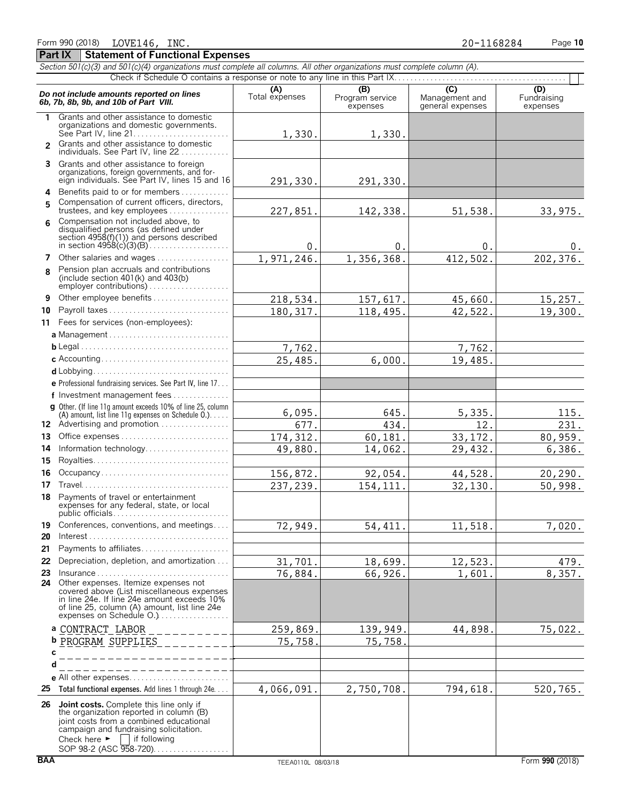|                | Section 501(c)(3) and 501(c)(4) organizations must complete all columns. All other organizations must complete column (A).                                                                                                                                                    |                       |                                    |                                           |                                |
|----------------|-------------------------------------------------------------------------------------------------------------------------------------------------------------------------------------------------------------------------------------------------------------------------------|-----------------------|------------------------------------|-------------------------------------------|--------------------------------|
|                |                                                                                                                                                                                                                                                                               |                       |                                    |                                           |                                |
|                | Do not include amounts reported on lines<br>6b, 7b, 8b, 9b, and 10b of Part VIII.                                                                                                                                                                                             | (A)<br>Total expenses | (B)<br>Program service<br>expenses | (C)<br>Management and<br>general expenses | (D)<br>Fundraising<br>expenses |
| 1.             | Grants and other assistance to domestic<br>organizations and domestic governments.                                                                                                                                                                                            | 1,330.                | 1,330.                             |                                           |                                |
| $\mathcal{P}$  | Grants and other assistance to domestic<br>individuals. See Part IV, line 22                                                                                                                                                                                                  |                       |                                    |                                           |                                |
|                | 3 Grants and other assistance to foreign<br>organizations, foreign governments, and for-<br>eign individuals. See Part IV, lines 15 and 16                                                                                                                                    | 291,330.              | 291,330.                           |                                           |                                |
| 5              | 4 Benefits paid to or for members<br>Compensation of current officers, directors,<br>trustees, and key employees $\ldots \ldots \ldots \ldots$                                                                                                                                | 227,851.              | 142,338.                           | 51,538.                                   | 33,975.                        |
| 6              | Compensation not included above, to<br>disqualified persons (as defined under<br>section 4958(f)(1)) and persons described                                                                                                                                                    | 0.                    | 0.                                 | $0$ .                                     | 0.                             |
| $\overline{ }$ | Other salaries and wages                                                                                                                                                                                                                                                      | 1,971,246.            | 1,356,368.                         | 412,502.                                  | 202, 376.                      |
| 8              | Pension plan accruals and contributions<br>(include section $401(k)$ and $403(b)$                                                                                                                                                                                             |                       |                                    |                                           |                                |
| 9              | Other employee benefits                                                                                                                                                                                                                                                       | 218,534.              | 157,617.                           | 45,660.                                   | 15, 257.                       |
| 10             |                                                                                                                                                                                                                                                                               | 180, 317.             | 118,495.                           | 42,522.                                   | 19,300.                        |
|                | 11 Fees for services (non-employees):                                                                                                                                                                                                                                         |                       |                                    |                                           |                                |
|                |                                                                                                                                                                                                                                                                               |                       |                                    |                                           |                                |
|                |                                                                                                                                                                                                                                                                               | 7,762.                |                                    | 7,762.                                    |                                |
|                |                                                                                                                                                                                                                                                                               | 25,485.               | 6,000.                             | 19,485.                                   |                                |
|                |                                                                                                                                                                                                                                                                               |                       |                                    |                                           |                                |
|                | e Professional fundraising services. See Part IV, line 17                                                                                                                                                                                                                     |                       |                                    |                                           |                                |
|                | f Investment management fees                                                                                                                                                                                                                                                  |                       |                                    |                                           |                                |
|                | g Other. (If line 11g amount exceeds 10% of line 25, column<br>(A) amount, list line 11g expenses on Schedule $0.$ )                                                                                                                                                          | 6,095.                | 645.                               | 5,335.                                    | 115.                           |
|                | 12 Advertising and promotion                                                                                                                                                                                                                                                  | 677.                  | 434.                               | 12.                                       | 231.                           |
| 13             |                                                                                                                                                                                                                                                                               | 174, 312.             | 60,181.                            | 33, 172.                                  | 80,959.                        |
| 14             | Information technology                                                                                                                                                                                                                                                        | 49,880.               | 14,062.                            | 29,432.                                   | 6,386.                         |
| 15             |                                                                                                                                                                                                                                                                               |                       |                                    |                                           |                                |
| 16             | Occupancy                                                                                                                                                                                                                                                                     | 156,872.              | 92,054.                            | 44,528.                                   | 20, 290.                       |
| 17             |                                                                                                                                                                                                                                                                               | 237,239.              | 154, 111                           | 32,130.                                   | 50,998.                        |
|                | 18 Payments of travel or entertainment<br>expenses for any federal, state, or local<br>public officials                                                                                                                                                                       |                       |                                    |                                           |                                |
| 19<br>20       | Conferences, conventions, and meetings                                                                                                                                                                                                                                        | $\overline{72,949}$ . | 54, 411.                           | 11,518.                                   | 7,020.                         |
| 21             | Payments to affiliates                                                                                                                                                                                                                                                        |                       |                                    |                                           |                                |
| 22             | Depreciation, depletion, and amortization                                                                                                                                                                                                                                     | 31,701.               | 18,699.                            | 12,523.                                   | 479.                           |
| 23<br>24       | $Insurance \ldots \ldots \ldots \ldots \ldots \ldots \ldots$<br>Other expenses. Itemize expenses not<br>covered above (List miscellaneous expenses<br>in line 24e. If line 24e amount exceeds 10%<br>of line 25, column (A) amount, list line 24e<br>expenses on Schedule O.) | 76,884.               | 66,926.                            | 1,601.                                    | 8,357.                         |
|                | a CONTRACT_LABOR<br>$\frac{1}{2}$                                                                                                                                                                                                                                             | 259,869               | 139,949                            | 44,898.                                   | 75,022.                        |
|                | <b>b</b> PROGRAM SUPPLIES<br>_ _ _ _ _ _ _ _                                                                                                                                                                                                                                  | 75,758.               | 75, 758.                           |                                           |                                |
| с              | __________                                                                                                                                                                                                                                                                    |                       |                                    |                                           |                                |
| d              | ___________                                                                                                                                                                                                                                                                   |                       |                                    |                                           |                                |
|                |                                                                                                                                                                                                                                                                               |                       |                                    |                                           |                                |
| 25             | Total functional expenses. Add lines 1 through 24e                                                                                                                                                                                                                            | 4,066,091.            | 2,750,708.                         | 794,618.                                  | 520,765.                       |
| 26             | <b>Joint costs.</b> Complete this line only if<br>the organization reported in column (B)<br>joint costs from a combined educational<br>campaign and fundraising solicitation.<br>Check here $\blacktriangleright$<br>$\Box$ if following<br>SOP 98-2 (ASC 958-720)           |                       |                                    |                                           |                                |

**Part IX Statement of Functional Expenses**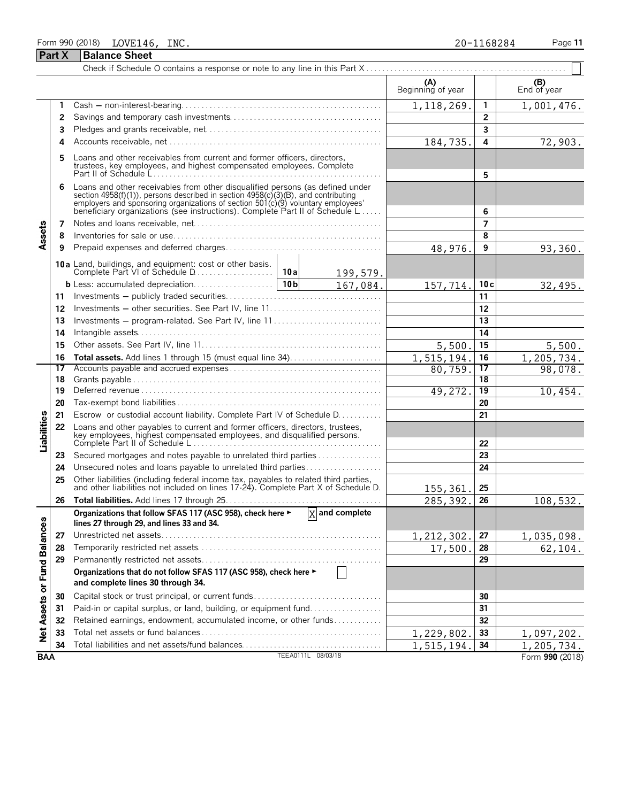# Form 990 (2018) Page **11** LOVE146, INC. 20-1168284 **Part X Balance Sheet**

|  |  |  |  | 20-1168284 |  |  |
|--|--|--|--|------------|--|--|
|--|--|--|--|------------|--|--|

|                             |    |                                                                                                                                                                                                                                                                                                                      | (A)<br>Beginning of year |                         | $(B)$ End of year |
|-----------------------------|----|----------------------------------------------------------------------------------------------------------------------------------------------------------------------------------------------------------------------------------------------------------------------------------------------------------------------|--------------------------|-------------------------|-------------------|
|                             | 1  |                                                                                                                                                                                                                                                                                                                      | 1, 118, 269.             | 1                       | 1,001,476.        |
|                             | 2  |                                                                                                                                                                                                                                                                                                                      |                          | $\overline{2}$          |                   |
|                             | 3  |                                                                                                                                                                                                                                                                                                                      |                          | $\overline{\mathbf{3}}$ |                   |
|                             | Δ  |                                                                                                                                                                                                                                                                                                                      | 184,735.                 | 4                       | 72,903.           |
|                             | 5  | Loans and other receivables from current and former officers, directors,<br>trustees, key employees, and highest compensated employees. Complete                                                                                                                                                                     |                          | 5                       |                   |
|                             | 6  | Loans and other receivables from other disqualified persons (as defined under<br>section 4958(f)(1)), persons described in section 4958(c)(3)(B), and contributing<br>employers and sponsoring organizations of section 501(c)(9) voluntary employees'<br>beneficiary organizations (see instructions). Complete Par |                          | 6                       |                   |
|                             | 7  |                                                                                                                                                                                                                                                                                                                      |                          | $\overline{ }$          |                   |
| Assets                      | 8  |                                                                                                                                                                                                                                                                                                                      |                          | 8                       |                   |
|                             | 9  |                                                                                                                                                                                                                                                                                                                      | 48,976.                  | 9                       | 93,360.           |
|                             |    | <b>10a</b> Land, buildings, and equipment: cost or other basis.<br>Complete Part VI of Schedule D<br>10a<br>199,579.                                                                                                                                                                                                 |                          |                         |                   |
|                             |    | 10 <sub>b</sub><br>167,084.                                                                                                                                                                                                                                                                                          | 157,714.                 | 10c                     | 32,495.           |
|                             | 11 |                                                                                                                                                                                                                                                                                                                      |                          | 11                      |                   |
|                             | 12 |                                                                                                                                                                                                                                                                                                                      |                          | 12                      |                   |
|                             | 13 | Investments - program-related. See Part IV, line 11                                                                                                                                                                                                                                                                  |                          | 13                      |                   |
|                             | 14 |                                                                                                                                                                                                                                                                                                                      |                          | 14                      |                   |
|                             | 15 |                                                                                                                                                                                                                                                                                                                      | 5,500                    | 15                      | 5,500.            |
|                             | 16 |                                                                                                                                                                                                                                                                                                                      | 1,515,194                | 16                      | 1,205,734.        |
|                             | 17 |                                                                                                                                                                                                                                                                                                                      | 80,759.                  | 17                      | 98,078.           |
|                             | 18 |                                                                                                                                                                                                                                                                                                                      |                          | 18                      |                   |
|                             | 19 |                                                                                                                                                                                                                                                                                                                      | 49,272.                  | 19                      | 10,454.           |
|                             | 20 |                                                                                                                                                                                                                                                                                                                      |                          | 20                      |                   |
|                             | 21 | Escrow or custodial account liability. Complete Part IV of Schedule D.                                                                                                                                                                                                                                               |                          | 21                      |                   |
| Liabilities                 | 22 | Loans and other payables to current and former officers, directors, trustees,<br>key employees, highest compensated employees, and disqualified persons.                                                                                                                                                             |                          | 22                      |                   |
|                             | 23 | Secured mortgages and notes payable to unrelated third parties                                                                                                                                                                                                                                                       |                          | 23                      |                   |
|                             | 24 | Unsecured notes and loans payable to unrelated third parties                                                                                                                                                                                                                                                         |                          | 24                      |                   |
|                             | 25 | Other liabilities (including federal income tax, payables to related third parties, and other liabilities not included on lines 17-24). Complete Part X of Schedule D.                                                                                                                                               | 155,361.                 | 25                      |                   |
|                             | 26 |                                                                                                                                                                                                                                                                                                                      | 285,392.                 | 26                      | 108,532.          |
|                             |    | Organizations that follow SFAS 117 (ASC 958), check here $\blacktriangleright$ $\boxed{X}$ and complete<br>lines 27 through 29, and lines 33 and 34.                                                                                                                                                                 |                          |                         |                   |
|                             | 27 |                                                                                                                                                                                                                                                                                                                      | 1,212,302.               | 27                      | 1,035,098.        |
|                             | 28 |                                                                                                                                                                                                                                                                                                                      | 17,500.                  | 28                      | 62, 104.          |
|                             | 29 |                                                                                                                                                                                                                                                                                                                      |                          | 29                      |                   |
| Net Assets or Fund Balances |    | Organizations that do not follow SFAS 117 (ASC 958), check here ►<br>and complete lines 30 through 34.                                                                                                                                                                                                               |                          |                         |                   |
|                             | 30 |                                                                                                                                                                                                                                                                                                                      |                          | 30                      |                   |
|                             | 31 | Paid-in or capital surplus, or land, building, or equipment fund                                                                                                                                                                                                                                                     |                          | 31                      |                   |
|                             | 32 | Retained earnings, endowment, accumulated income, or other funds                                                                                                                                                                                                                                                     |                          | 32                      |                   |
|                             | 33 |                                                                                                                                                                                                                                                                                                                      | 1,229,802.               | 33                      | 1,097,202.        |
|                             | 34 | Total liabilities and net assets/fund balances                                                                                                                                                                                                                                                                       | 1,515,194                | 34                      | 1,205,734.        |
| <b>BAA</b>                  |    | TEEA0111L 08/03/18                                                                                                                                                                                                                                                                                                   |                          |                         | Form 990 (2018)   |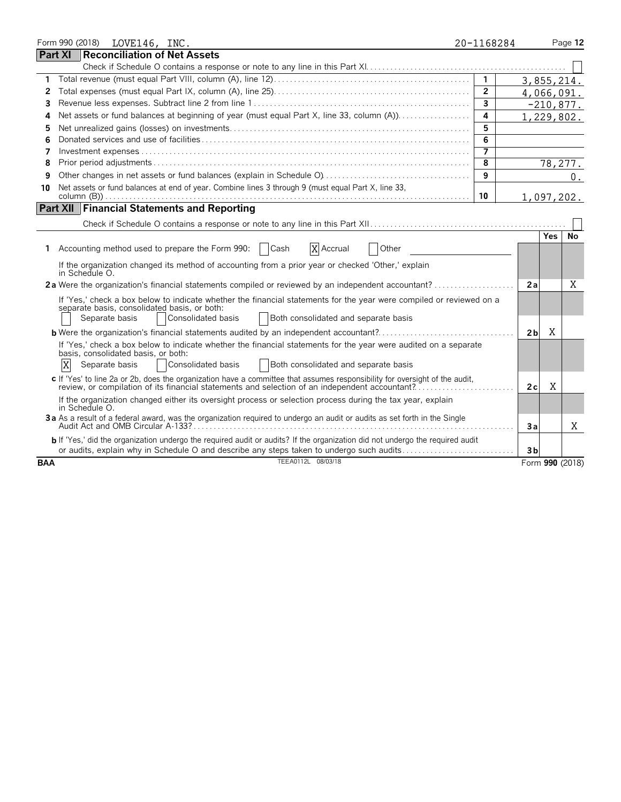|            |   |                | Form 990 (2018) LOVE146, INC.                         |                                                                    |                                                                                                                                                                                                                               | 20-1168284     |                |            | Page 12         |
|------------|---|----------------|-------------------------------------------------------|--------------------------------------------------------------------|-------------------------------------------------------------------------------------------------------------------------------------------------------------------------------------------------------------------------------|----------------|----------------|------------|-----------------|
| Part XI    |   |                |                                                       | <b>Reconciliation of Net Assets</b>                                |                                                                                                                                                                                                                               |                |                |            |                 |
|            |   |                |                                                       |                                                                    |                                                                                                                                                                                                                               |                |                |            |                 |
| 1          |   |                |                                                       |                                                                    |                                                                                                                                                                                                                               | $\mathbf{1}$   |                |            | 3,855,214.      |
| 2          |   |                |                                                       |                                                                    |                                                                                                                                                                                                                               | $\mathbf{2}$   |                |            | 4,066,091.      |
| 3          |   |                |                                                       |                                                                    |                                                                                                                                                                                                                               | $\mathbf{3}$   |                |            | $-210,877.$     |
| 4          |   |                |                                                       |                                                                    | Net assets or fund balances at beginning of year (must equal Part X, line 33, column (A))                                                                                                                                     | 4              |                |            | 1,229,802.      |
| 5          |   |                |                                                       |                                                                    |                                                                                                                                                                                                                               | 5              |                |            |                 |
| 6          |   |                |                                                       |                                                                    |                                                                                                                                                                                                                               | 6              |                |            |                 |
| 7          |   |                |                                                       |                                                                    |                                                                                                                                                                                                                               | $\overline{7}$ |                |            |                 |
| 8          |   |                |                                                       |                                                                    |                                                                                                                                                                                                                               | 8              |                |            | 78, 277.        |
| 9          |   |                |                                                       |                                                                    |                                                                                                                                                                                                                               | 9              |                |            | $0$ .           |
| 10         |   |                |                                                       |                                                                    | Net assets or fund balances at end of year. Combine lines 3 through 9 (must equal Part X, line 33,                                                                                                                            |                |                |            |                 |
|            |   |                |                                                       |                                                                    |                                                                                                                                                                                                                               | 10             |                |            | 1,097,202.      |
|            |   |                |                                                       | <b>Part XII Financial Statements and Reporting</b>                 |                                                                                                                                                                                                                               |                |                |            |                 |
|            |   |                |                                                       |                                                                    |                                                                                                                                                                                                                               |                |                |            |                 |
|            |   |                |                                                       |                                                                    |                                                                                                                                                                                                                               |                |                | <b>Yes</b> | No              |
|            |   |                |                                                       | Accounting method used to prepare the Form 990:<br>Cash            | X Accrual<br>Other                                                                                                                                                                                                            |                |                |            |                 |
|            |   | in Schedule O. |                                                       |                                                                    | If the organization changed its method of accounting from a prior year or checked 'Other,' explain                                                                                                                            |                |                |            |                 |
|            |   |                |                                                       |                                                                    | 2a Were the organization's financial statements compiled or reviewed by an independent accountant?                                                                                                                            |                | 2a             |            | X               |
|            |   |                | Separate basis                                        | separate basis, consolidated basis, or both:<br>Consolidated basis | If 'Yes,' check a box below to indicate whether the financial statements for the year were compiled or reviewed on a<br>Both consolidated and separate basis                                                                  |                |                |            |                 |
|            |   |                |                                                       |                                                                    | <b>b</b> Were the organization's financial statements audited by an independent accountant?                                                                                                                                   |                | 2 <sub>b</sub> | X          |                 |
|            | X |                | basis, consolidated basis, or both:<br>Separate basis | Consolidated basis                                                 | If 'Yes,' check a box below to indicate whether the financial statements for the year were audited on a separate<br>Both consolidated and separate basis                                                                      |                |                |            |                 |
|            |   |                |                                                       |                                                                    | c If 'Yes' to line 2a or 2b, does the organization have a committee that assumes responsibility for oversight of the audit,<br>review, or compilation of its financial statements and selection of an independent accountant? |                | 2c             | X          |                 |
|            |   | in Schedule O. |                                                       |                                                                    | If the organization changed either its oversight process or selection process during the tax year, explain                                                                                                                    |                |                |            |                 |
|            |   |                |                                                       |                                                                    | 3a As a result of a federal award, was the organization required to undergo an audit or audits as set forth in the Single                                                                                                     |                | Зa             |            | X               |
|            |   |                |                                                       |                                                                    | b If 'Yes,' did the organization undergo the required audit or audits? If the organization did not undergo the required audit<br>or audits, explain why in Schedule O and describe any steps taken to undergo such audits     |                | 3 <sub>b</sub> |            |                 |
| <b>BAA</b> |   |                |                                                       |                                                                    | TEEA0112L 08/03/18                                                                                                                                                                                                            |                |                |            | Form 990 (2018) |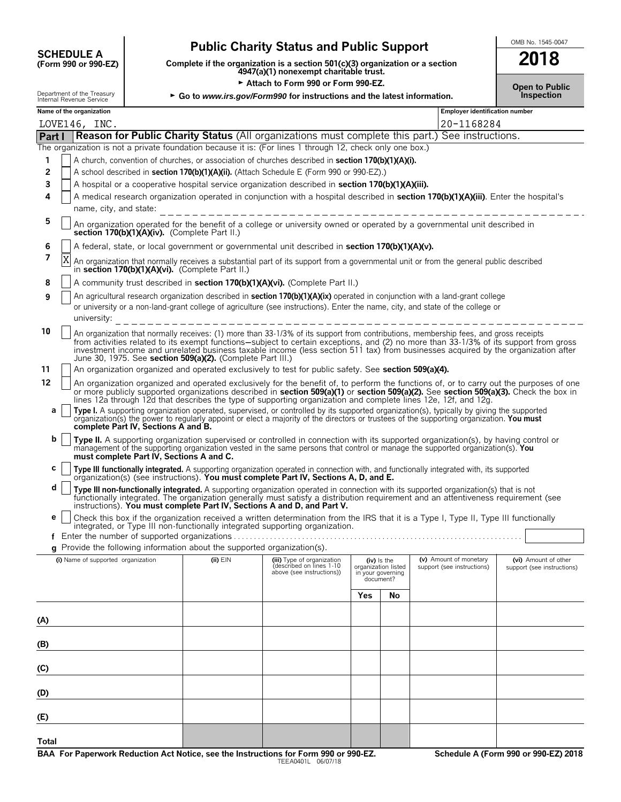# **CHEDULE A** Public Charity Status and Public Support<br>
(Form 990 or 990-EZ) Complete if the organization is a section 501(c)(3) organization or a section

**COMPOUTE A**<br>
(Form 990 or 990-EZ) Complete if the organization is a section 501(c)(3) organization or a section<br>
4947(a)(1) nonexempt charitable trust.

► Attach to Form 990 or Form 990-EZ.<br>gov/Form990 for instructions and the latest information. **Democial conducts** inspection Department of the Treasury  $\rightarrow$  Go to *www.irs.gov/Form990 for instructions and the latest information.* 

| THEITIAL INCRETTUE OCTVICE |  |  |
|----------------------------|--|--|
| Massa af tha association   |  |  |

|        | Name of the organization<br><b>Employer identification number</b>                                                                                                                                                                                                                                                                                                                                                                                                                |                                                                                                                                                                                                                                                                                                                                                       |  |                                                                                     |                                                       |    |                                    |                                                    |  |  |
|--------|----------------------------------------------------------------------------------------------------------------------------------------------------------------------------------------------------------------------------------------------------------------------------------------------------------------------------------------------------------------------------------------------------------------------------------------------------------------------------------|-------------------------------------------------------------------------------------------------------------------------------------------------------------------------------------------------------------------------------------------------------------------------------------------------------------------------------------------------------|--|-------------------------------------------------------------------------------------|-------------------------------------------------------|----|------------------------------------|----------------------------------------------------|--|--|
|        |                                                                                                                                                                                                                                                                                                                                                                                                                                                                                  | LOVE146, INC.                                                                                                                                                                                                                                                                                                                                         |  |                                                                                     |                                                       |    | 20-1168284                         |                                                    |  |  |
| Part I |                                                                                                                                                                                                                                                                                                                                                                                                                                                                                  | Reason for Public Charity Status (All organizations must complete this part.) See instructions.                                                                                                                                                                                                                                                       |  |                                                                                     |                                                       |    |                                    |                                                    |  |  |
|        |                                                                                                                                                                                                                                                                                                                                                                                                                                                                                  | The organization is not a private foundation because it is: (For lines 1 through 12, check only one box.)                                                                                                                                                                                                                                             |  |                                                                                     |                                                       |    |                                    |                                                    |  |  |
| 1      |                                                                                                                                                                                                                                                                                                                                                                                                                                                                                  | A church, convention of churches, or association of churches described in section 170(b)(1)(A)(i).                                                                                                                                                                                                                                                    |  |                                                                                     |                                                       |    |                                    |                                                    |  |  |
| 2      |                                                                                                                                                                                                                                                                                                                                                                                                                                                                                  | A school described in section 170(b)(1)(A)(ii). (Attach Schedule E (Form 990 or 990-EZ).)                                                                                                                                                                                                                                                             |  |                                                                                     |                                                       |    |                                    |                                                    |  |  |
| 3      |                                                                                                                                                                                                                                                                                                                                                                                                                                                                                  | A hospital or a cooperative hospital service organization described in section 170(b)(1)(A)(iii).                                                                                                                                                                                                                                                     |  |                                                                                     |                                                       |    |                                    |                                                    |  |  |
| 4      |                                                                                                                                                                                                                                                                                                                                                                                                                                                                                  | A medical research organization operated in conjunction with a hospital described in section 170(b)(1)(A)(iii). Enter the hospital's                                                                                                                                                                                                                  |  |                                                                                     |                                                       |    |                                    |                                                    |  |  |
|        |                                                                                                                                                                                                                                                                                                                                                                                                                                                                                  | name, city, and state:                                                                                                                                                                                                                                                                                                                                |  |                                                                                     |                                                       |    |                                    |                                                    |  |  |
| 5      |                                                                                                                                                                                                                                                                                                                                                                                                                                                                                  | An organization operated for the benefit of a college or university owned or operated by a governmental unit described in<br>section 170(b)(1)(A)(iv). (Complete Part II.)                                                                                                                                                                            |  |                                                                                     |                                                       |    |                                    |                                                    |  |  |
| 6      |                                                                                                                                                                                                                                                                                                                                                                                                                                                                                  | A federal, state, or local government or governmental unit described in section 170(b)(1)(A)(v).                                                                                                                                                                                                                                                      |  |                                                                                     |                                                       |    |                                    |                                                    |  |  |
| 7      | Χ                                                                                                                                                                                                                                                                                                                                                                                                                                                                                | An organization that normally receives a substantial part of its support from a governmental unit or from the general public described<br>in section 170(b)(1)(A)(vi). (Complete Part II.)                                                                                                                                                            |  |                                                                                     |                                                       |    |                                    |                                                    |  |  |
| 8      | A community trust described in section 170(b)(1)(A)(vi). (Complete Part II.)                                                                                                                                                                                                                                                                                                                                                                                                     |                                                                                                                                                                                                                                                                                                                                                       |  |                                                                                     |                                                       |    |                                    |                                                    |  |  |
| 9      |                                                                                                                                                                                                                                                                                                                                                                                                                                                                                  | An agricultural research organization described in section 170(b)(1)(A)(ix) operated in conjunction with a land-grant college                                                                                                                                                                                                                         |  |                                                                                     |                                                       |    |                                    |                                                    |  |  |
|        | or university or a non-land-grant college of agriculture (see instructions). Enter the name, city, and state of the college or                                                                                                                                                                                                                                                                                                                                                   |                                                                                                                                                                                                                                                                                                                                                       |  |                                                                                     |                                                       |    |                                    |                                                    |  |  |
|        | university:<br>________________________________                                                                                                                                                                                                                                                                                                                                                                                                                                  |                                                                                                                                                                                                                                                                                                                                                       |  |                                                                                     |                                                       |    |                                    |                                                    |  |  |
| 10     | An organization that normally receives: (1) more than 33-1/3% of its support from contributions, membership fees, and gross receipts<br>from activities related to its exempt functions—subject to certain exceptions, and (2) no more than 33-1/3% of its support from gross<br>investment income and unrelated business taxable income (less section 511 tax) from businesses acquired by the organization after<br>June 30, 1975. See section 509(a)(2). (Complete Part III.) |                                                                                                                                                                                                                                                                                                                                                       |  |                                                                                     |                                                       |    |                                    |                                                    |  |  |
| 11     |                                                                                                                                                                                                                                                                                                                                                                                                                                                                                  | An organization organized and operated exclusively to test for public safety. See section 509(a)(4).                                                                                                                                                                                                                                                  |  |                                                                                     |                                                       |    |                                    |                                                    |  |  |
| 12     |                                                                                                                                                                                                                                                                                                                                                                                                                                                                                  | An organization organized and operated exclusively for the benefit of, to perform the functions of, or to carry out the purposes of one                                                                                                                                                                                                               |  |                                                                                     |                                                       |    |                                    |                                                    |  |  |
|        |                                                                                                                                                                                                                                                                                                                                                                                                                                                                                  | or more publicly supported organizations described in section 509(a)(1) or section 509(a)(2). See section 509(a)(3). Check the box in                                                                                                                                                                                                                 |  |                                                                                     |                                                       |    |                                    |                                                    |  |  |
| а      |                                                                                                                                                                                                                                                                                                                                                                                                                                                                                  | lines 12a through 12d that describes the type of supporting organization and complete lines 12e, 12f, and 12g.                                                                                                                                                                                                                                        |  |                                                                                     |                                                       |    |                                    |                                                    |  |  |
|        |                                                                                                                                                                                                                                                                                                                                                                                                                                                                                  | Type I. A supporting organization operated, supervised, or controlled by its supported organization(s), typically by giving the supported organization(s) the power to regularly appoint or elect a majority of the directors<br>complete Part IV, Sections A and B.                                                                                  |  |                                                                                     |                                                       |    |                                    |                                                    |  |  |
| b      |                                                                                                                                                                                                                                                                                                                                                                                                                                                                                  | Type II. A supporting organization supervised or controlled in connection with its supported organization(s), by having control or<br>management of the supporting organization vested in the same persons that control or manage the supported organization(s). You<br>must complete Part IV, Sections A and C.                                      |  |                                                                                     |                                                       |    |                                    |                                                    |  |  |
| C      |                                                                                                                                                                                                                                                                                                                                                                                                                                                                                  | Type III functionally integrated. A supporting organization operated in connection with, and functionally integrated with, its supported organization(s) (see instructions). You must complete Part IV, Sections A, D, and E.                                                                                                                         |  |                                                                                     |                                                       |    |                                    |                                                    |  |  |
|        |                                                                                                                                                                                                                                                                                                                                                                                                                                                                                  |                                                                                                                                                                                                                                                                                                                                                       |  |                                                                                     |                                                       |    |                                    |                                                    |  |  |
| d      |                                                                                                                                                                                                                                                                                                                                                                                                                                                                                  | Type III non-functionally integrated. A supporting organization operated in connection with its supported organization(s) that is not<br>functionally integrated. The organization generally must satisfy a distribution requirement and an attentiveness requirement (see<br>instructions). You must complete Part IV, Sections A and D, and Part V. |  |                                                                                     |                                                       |    |                                    |                                                    |  |  |
| е      |                                                                                                                                                                                                                                                                                                                                                                                                                                                                                  | Check this box if the organization received a written determination from the IRS that it is a Type I, Type II, Type III functionally<br>integrated, or Type III non-functionally integrated supporting organization.                                                                                                                                  |  |                                                                                     |                                                       |    |                                    |                                                    |  |  |
|        |                                                                                                                                                                                                                                                                                                                                                                                                                                                                                  |                                                                                                                                                                                                                                                                                                                                                       |  |                                                                                     |                                                       |    |                                    |                                                    |  |  |
|        |                                                                                                                                                                                                                                                                                                                                                                                                                                                                                  | g Provide the following information about the supported organization(s).                                                                                                                                                                                                                                                                              |  |                                                                                     |                                                       |    | (iv) Is the (v) Amount of monetary |                                                    |  |  |
|        |                                                                                                                                                                                                                                                                                                                                                                                                                                                                                  | (i) Name of supported organization (ii) EIN                                                                                                                                                                                                                                                                                                           |  | (iii) Type of organization<br>(described on lines 1-10<br>above (see instructions)) | organization listed<br>in your governing<br>document? |    | support (see instructions)         | (vi) Amount of other<br>support (see instructions) |  |  |
|        |                                                                                                                                                                                                                                                                                                                                                                                                                                                                                  |                                                                                                                                                                                                                                                                                                                                                       |  |                                                                                     | <b>Yes</b>                                            | No |                                    |                                                    |  |  |
|        |                                                                                                                                                                                                                                                                                                                                                                                                                                                                                  |                                                                                                                                                                                                                                                                                                                                                       |  |                                                                                     |                                                       |    |                                    |                                                    |  |  |
| (A)    |                                                                                                                                                                                                                                                                                                                                                                                                                                                                                  |                                                                                                                                                                                                                                                                                                                                                       |  |                                                                                     |                                                       |    |                                    |                                                    |  |  |
|        |                                                                                                                                                                                                                                                                                                                                                                                                                                                                                  |                                                                                                                                                                                                                                                                                                                                                       |  |                                                                                     |                                                       |    |                                    |                                                    |  |  |
| (B)    |                                                                                                                                                                                                                                                                                                                                                                                                                                                                                  |                                                                                                                                                                                                                                                                                                                                                       |  |                                                                                     |                                                       |    |                                    |                                                    |  |  |
|        |                                                                                                                                                                                                                                                                                                                                                                                                                                                                                  |                                                                                                                                                                                                                                                                                                                                                       |  |                                                                                     |                                                       |    |                                    |                                                    |  |  |
| (C)    |                                                                                                                                                                                                                                                                                                                                                                                                                                                                                  |                                                                                                                                                                                                                                                                                                                                                       |  |                                                                                     |                                                       |    |                                    |                                                    |  |  |
|        |                                                                                                                                                                                                                                                                                                                                                                                                                                                                                  |                                                                                                                                                                                                                                                                                                                                                       |  |                                                                                     |                                                       |    |                                    |                                                    |  |  |
| (D)    |                                                                                                                                                                                                                                                                                                                                                                                                                                                                                  |                                                                                                                                                                                                                                                                                                                                                       |  |                                                                                     |                                                       |    |                                    |                                                    |  |  |
|        |                                                                                                                                                                                                                                                                                                                                                                                                                                                                                  |                                                                                                                                                                                                                                                                                                                                                       |  |                                                                                     |                                                       |    |                                    |                                                    |  |  |
| (E)    |                                                                                                                                                                                                                                                                                                                                                                                                                                                                                  |                                                                                                                                                                                                                                                                                                                                                       |  |                                                                                     |                                                       |    |                                    |                                                    |  |  |
| Total  |                                                                                                                                                                                                                                                                                                                                                                                                                                                                                  |                                                                                                                                                                                                                                                                                                                                                       |  |                                                                                     |                                                       |    |                                    |                                                    |  |  |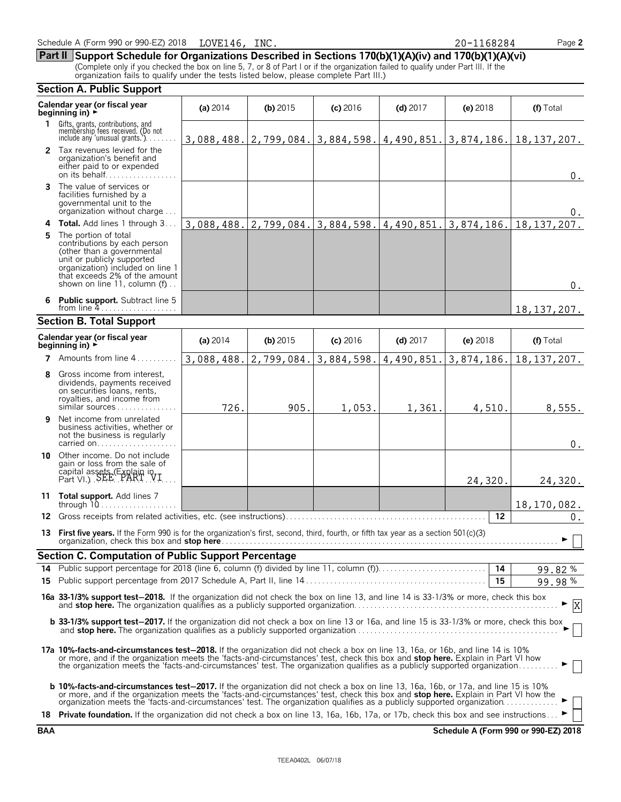|    | <b>Section A. Public Support</b>                                                                                                                                                                                                                                                                                                                                                                                 |            |            |            |            |                         |                                                                                                                   |  |
|----|------------------------------------------------------------------------------------------------------------------------------------------------------------------------------------------------------------------------------------------------------------------------------------------------------------------------------------------------------------------------------------------------------------------|------------|------------|------------|------------|-------------------------|-------------------------------------------------------------------------------------------------------------------|--|
|    | Calendar year (or fiscal year<br>beginning in) $\rightarrow$                                                                                                                                                                                                                                                                                                                                                     | (a) $2014$ | (b) $2015$ | $(c)$ 2016 | $(d)$ 2017 | (e) $2018$              | (f) Total                                                                                                         |  |
|    | 1 Gifts, grants, contributions, and<br>membership fees received. (Do not<br>include any 'unusual grants.')                                                                                                                                                                                                                                                                                                       |            |            |            |            |                         | $3,088,488.$ $\mid$ 2, 799, 084. $\mid$ 3, 884, 598. $\mid$ 4, 490, 851. $\mid$ 3, 874, 186. $\mid$ 18, 137, 207. |  |
|    | 2 Tax revenues levied for the<br>organization's benefit and<br>either paid to or expended<br>on its behalf                                                                                                                                                                                                                                                                                                       |            |            |            |            |                         | $0_{.}$                                                                                                           |  |
|    | The value of services or<br>facilities furnished by a<br>governmental unit to the<br>organization without charge                                                                                                                                                                                                                                                                                                 |            |            |            |            |                         | $0_{\cdot}$                                                                                                       |  |
|    | <b>4 Total.</b> Add lines 1 through 3                                                                                                                                                                                                                                                                                                                                                                            |            |            |            |            |                         | $3,088,488.$ $\mid$ 2, 799, 084. $\mid$ 3, 884, 598. $\mid$ 4, 490, 851. $\mid$ 3, 874, 186. $\mid$ 18, 137, 207. |  |
| 5. | The portion of total<br>contributions by each person<br>(other than a governmental<br>unit or publicly supported<br>organization) included on line 1<br>that exceeds 2% of the amount<br>shown on line 11, column (f)                                                                                                                                                                                            |            |            |            |            |                         | $0_{.}$                                                                                                           |  |
|    | 6 Public support. Subtract line 5<br>from line $4$                                                                                                                                                                                                                                                                                                                                                               |            |            |            |            |                         | 18, 137, 207.                                                                                                     |  |
|    | <b>Section B. Total Support</b>                                                                                                                                                                                                                                                                                                                                                                                  |            |            |            |            |                         |                                                                                                                   |  |
|    | Calendar year (or fiscal year<br>beginning in) $\rightarrow$                                                                                                                                                                                                                                                                                                                                                     | (a) $2014$ | $(b)$ 2015 | $(c)$ 2016 | $(d)$ 2017 | (e) 2018                | (f) Total                                                                                                         |  |
|    | 7 Amounts from line 4                                                                                                                                                                                                                                                                                                                                                                                            | 3,088,488. | 2,799,084. | 3,884,598. |            | $1,490,851.$ 3,874,186. | 18, 137, 207.                                                                                                     |  |
| 8  | Gross income from interest,<br>dividends, payments received<br>on securities loans, rents,<br>royalties, and income from<br>similar sources                                                                                                                                                                                                                                                                      | 726.       | 905.       | 1,053.     | 1,361.     | 4,510.                  | 8,555.                                                                                                            |  |
| 9  | Net income from unrelated<br>business activities, whether or<br>not the business is regularly                                                                                                                                                                                                                                                                                                                    |            |            |            |            |                         | $0$ .                                                                                                             |  |
|    | 10 Other income. Do not include<br>gain or loss from the sale of<br>capital assets (Explain in Part VI.) SEE PART VI.                                                                                                                                                                                                                                                                                            |            |            |            |            | 24,320.                 | 24,320.                                                                                                           |  |
|    | 11 Total support. Add lines 7                                                                                                                                                                                                                                                                                                                                                                                    |            |            |            |            |                         | 18, 170, 082.                                                                                                     |  |
|    |                                                                                                                                                                                                                                                                                                                                                                                                                  |            |            |            |            | 12                      | 0.                                                                                                                |  |
|    | 13 First five years. If the Form 990 is for the organization's first, second, third, fourth, or fifth tax year as a section 501(c)(3)                                                                                                                                                                                                                                                                            |            |            |            |            |                         |                                                                                                                   |  |
|    | <b>Section C. Computation of Public Support Percentage</b>                                                                                                                                                                                                                                                                                                                                                       |            |            |            |            |                         |                                                                                                                   |  |
| 14 |                                                                                                                                                                                                                                                                                                                                                                                                                  |            |            |            |            |                         | 99.82%                                                                                                            |  |
| 15 |                                                                                                                                                                                                                                                                                                                                                                                                                  |            |            |            |            | 15                      | 99.98%                                                                                                            |  |
|    | 16a 33-1/3% support test-2018. If the organization did not check the box on line 13, and line 14 is 33-1/3% or more, check this box                                                                                                                                                                                                                                                                              |            |            |            |            |                         | $\boldsymbol{\mathrm{X}}$                                                                                         |  |
|    | <b>b 33-1/3% support test-2017.</b> If the organization did not check a box on line 13 or 16a, and line 15 is 33-1/3% or more, check this box                                                                                                                                                                                                                                                                    |            |            |            |            |                         |                                                                                                                   |  |
|    | <b>17a 10%-facts-and-circumstances test-2018.</b> If the organization did not check a box on line 13, 16a, or 16b, and line 14 is 10%<br>or more, and if the organization meets the 'facts-and-circumstances' test, check this box and stop here. Explain in Part VI how<br>the organization meets the 'facts-and-circumstances' test. The organization qualifies as a publicly supported organization           |            |            |            |            |                         |                                                                                                                   |  |
|    | <b>b 10%-facts-and-circumstances test-2017.</b> If the organization did not check a box on line 13, 16a, 16b, or 17a, and line 15 is 10%<br>or more, and if the organization meets the 'facts-and-circumstances' test, check this box and <b>stop here.</b> Explain in Part VI how the<br>organization meets the 'facts-and-circumstances' test. The organization qualifies as a publicly supported organization |            |            |            |            |                         |                                                                                                                   |  |
|    | 18 Private foundation. If the organization did not check a box on line 13, 16a, 16b, 17a, or 17b, check this box and see instructions                                                                                                                                                                                                                                                                            |            |            |            |            |                         |                                                                                                                   |  |

**BAA Schedule A (Form 990 or 990-EZ) 2018**

# Schedule A (Form 990 or 990-EZ) 2018 LOVE146, INC. 20 20 20 - 1168284 Page 2

**Part II Support Schedule for Organizations Described in Sections 170(b)(1)(A)(iv) and 170(b)(1)(A)(vi)**

(Complete only if you checked the box on line 5, 7, or 8 of Part I or if the organization failed to qualify under Part III. If the organization fails to qualify under the tests listed below, please complete Part III.)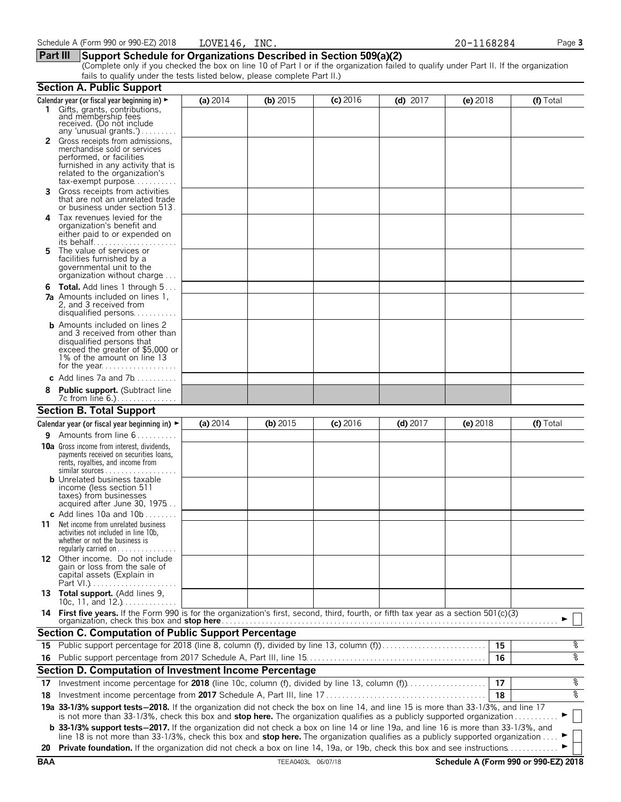# **Part III Support Schedule for Organizations Described in Section 509(a)(2)**

(Complete only if you checked the box on line 10 of Part I or if the organization failed to qualify under Part II. If the organization fails to qualify under the tests listed below, please complete Part II.)

|            | <b>Section A. Public Support</b>                                                                                                                                                                                                                               |          |                    |            |            |            |                                      |
|------------|----------------------------------------------------------------------------------------------------------------------------------------------------------------------------------------------------------------------------------------------------------------|----------|--------------------|------------|------------|------------|--------------------------------------|
|            | Calendar year (or fiscal year beginning in) ►                                                                                                                                                                                                                  | (a) 2014 | (b) $2015$         | $(c)$ 2016 | $(d)$ 2017 | $(e)$ 2018 | (f) Total                            |
|            | 1 Gifts, grants, contributions,<br>and membership fees<br>received. (Do not include<br>any 'unusual grants.')                                                                                                                                                  |          |                    |            |            |            |                                      |
|            | Gross receipts from admissions,<br>merchandise sold or services<br>performed, or facilities<br>furnished in any activity that is<br>related to the organization's<br>$tax\text{-}exempt$ purpose                                                               |          |                    |            |            |            |                                      |
| 3.         | Gross receipts from activities<br>that are not an unrelated trade<br>or business under section 513.                                                                                                                                                            |          |                    |            |            |            |                                      |
| 4          | Tax revenues levied for the<br>organization's benefit and<br>either paid to or expended on<br>its behalf                                                                                                                                                       |          |                    |            |            |            |                                      |
| 5.         | The value of services or<br>facilities furnished by a<br>governmental unit to the<br>organization without charge                                                                                                                                               |          |                    |            |            |            |                                      |
|            | <b>6 Total.</b> Add lines 1 through 5<br><b>7a</b> Amounts included on lines 1,<br>2, and 3 received from<br>disqualified persons                                                                                                                              |          |                    |            |            |            |                                      |
|            | <b>b</b> Amounts included on lines 2<br>and 3 received from other than<br>disqualified persons that<br>exceed the greater of \$5,000 or<br>1% of the amount on line 13                                                                                         |          |                    |            |            |            |                                      |
|            | c Add lines $7a$ and $7b$                                                                                                                                                                                                                                      |          |                    |            |            |            |                                      |
|            | <b>Public support.</b> (Subtract line                                                                                                                                                                                                                          |          |                    |            |            |            |                                      |
|            | <b>Section B. Total Support</b>                                                                                                                                                                                                                                |          |                    |            |            |            |                                      |
|            | Calendar year (or fiscal year beginning in) $\blacktriangleright$                                                                                                                                                                                              | (a) 2014 | $(b)$ 2015         | $(c)$ 2016 | $(d)$ 2017 | (e) 2018   | $(f)$ Total                          |
| 9.         | Amounts from line 6                                                                                                                                                                                                                                            |          |                    |            |            |            |                                      |
|            | <b>10a</b> Gross income from interest, dividends,<br>payments received on securities loans,<br>rents, royalties, and income from<br><b>b</b> Unrelated business taxable                                                                                        |          |                    |            |            |            |                                      |
|            | income (less section 511<br>taxes) from businesses<br>acquired after June 30, 1975<br>c Add lines 10a and $10b$                                                                                                                                                |          |                    |            |            |            |                                      |
| 11         | Net income from unrelated business<br>activities not included in line 10b,<br>whether or not the business is<br>regularly carried on $\dots\dots\dots\dots\dots$                                                                                               |          |                    |            |            |            |                                      |
|            | 12 Other income. Do not include<br>gain or loss from the sale of<br>capital assets (Explain in                                                                                                                                                                 |          |                    |            |            |            |                                      |
|            | 13 Total support. (Add lines 9,<br>10c, 11, and $12.$ )                                                                                                                                                                                                        |          |                    |            |            |            |                                      |
|            | 14 First five years. If the Form 990 is for the organization's first, second, third, fourth, or fifth tax year as a section 501(c)(3)                                                                                                                          |          |                    |            |            |            |                                      |
|            | <b>Section C. Computation of Public Support Percentage</b>                                                                                                                                                                                                     |          |                    |            |            |            |                                      |
| 15         | Public support percentage for 2018 (line 8, column (f), divided by line 13, column (f)                                                                                                                                                                         |          |                    |            |            | 15         | နွ                                   |
|            |                                                                                                                                                                                                                                                                |          |                    |            |            | 16         | နွ                                   |
|            | Section D. Computation of Investment Income Percentage                                                                                                                                                                                                         |          |                    |            |            |            |                                      |
| 17         | Investment income percentage for 2018 (line 10c, column (f), divided by line 13, column (f)                                                                                                                                                                    |          |                    |            |            | 17         | နွ                                   |
| 18         |                                                                                                                                                                                                                                                                |          |                    |            |            | 18         | နွ                                   |
|            | 19a 33-1/3% support tests-2018. If the organization did not check the box on line 14, and line 15 is more than 33-1/3%, and line 17<br>is not more than 33-1/3%, check this box and stop here. The organization qualifies as a publicly supported organization |          |                    |            |            |            |                                      |
|            | <b>b</b> 33-1/3% support tests-2017. If the organization did not check a box on line 14 or line 19a, and line 16 is more than 33-1/3%, and                                                                                                                     |          |                    |            |            |            |                                      |
| 20         | line 18 is not more than 33-1/3%, check this box and stop here. The organization qualifies as a publicly supported organization<br>Private foundation. If the organization did not check a box on line 14, 19a, or 19b, check this box and see instructions    |          |                    |            |            |            |                                      |
| <b>BAA</b> |                                                                                                                                                                                                                                                                |          | TEEA0403L 06/07/18 |            |            |            | Schedule A (Form 990 or 990-EZ) 2018 |
|            |                                                                                                                                                                                                                                                                |          |                    |            |            |            |                                      |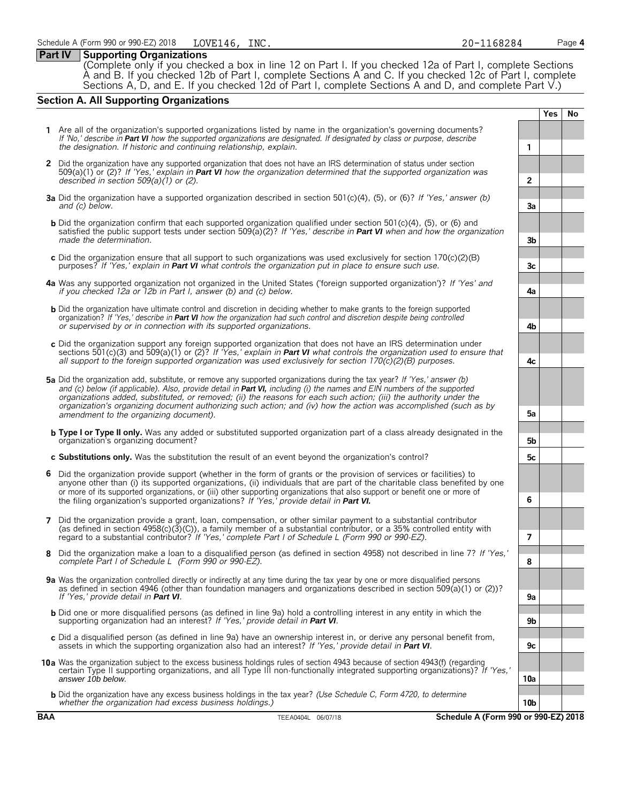# **Part IV Supporting Organizations**

(Complete only if you checked a box in line 12 on Part I. If you checked 12a of Part I, complete Sections A and B. If you checked 12b of Part I, complete Sections A and C. If you checked 12c of Part I, complete Sections A, D, and E. If you checked 12d of Part I, complete Sections A and D, and complete Part V.)

# **Section A. All Supporting Organizations**

**Yes No 1** Are all of the organization's supported organizations listed by name in the organization's governing documents? *If 'No,' describe in Part VI how the supported organizations are designated. If designated by class or purpose, describe the designation. If historic and continuing relationship, explain.* **1 2** Did the organization have any supported organization that does not have an IRS determination of status under section 509(a)(1) or (2)? *If 'Yes,' explain in Part VI how the organization determined that the supported organization was described in section 509(a)(1) or (2).* **2 3a** Did the organization have a supported organization described in section 501(c)(4), (5), or (6)? *If 'Yes,' answer (b) and (c) below.* **3a b** Did the organization confirm that each supported organization qualified under section 501(c)(4), (5), or (6) and satisfied the public support tests under section 509(a)(2)? *If 'Yes,' describe in Part VI when and how the organization made the determination.* **3b c** Did the organization ensure that all support to such organizations was used exclusively for section 170(c)(2)(B) purposes? *If 'Yes,' explain in Part VI what controls the organization put in place to ensure such use.* **3c 4a** Was any supported organization not organized in the United States ('foreign supported organization')? *If 'Yes' and if you checked 12a or 12b in Part I, answer (b) and (c) below.* **4a b** Did the organization have ultimate control and discretion in deciding whether to make grants to the foreign supported organization? *If 'Yes,' describe in Part VI how the organization had such control and discretion despite being controlled or supervised by or in connection with its supported organizations.* **4b c** Did the organization support any foreign supported organization that does not have an IRS determination under sections 501(c)(3) and 509(a)(1) or (2)? *If 'Yes,' explain in Part VI what controls the organization used to ensure that all support to the foreign supported organization was used exclusively for section 170(c)(2)(B) purposes.* **4c 5a** Did the organization add, substitute, or remove any supported organizations during the tax year? *If 'Yes,' answer (b) and (c) below (if applicable). Also, provide detail in Part VI, including (i) the names and EIN numbers of the supported organizations added, substituted, or removed; (ii) the reasons for each such action; (iii) the authority under the organization's organizing document authorizing such action; and (iv) how the action was accomplished (such as by amendment to the organizing document).* **5a b Type I or Type II only.** Was any added or substituted supported organization part of a class already designated in the organization's organizing document? **5b c Substitutions only.** Was the substitution the result of an event beyond the organization's control? **5c 6** Did the organization provide support (whether in the form of grants or the provision of services or facilities) to anyone other than (i) its supported organizations, (ii) individuals that are part of the charitable class benefited by one or more of its supported organizations, or (iii) other supporting organizations that also support or benefit one or more of the filing organization's supported organizations? *If 'Yes,' provide detail in Part VI.* **6 7** Did the organization provide a grant, loan, compensation, or other similar payment to a substantial contributor (as defined in section 4958(c)(3)(C)), a family member of a substantial contributor, or a 35% controlled entity with regard to a substantial contributor? *If 'Yes,' complete Part I of Schedule L (Form 990 or 990-EZ).* **7 8** Did the organization make a loan to a disqualified person (as defined in section 4958) not described in line 7? *If 'Yes,' complete Part I of Schedule L (Form 990 or 990-EZ).* **8 9a** Was the organization controlled directly or indirectly at any time during the tax year by one or more disqualified persons as defined in section 4946 (other than foundation managers and organizations described in section 509(a)(1) or (2))? *If 'Yes,' provide detail in Part VI*. b Did one or more disqualified persons (as defined in line 9a) hold a controlling interest in any entity in which the<br>supporting organization had an interest? If 'Yes,' provide detail in Part VI. **c** Did a disqualified person (as defined in line 9a) have an ownership interest in, or derive any personal benefit from, assets in which the supporting organization also had an interest? *If 'Yes,' provide detail in Part VI*. **9c 10a** Was the organization subject to the excess business holdings rules of section 4943 because of section 4943(f) (regarding certain Type II supporting organizations, and all Type III non-functionally integrated supporting organizations)? *If 'Yes,' answer 10b below.* **10a b** Did the organization have any excess business holdings in the tax year? *(Use Schedule C, Form 4720, to determine whether the organization had excess business holdings.)* **10b**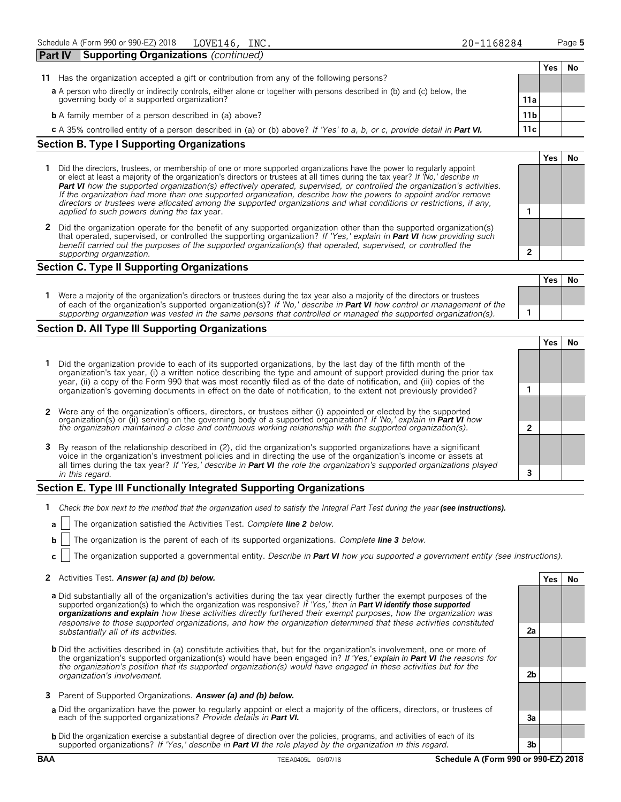|    |                                                                                                                           |                 | Yes | No |
|----|---------------------------------------------------------------------------------------------------------------------------|-----------------|-----|----|
| 11 | Has the organization accepted a gift or contribution from any of the following persons?                                   |                 |     |    |
|    | a A person who directly or indirectly controls, either alone or together with persons described in (b) and (c) below, the |                 |     |    |
|    | governing body of a supported organization?                                                                               | 11a             |     |    |
|    | <b>b</b> A family member of a person described in (a) above?                                                              | 11 <sub>b</sub> |     |    |
|    | c A 35% controlled entity of a person described in (a) or (b) above? If 'Yes' to a, b, or c, provide detail in Part VI.   | 11c             |     |    |
|    | <b>Section B. Type I Supporting Organizations</b>                                                                         |                 |     |    |

- **1** Did the directors, trustees, or membership of one or more supported organizations have the power to regularly appoint or elect at least a majority of the organization's directors or trustees at all times during the tax year? *If 'No,' describe in Part VI how the supported organization(s) effectively operated, supervised, or controlled the organization's activities. If the organization had more than one supported organization, describe how the powers to appoint and/or remove directors or trustees were allocated among the supported organizations and what conditions or restrictions, if any, applied to such powers during the tax* year. **1**
- **2** Did the organization operate for the benefit of any supported organization other than the supported organization(s) that operated, supervised, or controlled the supporting organization? *If 'Yes,' explain in Part VI how providing such benefit carried out the purposes of the supported organization(s) that operated, supervised, or controlled the supporting organization.* **2**

# **Section C. Type II Supporting Organizations**

| Were a majority of the organization's directors or trustees during the tax year also a majority of the directors or trustees<br>of each of the organization's supported organization(s)? If 'No,' describe in <b>Part VI</b> how control or management of the |  |  |
|---------------------------------------------------------------------------------------------------------------------------------------------------------------------------------------------------------------------------------------------------------------|--|--|
| supporting organization was vested in the same persons that controlled or managed the supported organization(s).                                                                                                                                              |  |  |

# **Section D. All Type III Supporting Organizations**

**Yes No 1** Did the organization provide to each of its supported organizations, by the last day of the fifth month of the organization's tax year, (i) a written notice describing the type and amount of support provided during the prior tax year, (ii) a copy of the Form 990 that was most recently filed as of the date of notification, and (iii) copies of the organization's governing documents in effect on the date of notification, to the extent not previously provided? **1 2** Were any of the organization's officers, directors, or trustees either (i) appointed or elected by the supported organization(s) or (ii) serving on the governing body of a supported organization? *If 'No,' explain in Part VI how the organization maintained a close and continuous working relationship with the supported organization(s).* **2 3** By reason of the relationship described in (2), did the organization's supported organizations have a significant voice in the organization's investment policies and in directing the use of the organization's income or assets at all times during the tax year? *If 'Yes,' describe in Part VI the role the organization's supported organizations played in this regard.* **3**

# **Section E. Type III Functionally Integrated Supporting Organizations**

- **1** *Check the box next to the method that the organization used to satisfy the Integral Part Test during the year (see instructions).* 
	- **a** The organization satisfied the Activities Test. *Complete line 2 below.*
	- **b** The organization is the parent of each of its supported organizations. *Complete line 3 below.*
	- **c** The organization supported a governmental entity. *Describe in Part VI how you supported a government entity (see instructions).*

# **2** Activities Test. *Answer (a) and (b) below.* **Yes No**

- **a** Did substantially all of the organization's activities during the tax year directly further the exempt purposes of the supported organization(s) to which the organization was responsive? *If 'Yes,' then in Part VI identify those supported organizations and explain how these activities directly furthered their exempt purposes, how the organization was responsive to those supported organizations, and how the organization determined that these activities constituted substantially all of its activities.* **2a**
- **b** Did the activities described in (a) constitute activities that, but for the organization's involvement, one or more of the organization's supported organization(s) would have been engaged in? *If 'Yes,' explain in Part VI the reasons for the organization's position that its supported organization(s) would have engaged in these activities but for the organization's involvement.* **2b**
- **3** Parent of Supported Organizations. *Answer (a) and (b) below.*
- **a** Did the organization have the power to regularly appoint or elect a majority of the officers, directors, or trustees of each of the supported organizations? *Provide details in Part VI.* **3a**
- **b** Did the organization exercise a substantial degree of direction over the policies, programs, and activities of each of its supported organizations? *If 'Yes,' describe in Part VI the role played by the organization in this regard.* **3b**

# **Yes No**

**Yes No**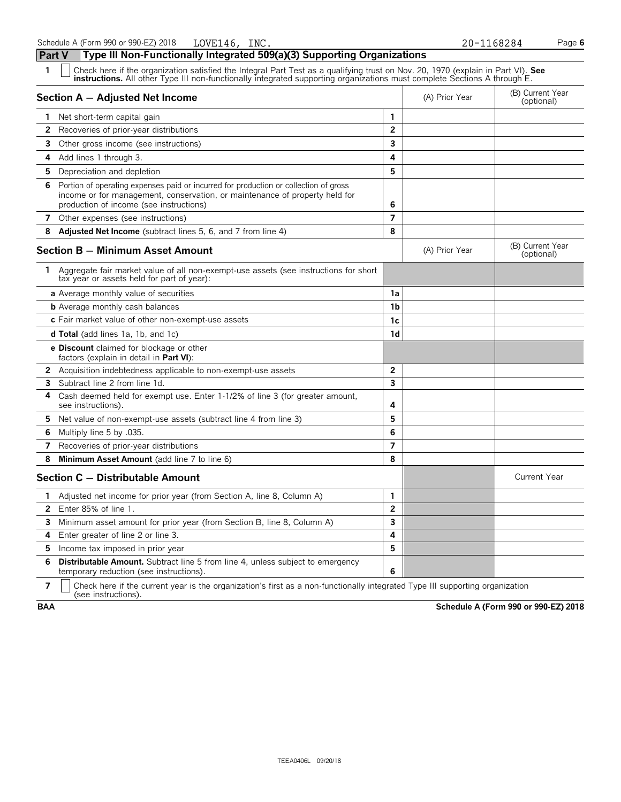**Part V Type III Non-Functionally Integrated 509(a)(3) Supporting Organizations**

| 1<br>Check here if the organization satisfied the Integral Part Test as a qualifying trust on Nov. 20, 1970 (explain in Part VI). See<br><b>instructions.</b> All other Type III non-functionally integrated supporting organizations must complete Sections A through E. |                         |                |                                |
|---------------------------------------------------------------------------------------------------------------------------------------------------------------------------------------------------------------------------------------------------------------------------|-------------------------|----------------|--------------------------------|
| Section A - Adjusted Net Income                                                                                                                                                                                                                                           |                         | (A) Prior Year | (B) Current Year<br>(optional) |
| 1 Net short-term capital gain                                                                                                                                                                                                                                             | 1                       |                |                                |
| <b>2</b> Recoveries of prior-year distributions                                                                                                                                                                                                                           | $\overline{2}$          |                |                                |
| 3<br>Other gross income (see instructions)                                                                                                                                                                                                                                | 3                       |                |                                |
| 4<br>Add lines 1 through 3.                                                                                                                                                                                                                                               | 4                       |                |                                |
| 5<br>Depreciation and depletion                                                                                                                                                                                                                                           | 5                       |                |                                |
| Portion of operating expenses paid or incurred for production or collection of gross<br>6<br>income or for management, conservation, or maintenance of property held for<br>production of income (see instructions)                                                       | 6                       |                |                                |
| 7 Other expenses (see instructions)                                                                                                                                                                                                                                       | $\overline{7}$          |                |                                |
| <b>Adjusted Net Income</b> (subtract lines 5, 6, and 7 from line 4)<br>8                                                                                                                                                                                                  | 8                       |                |                                |
| <b>Section B - Minimum Asset Amount</b>                                                                                                                                                                                                                                   |                         | (A) Prior Year | (B) Current Year<br>(optional) |
| 1 Aggregate fair market value of all non-exempt-use assets (see instructions for short<br>tax year or assets held for part of year):                                                                                                                                      |                         |                |                                |
| <b>a</b> Average monthly value of securities                                                                                                                                                                                                                              | 1a                      |                |                                |
| <b>b</b> Average monthly cash balances                                                                                                                                                                                                                                    | 1b                      |                |                                |
| c Fair market value of other non-exempt-use assets                                                                                                                                                                                                                        | 1c                      |                |                                |
| <b>d Total</b> (add lines 1a, 1b, and 1c)                                                                                                                                                                                                                                 | 1 <sub>d</sub>          |                |                                |
| <b>e Discount</b> claimed for blockage or other<br>factors (explain in detail in <b>Part VI</b> ):                                                                                                                                                                        |                         |                |                                |
| 2<br>Acquisition indebtedness applicable to non-exempt-use assets                                                                                                                                                                                                         | $\overline{2}$          |                |                                |
| Subtract line 2 from line 1d.<br>3                                                                                                                                                                                                                                        | $\overline{\mathbf{3}}$ |                |                                |
| 4<br>Cash deemed held for exempt use. Enter 1-1/2% of line 3 (for greater amount,<br>see instructions).                                                                                                                                                                   | 4                       |                |                                |
| 5<br>Net value of non-exempt-use assets (subtract line 4 from line 3)                                                                                                                                                                                                     | 5                       |                |                                |
| 6<br>Multiply line 5 by .035.                                                                                                                                                                                                                                             | 6                       |                |                                |
| 7<br>Recoveries of prior-year distributions                                                                                                                                                                                                                               | $\overline{7}$          |                |                                |
| 8<br>Minimum Asset Amount (add line 7 to line 6)                                                                                                                                                                                                                          | 8                       |                |                                |
| Section C - Distributable Amount                                                                                                                                                                                                                                          |                         |                | <b>Current Year</b>            |
| Adjusted net income for prior year (from Section A, line 8, Column A)<br>1.                                                                                                                                                                                               | 1                       |                |                                |
| Enter 85% of line 1.<br>$\mathbf{2}$                                                                                                                                                                                                                                      | $\overline{2}$          |                |                                |
| Minimum asset amount for prior year (from Section B, line 8, Column A)<br>3                                                                                                                                                                                               | 3                       |                |                                |
| Enter greater of line 2 or line 3.<br>4                                                                                                                                                                                                                                   | 4                       |                |                                |
| Income tax imposed in prior year<br>5                                                                                                                                                                                                                                     | 5                       |                |                                |
| <b>Distributable Amount.</b> Subtract line 5 from line 4, unless subject to emergency<br>6<br>temporary reduction (see instructions).                                                                                                                                     | 6                       |                |                                |

**7**  $\mid$  Check here if the current year is the organization's first as a non-functionally integrated Type III supporting organization (see instructions).

**BAA Schedule A (Form 990 or 990-EZ) 2018**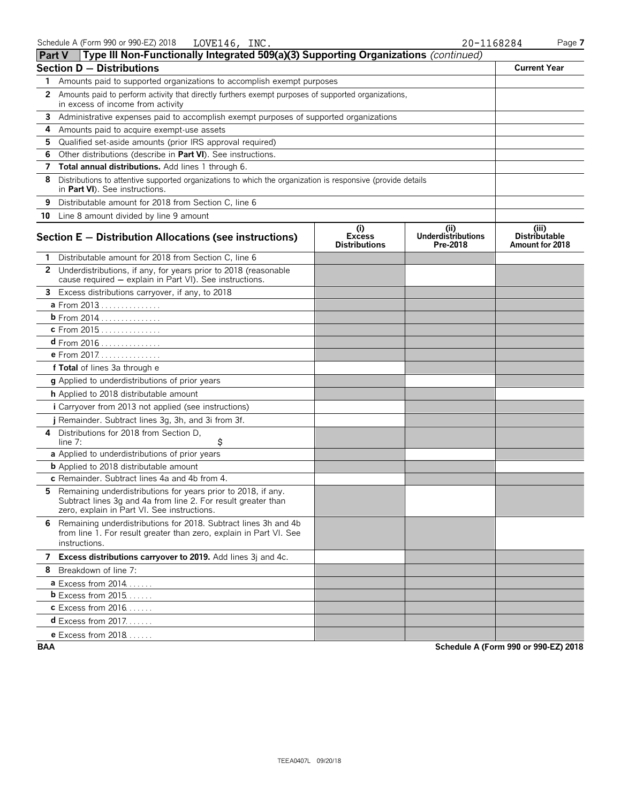| <b>Part V</b> | Type III Non-Functionally Integrated 509(a)(3) Supporting Organizations (continued)                                                                                           |                                              |                                               |                                                  |
|---------------|-------------------------------------------------------------------------------------------------------------------------------------------------------------------------------|----------------------------------------------|-----------------------------------------------|--------------------------------------------------|
|               | <b>Section D - Distributions</b>                                                                                                                                              |                                              |                                               | <b>Current Year</b>                              |
| 1.            | Amounts paid to supported organizations to accomplish exempt purposes                                                                                                         |                                              |                                               |                                                  |
| 2             | Amounts paid to perform activity that directly furthers exempt purposes of supported organizations,<br>in excess of income from activity                                      |                                              |                                               |                                                  |
| 3             | Administrative expenses paid to accomplish exempt purposes of supported organizations                                                                                         |                                              |                                               |                                                  |
| 4             | Amounts paid to acquire exempt-use assets                                                                                                                                     |                                              |                                               |                                                  |
| 5             | Qualified set-aside amounts (prior IRS approval required)                                                                                                                     |                                              |                                               |                                                  |
| 6             | Other distributions (describe in Part VI). See instructions.                                                                                                                  |                                              |                                               |                                                  |
| 7             | Total annual distributions. Add lines 1 through 6.                                                                                                                            |                                              |                                               |                                                  |
| 8             | Distributions to attentive supported organizations to which the organization is responsive (provide details<br>in Part VI). See instructions.                                 |                                              |                                               |                                                  |
| 9             | Distributable amount for 2018 from Section C, line 6                                                                                                                          |                                              |                                               |                                                  |
|               | 10 Line 8 amount divided by line 9 amount                                                                                                                                     |                                              |                                               |                                                  |
|               | Section E - Distribution Allocations (see instructions)                                                                                                                       | (i)<br><b>Excess</b><br><b>Distributions</b> | (ii)<br><b>Underdistributions</b><br>Pre-2018 | (iii)<br><b>Distributable</b><br>Amount for 2018 |
| 1.            | Distributable amount for 2018 from Section C, line 6                                                                                                                          |                                              |                                               |                                                  |
|               | 2 Underdistributions, if any, for years prior to 2018 (reasonable<br>cause required - explain in Part VI). See instructions.                                                  |                                              |                                               |                                                  |
| 3             | Excess distributions carryover, if any, to 2018                                                                                                                               |                                              |                                               |                                                  |
|               | a From 2013                                                                                                                                                                   |                                              |                                               |                                                  |
|               | <b>b</b> From 2014                                                                                                                                                            |                                              |                                               |                                                  |
|               | c From 2015                                                                                                                                                                   |                                              |                                               |                                                  |
|               | $d$ From 2016                                                                                                                                                                 |                                              |                                               |                                                  |
|               | <b>e</b> From 2017.                                                                                                                                                           |                                              |                                               |                                                  |
|               | f Total of lines 3a through e                                                                                                                                                 |                                              |                                               |                                                  |
|               | g Applied to underdistributions of prior years                                                                                                                                |                                              |                                               |                                                  |
|               | h Applied to 2018 distributable amount                                                                                                                                        |                                              |                                               |                                                  |
|               | i Carryover from 2013 not applied (see instructions)                                                                                                                          |                                              |                                               |                                                  |
|               | j Remainder. Subtract lines 3g, 3h, and 3i from 3f.                                                                                                                           |                                              |                                               |                                                  |
| 4             | Distributions for 2018 from Section D.<br>\$<br>line 7:                                                                                                                       |                                              |                                               |                                                  |
|               | a Applied to underdistributions of prior years                                                                                                                                |                                              |                                               |                                                  |
|               | <b>b</b> Applied to 2018 distributable amount                                                                                                                                 |                                              |                                               |                                                  |
|               | c Remainder. Subtract lines 4a and 4b from 4.                                                                                                                                 |                                              |                                               |                                                  |
| 5.            | Remaining underdistributions for years prior to 2018, if any.<br>Subtract lines 3g and 4a from line 2. For result greater than<br>zero, explain in Part VI. See instructions. |                                              |                                               |                                                  |
| 6.            | Remaining underdistributions for 2018. Subtract lines 3h and 4b<br>from line 1. For result greater than zero, explain in Part VI. See<br>instructions.                        |                                              |                                               |                                                  |
|               | 7 Excess distributions carryover to 2019. Add lines 3j and 4c.                                                                                                                |                                              |                                               |                                                  |
|               | 8 Breakdown of line 7:                                                                                                                                                        |                                              |                                               |                                                  |
|               | $a$ Excess from 2014.                                                                                                                                                         |                                              |                                               |                                                  |
|               | $b$ Excess from 2015                                                                                                                                                          |                                              |                                               |                                                  |
|               | <b>c</b> Excess from 2016                                                                                                                                                     |                                              |                                               |                                                  |
|               | $d$ Excess from 2017.                                                                                                                                                         |                                              |                                               |                                                  |
|               | e Excess from 2018                                                                                                                                                            |                                              |                                               |                                                  |

**BAA Schedule A (Form 990 or 990-EZ) 2018**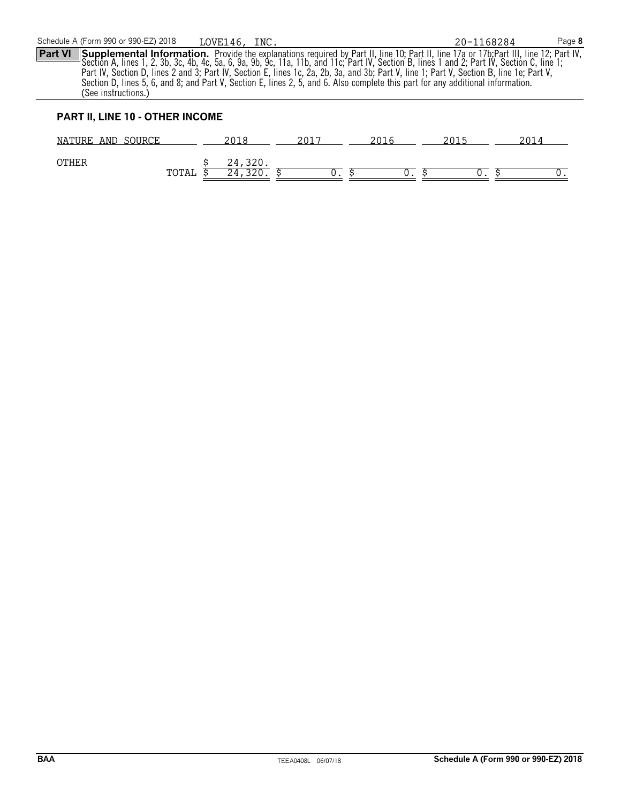**Part VI** Supplemental Information. Provide the explanations required by Part II, line 10; Part II, line 17a or 17b; Part III, line 12; Part IV, Section A, lines 1, 2, 3b, 3c, 4b, 4c, 5a, 6, 9a, 9b, 9c, 11a, 11b, and 11c; Part IV, Section B, lines 1 and 2; Part IV, Section C, line 1; Part IV, Section D, lines 2 and 3; Part IV, Section E, lines 1c, 2a, 2b, 3a, and 3b; Part V, line 1; Part V, Section B, line 1e; Part V, Section D, lines 5, 6, and 8; and Part V, Section E, lines 2, 5, and 6. Also complete this part for any additional information. (See instructions.) LOVE146, INC. 20-1168284

# **PART II, LINE 10 - OTHER INCOME**

| 30URCE<br>AND<br>NATURE |              | າດ10<br>2 U 1 U | $201^-$ | 201 | 2015 | つの1 |
|-------------------------|--------------|-----------------|---------|-----|------|-----|
| <b>OTHER</b>            | ጥ ለጥ አ<br>⊥പ | 24<br>-940<br>4 |         |     |      |     |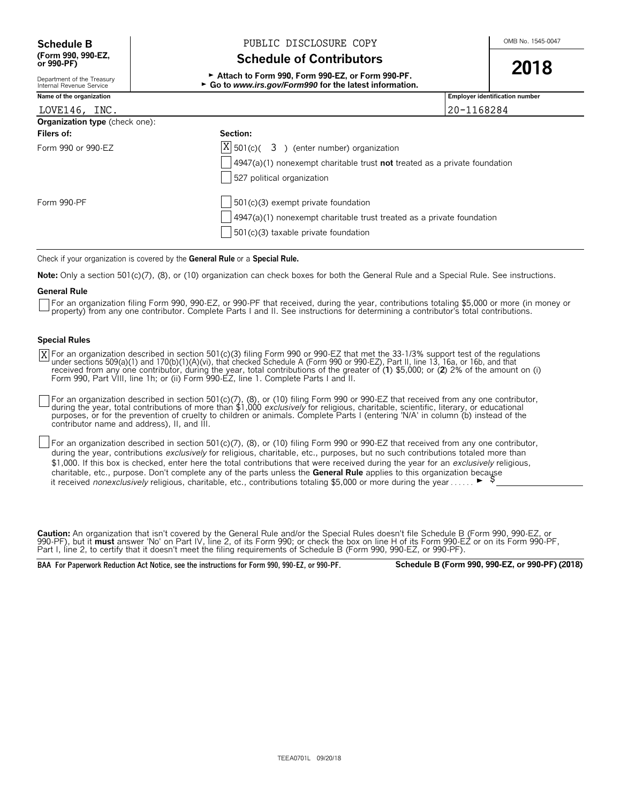# **(Form 990, 990-EZ,**

**Schedule B**  $\bigcup_{\text{OMB No. 1545-0047}}$  PUBLIC DISCLOSURE COPY

# **Schedule of Contributors**

<sup>G</sup>**Attach to Form 990, Form 990-EZ, or Form 990-PF. 2018** ▶ Go to *www.irs.gov/Form990* for the latest information.

|  | OMB No. 1545-0047 |
|--|-------------------|
|  |                   |

| Department of the Treasury<br>Internal Revenue Service | $\blacktriangleright$ Attach to Form 990, Form 990-EZ, or Form 990-PF.<br>► Go to www.irs.gov/Form990 for the latest information. |            |                                       |
|--------------------------------------------------------|-----------------------------------------------------------------------------------------------------------------------------------|------------|---------------------------------------|
| Name of the organization                               |                                                                                                                                   |            | <b>Employer identification number</b> |
| LOVE146, INC.                                          |                                                                                                                                   | 20-1168284 |                                       |
| <b>Organization type</b> (check one):                  |                                                                                                                                   |            |                                       |
| Filers of:                                             | Section:                                                                                                                          |            |                                       |
| Form 990 or 990-EZ                                     | $\boxed{X}$ 501(c)( 3) (enter number) organization                                                                                |            |                                       |
|                                                        | $\vert$ 4947(a)(1) nonexempt charitable trust <b>not</b> treated as a private foundation<br>527 political organization            |            |                                       |
| Form 990-PF                                            | $\frac{1}{2}$ 501(c)(3) exempt private foundation                                                                                 |            |                                       |
|                                                        | $\vert$ 4947(a)(1) nonexempt charitable trust treated as a private foundation                                                     |            |                                       |
|                                                        | 501(c)(3) taxable private foundation                                                                                              |            |                                       |

Check if your organization is covered by the **General Rule** or a **Special Rule.**

**Note:** Only a section 501(c)(7), (8), or (10) organization can check boxes for both the General Rule and a Special Rule. See instructions.

## **General Rule**

For an organization filing Form 990, 990-EZ, or 990-PF that received, during the year, contributions totaling \$5,000 or more (in money or property) from any one contributor. Complete Parts I and II. See instructions for determining a contributor's total contributions.

# **Special Rules**

For an organization described in section 501(c)(3) filing Form 990 or 990-EZ that met the 33-1/3% support test of the regulations<br>under sections 509(a)(1) and 170(b)(1)(A)(vi), that checked Schedule A (Form 990 or 990-EZ), Form 990, Part VIII, line 1h; or (ii) Form 990-EZ, line 1. Complete Parts I and II. X

For an organization described in section 501(c)(7), (8), or (10) filing Form 990 or 990-EZ that received from any one contributor, during the year, total contributions of more than \$1,000 *exclusively* for religious, charitable, scientific, literary, or educational<br>purposes, or for the prevention of cruelty to children or animals. Complete Parts I (en contributor name and address), II, and III.

For an organization described in section 501(c)(7), (8), or (10) filing Form 990 or 990-EZ that received from any one contributor, during the year, contributions *exclusively* for religious, charitable, etc., purposes, but no such contributions totaled more than \$1,000. If this box is checked, enter here the total contributions that were received during the year for an *exclusively* religious, charitable, etc., purpose. Don't complete any of the parts unless the **General Rule** applies to this organization because it received *nonexclusively* religious, charitable, etc., contributions totaling \$5,000 or more during the year . . . . . .  $\blacktriangleright$ 

**Caution:** An organization that isn't covered by the General Rule and/or the Special Rules doesn't file Schedule B (Form 990, 990-EZ, or 990-PF), but it **must** answer 'No' on Part IV, line 2, of its Form 990; or check the box on line H of its Form 990-EZ or on its Form 990-PF, Part I, line 2, to certify that it doesn't meet the filing requirements of Schedule B (Form 990, 990-EZ, or 990-PF).

**BAA For Paperwork Reduction Act Notice, see the instructions for Form 990, 990-EZ, or 990-PF. Schedule B (Form 990, 990-EZ, or 990-PF) (2018)**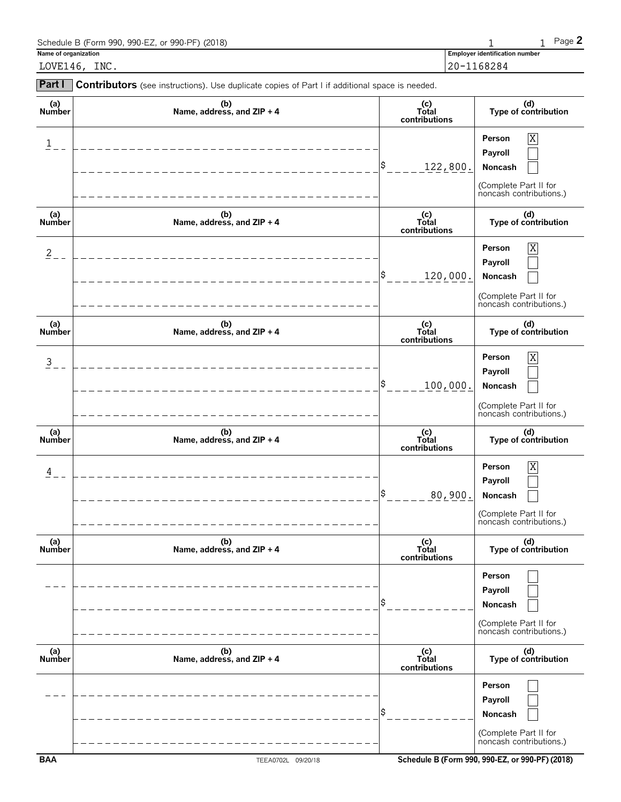| Schedule B (Form 990, 990-EZ, or 990-PF) (2018) |                                       | $P$ ade $\blacktriangle$ |
|-------------------------------------------------|---------------------------------------|--------------------------|
| Name of organization                            | <b>Employer identification number</b> |                          |
| INC.<br>LOVE146,                                | 20-1168284                            |                          |
|                                                 |                                       |                          |

| Part I                  | Contributors (see instructions). Use duplicate copies of Part I if additional space is needed. |                                 |                                                                                                    |
|-------------------------|------------------------------------------------------------------------------------------------|---------------------------------|----------------------------------------------------------------------------------------------------|
| (a)<br>Number           | (b)<br>Name, address, and $ZIP + 4$                                                            | (c)<br>Total<br>contributions   | (d)<br>Type of contribution                                                                        |
| $\overline{\mathbf{1}}$ |                                                                                                | Ş<br>122,800.                   | X<br>Person<br>Payroll<br>Noncash<br>(Complete Part II for<br>noncash contributions.)              |
| (a)<br>Number           | (b)<br>Name, address, and ZIP + 4                                                              | $(c)$<br>Total<br>contributions | (d)<br>Type of contribution                                                                        |
| $\overline{2}$          |                                                                                                | S<br>120,000.                   | $\overline{X}$<br>Person<br>Payroll<br>Noncash<br>(Complete Part II for<br>noncash contributions.) |
| (a)<br>Number           | (b)<br>Name, address, and ZIP + 4                                                              | (c)<br>Total<br>contributions   | (d)<br>Type of contribution                                                                        |
| $\overline{3}$          |                                                                                                | S<br>100,000.                   | X<br>Person<br>Payroll<br>Noncash<br>(Complete Part II for<br>noncash contributions.)              |
| (a)<br>Number           | (b)<br>Name, address, and ZIP + 4                                                              | (c)<br>Total<br>contributions   | (d)<br>Type of contribution                                                                        |
| 4                       |                                                                                                | \$<br>80,900.                   | X<br>Person<br>Payroll<br>Noncash<br>(Complete Part II for<br>noncash contributions.)              |
| (a)<br><b>Number</b>    | (b)<br>Name, address, and ZIP + 4                                                              | (c)<br>Total<br>contributions   | (d)<br>Type of contribution                                                                        |
|                         |                                                                                                |                                 | Person<br>Payroll<br>Noncash<br>(Complete Part II for<br>noncash contributions.)                   |
| (a)<br>Number           | (b)<br>Name, address, and ZIP + 4                                                              | (c)<br>Total<br>contributions   | (d)<br>Type of contribution                                                                        |
|                         |                                                                                                |                                 | Person<br>Payroll<br>Noncash<br>(Complete Part II for<br>noncash contributions.)                   |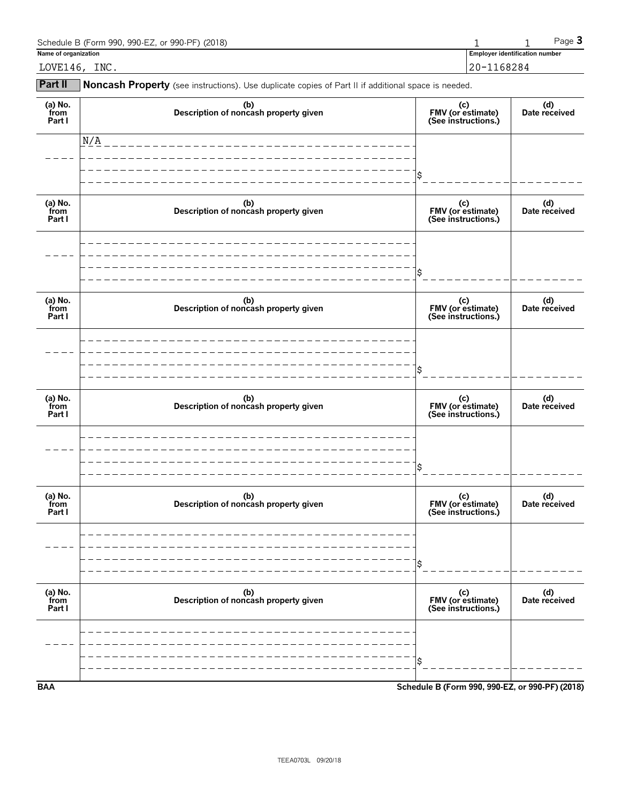| Schedule B (Form 990, 990-EZ, or 990-PF) (2018) |                                       |        | $P$ aqe $\mathbf{\dot{5}}$ |
|-------------------------------------------------|---------------------------------------|--------|----------------------------|
| Name of organization                            | <b>Employer identification number</b> |        |                            |
| INC.<br>LOVE146,                                | $20 - 1$                              | 168284 |                            |

**Part II** Noncash Property (see instructions). Use duplicate copies of Part II if additional space is needed.

| (a) No.<br>from<br>Part I | (b)<br>Description of noncash property given | (c)<br>FMV (or estimate)<br>(See instructions.) | (d)<br>Date received |
|---------------------------|----------------------------------------------|-------------------------------------------------|----------------------|
|                           | N/A                                          |                                                 |                      |
|                           |                                              | \$                                              |                      |
| (a) No.<br>from<br>Part I | (b)<br>Description of noncash property given | (c)<br>FMV (or estimate)<br>(See instructions.) | (d)<br>Date received |
|                           |                                              |                                                 |                      |
|                           |                                              | \$                                              |                      |
| (a) No.<br>from<br>Part I | (b)<br>Description of noncash property given | (c)<br>FMV (or estimate)<br>(See instructions.) | (d)<br>Date received |
|                           |                                              |                                                 |                      |
|                           |                                              | \$                                              |                      |
| (a) No.<br>from<br>Part I | (b)<br>Description of noncash property given | (c)<br>FMV (or estimate)<br>(See instructions.) | (d)<br>Date received |
|                           |                                              |                                                 |                      |
|                           |                                              | \$                                              |                      |
| (a) No.<br>from<br>Part I | (b)<br>Description of noncash property given | (c)<br>FMV (or estimate)<br>(See instructions.) | (d)<br>Date received |
|                           |                                              |                                                 |                      |
|                           |                                              | \$                                              |                      |
| (a) No.<br>from<br>Part I | (b)<br>Description of noncash property given | (c)<br>FMV (or estimate)<br>(See instructions.) | (d)<br>Date received |
|                           |                                              |                                                 |                      |
|                           |                                              | Ŝ                                               |                      |
| <b>BAA</b>                |                                              | Schedule B (Form 990, 990-EZ, or 990-PF) (2018) |                      |

TEEA0703L 09/20/18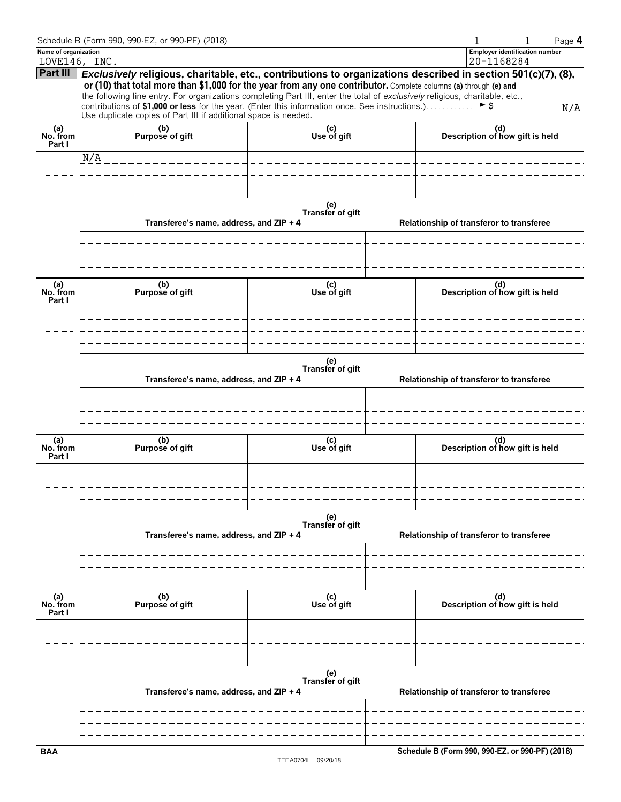|                                       | Schedule B (Form 990, 990-EZ, or 990-PF) (2018)                                                                                                                                                                                                                                                                                                                                                                                                                                                                                                            |                         |                                          | Page 4<br>1                                         |  |  |
|---------------------------------------|------------------------------------------------------------------------------------------------------------------------------------------------------------------------------------------------------------------------------------------------------------------------------------------------------------------------------------------------------------------------------------------------------------------------------------------------------------------------------------------------------------------------------------------------------------|-------------------------|------------------------------------------|-----------------------------------------------------|--|--|
| Name of organization<br>LOVE146, INC. |                                                                                                                                                                                                                                                                                                                                                                                                                                                                                                                                                            |                         |                                          | <b>Employer identification number</b><br>20-1168284 |  |  |
| Part III                              | Exclusively religious, charitable, etc., contributions to organizations described in section 501(c)(7), (8),<br>or (10) that total more than \$1,000 for the year from any one contributor. Complete columns (a) through (e) and<br>the following line entry. For organizations completing Part III, enter the total of exclusively religious, charitable, etc.,<br>contributions of \$1,000 or less for the year. (Enter this information once. See instructions.) $\triangleright$ \$<br>Use duplicate copies of Part III if additional space is needed. |                         |                                          |                                                     |  |  |
| (a)<br>No. from<br>Part I             | (b)<br>Purpose of gift                                                                                                                                                                                                                                                                                                                                                                                                                                                                                                                                     | (c)<br>Use of gift      |                                          | (d)<br>Description of how gift is held              |  |  |
|                                       | N/A                                                                                                                                                                                                                                                                                                                                                                                                                                                                                                                                                        |                         |                                          |                                                     |  |  |
|                                       |                                                                                                                                                                                                                                                                                                                                                                                                                                                                                                                                                            |                         |                                          |                                                     |  |  |
|                                       | Transferee's name, address, and ZIP + 4                                                                                                                                                                                                                                                                                                                                                                                                                                                                                                                    | (e)<br>Transfer of gift |                                          | Relationship of transferor to transferee            |  |  |
| (a)<br>No. from<br>Part I             | (b)<br>Purpose of gift                                                                                                                                                                                                                                                                                                                                                                                                                                                                                                                                     | (c)<br>Use of gift      |                                          | (d)<br>Description of how gift is held              |  |  |
|                                       | (e)<br>Transfer of gift                                                                                                                                                                                                                                                                                                                                                                                                                                                                                                                                    |                         |                                          |                                                     |  |  |
|                                       | Transferee's name, address, and ZIP + 4                                                                                                                                                                                                                                                                                                                                                                                                                                                                                                                    |                         | Relationship of transferor to transferee |                                                     |  |  |
|                                       | (b)                                                                                                                                                                                                                                                                                                                                                                                                                                                                                                                                                        |                         |                                          |                                                     |  |  |
| (a)<br>No. from<br>Part I             | Purpose of gift                                                                                                                                                                                                                                                                                                                                                                                                                                                                                                                                            | (c)<br>Use of gift      |                                          | (d)<br>Description of how gift is held              |  |  |
|                                       |                                                                                                                                                                                                                                                                                                                                                                                                                                                                                                                                                            | (e)<br>Transfer of gift |                                          |                                                     |  |  |
|                                       | Transferee's name, address, and ZIP + 4                                                                                                                                                                                                                                                                                                                                                                                                                                                                                                                    |                         |                                          | Relationship of transferor to transferee            |  |  |
|                                       |                                                                                                                                                                                                                                                                                                                                                                                                                                                                                                                                                            |                         |                                          |                                                     |  |  |
| (a)<br>No. from<br>Part I             | (b)<br>Purpose of gift                                                                                                                                                                                                                                                                                                                                                                                                                                                                                                                                     | (c)<br>Use of gift      |                                          | (d)<br>Description of how gift is held              |  |  |
|                                       |                                                                                                                                                                                                                                                                                                                                                                                                                                                                                                                                                            |                         |                                          |                                                     |  |  |
|                                       | Transferee's name, address, and ZIP + 4                                                                                                                                                                                                                                                                                                                                                                                                                                                                                                                    | (e)<br>Transfer of gift | Relationship of transferor to transferee |                                                     |  |  |
|                                       |                                                                                                                                                                                                                                                                                                                                                                                                                                                                                                                                                            |                         |                                          |                                                     |  |  |
| <b>BAA</b>                            |                                                                                                                                                                                                                                                                                                                                                                                                                                                                                                                                                            |                         |                                          | Schedule B (Form 990, 990-EZ, or 990-PF) (2018)     |  |  |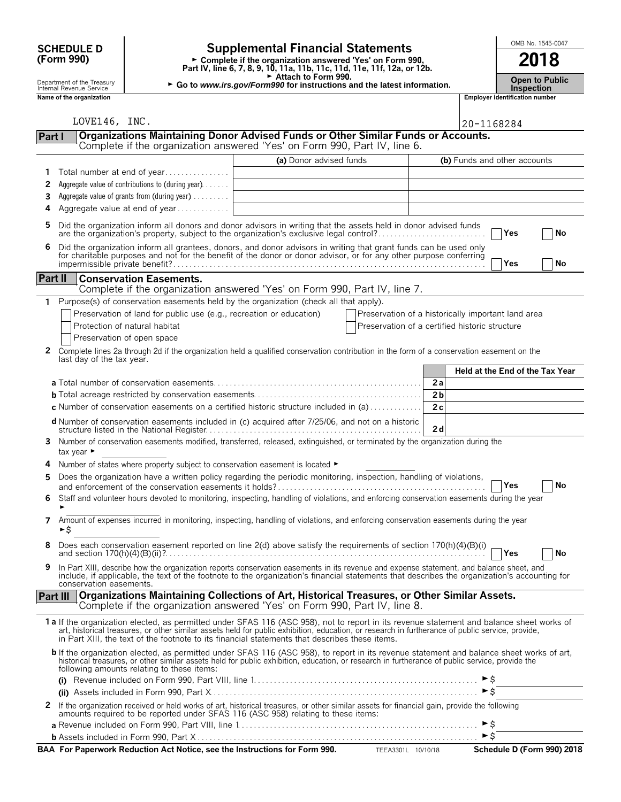| <b>Supplemental Financial Statements</b><br><b>SCHEDULE D</b> |                                                        |                                                                               |                                                                                                                                                                                                                                                                                                                                                                                                | OMB No. 1545-0047 |                              |                                       |                                 |  |
|---------------------------------------------------------------|--------------------------------------------------------|-------------------------------------------------------------------------------|------------------------------------------------------------------------------------------------------------------------------------------------------------------------------------------------------------------------------------------------------------------------------------------------------------------------------------------------------------------------------------------------|-------------------|------------------------------|---------------------------------------|---------------------------------|--|
|                                                               | (Form 990)                                             |                                                                               | ► Complete if the organization answered 'Yes' on Form 990,<br>Part IV, line 6, 7, 8, 9, 10, 11a, 11b, 11c, 11d, 11e, 11f, 12a, or 12b.                                                                                                                                                                                                                                                         |                   |                              | 2018                                  |                                 |  |
|                                                               | Department of the Treasury<br>Internal Revenue Service |                                                                               | Attach to Form 990.<br>► Go to www.irs.gov/Form990 for instructions and the latest information.                                                                                                                                                                                                                                                                                                |                   |                              | <b>Inspection</b>                     | <b>Open to Public</b>           |  |
|                                                               | Name of the organization                               |                                                                               |                                                                                                                                                                                                                                                                                                                                                                                                |                   |                              | <b>Employer identification number</b> |                                 |  |
|                                                               | LOVE146, INC.                                          |                                                                               |                                                                                                                                                                                                                                                                                                                                                                                                |                   | 20-1168284                   |                                       |                                 |  |
| Part I                                                        |                                                        |                                                                               | Organizations Maintaining Donor Advised Funds or Other Similar Funds or Accounts.<br>Complete if the organization answered 'Yes' on Form 990, Part IV, line 6.                                                                                                                                                                                                                                 |                   |                              |                                       |                                 |  |
|                                                               |                                                        |                                                                               | (a) Donor advised funds                                                                                                                                                                                                                                                                                                                                                                        |                   |                              |                                       |                                 |  |
|                                                               |                                                        | Total number at end of year                                                   |                                                                                                                                                                                                                                                                                                                                                                                                |                   | (b) Funds and other accounts |                                       |                                 |  |
| 2                                                             |                                                        | Aggregate value of contributions to (during year).                            |                                                                                                                                                                                                                                                                                                                                                                                                |                   |                              |                                       |                                 |  |
| 3                                                             |                                                        | Aggregate value of grants from (during year)                                  |                                                                                                                                                                                                                                                                                                                                                                                                |                   |                              |                                       |                                 |  |
| 4                                                             |                                                        | Aggregate value at end of year                                                |                                                                                                                                                                                                                                                                                                                                                                                                |                   |                              |                                       |                                 |  |
| 5                                                             |                                                        |                                                                               | Did the organization inform all donors and donor advisors in writing that the assets held in donor advised funds<br>are the organization's property, subject to the organization's exclusive legal control?                                                                                                                                                                                    |                   |                              | Yes                                   | No                              |  |
| 6                                                             |                                                        |                                                                               | Did the organization inform all grantees, donors, and donor advisors in writing that grant funds can be used only                                                                                                                                                                                                                                                                              |                   |                              |                                       |                                 |  |
|                                                               |                                                        |                                                                               | for charitable purposes and not for the benefit of the donor or donor advisor, or for any other purpose conferring                                                                                                                                                                                                                                                                             |                   |                              | Yes                                   | No                              |  |
| <b>Part II</b>                                                |                                                        | <b>Conservation Easements.</b>                                                | Complete if the organization answered 'Yes' on Form 990, Part IV, line 7.                                                                                                                                                                                                                                                                                                                      |                   |                              |                                       |                                 |  |
|                                                               |                                                        |                                                                               | Purpose(s) of conservation easements held by the organization (check all that apply).                                                                                                                                                                                                                                                                                                          |                   |                              |                                       |                                 |  |
|                                                               |                                                        | Preservation of land for public use (e.g., recreation or education)           | Preservation of a historically important land area                                                                                                                                                                                                                                                                                                                                             |                   |                              |                                       |                                 |  |
|                                                               |                                                        | Protection of natural habitat                                                 | Preservation of a certified historic structure                                                                                                                                                                                                                                                                                                                                                 |                   |                              |                                       |                                 |  |
|                                                               |                                                        | Preservation of open space                                                    |                                                                                                                                                                                                                                                                                                                                                                                                |                   |                              |                                       |                                 |  |
| 2                                                             |                                                        |                                                                               | Complete lines 2a through 2d if the organization held a qualified conservation contribution in the form of a conservation easement on the                                                                                                                                                                                                                                                      |                   |                              |                                       |                                 |  |
|                                                               | last day of the tax year.                              |                                                                               |                                                                                                                                                                                                                                                                                                                                                                                                |                   |                              |                                       |                                 |  |
|                                                               |                                                        |                                                                               |                                                                                                                                                                                                                                                                                                                                                                                                |                   |                              |                                       | Held at the End of the Tax Year |  |
|                                                               |                                                        |                                                                               |                                                                                                                                                                                                                                                                                                                                                                                                | 2a                |                              |                                       |                                 |  |
|                                                               |                                                        |                                                                               |                                                                                                                                                                                                                                                                                                                                                                                                | 2 <sub>b</sub>    |                              |                                       |                                 |  |
|                                                               |                                                        |                                                                               | <b>c</b> Number of conservation easements on a certified historic structure included in (a) $\dots$                                                                                                                                                                                                                                                                                            | 2c                |                              |                                       |                                 |  |
|                                                               |                                                        |                                                                               | <b>d</b> Number of conservation easements included in (c) acquired after 7/25/06, and not on a historic                                                                                                                                                                                                                                                                                        | 2 d               |                              |                                       |                                 |  |
| 3.                                                            | tax year ►                                             |                                                                               | Number of conservation easements modified, transferred, released, extinguished, or terminated by the organization during the                                                                                                                                                                                                                                                                   |                   |                              |                                       |                                 |  |
|                                                               |                                                        | Number of states where property subject to conservation easement is located ► |                                                                                                                                                                                                                                                                                                                                                                                                |                   |                              |                                       |                                 |  |
| 5                                                             |                                                        |                                                                               | Does the organization have a written policy regarding the periodic monitoring, inspection, handling of violations,                                                                                                                                                                                                                                                                             |                   |                              | Yes                                   | No                              |  |
| 6                                                             |                                                        |                                                                               | Staff and volunteer hours devoted to monitoring, inspecting, handling of violations, and enforcing conservation easements during the year                                                                                                                                                                                                                                                      |                   |                              |                                       |                                 |  |
| 7                                                             | ►\$                                                    |                                                                               | Amount of expenses incurred in monitoring, inspecting, handling of violations, and enforcing conservation easements during the year                                                                                                                                                                                                                                                            |                   |                              |                                       |                                 |  |
| 8                                                             |                                                        |                                                                               | Does each conservation easement reported on line 2(d) above satisfy the requirements of section 170(h)(4)(B)(i) $\overline{f}$                                                                                                                                                                                                                                                                 |                   |                              | $\Box$ Yes                            | No                              |  |
| 9                                                             | conservation easements.                                |                                                                               | In Part XIII, describe how the organization reports conservation easements in its revenue and expense statement, and balance sheet, and<br>include, if applicable, the text of the footnote to the organization's financial statements that describes the organization's accounting for                                                                                                        |                   |                              |                                       |                                 |  |
| <b>Part III</b>                                               |                                                        |                                                                               | Organizations Maintaining Collections of Art, Historical Treasures, or Other Similar Assets.<br>Complete if the organization answered 'Yes' on Form 990, Part IV, line 8.                                                                                                                                                                                                                      |                   |                              |                                       |                                 |  |
|                                                               |                                                        |                                                                               | 1a If the organization elected, as permitted under SFAS 116 (ASC 958), not to report in its revenue statement and balance sheet works of<br>art, historical treasures, or other similar assets held for public exhibition, education, or research in furtherance of public service, provide,<br>in Part XIII, the text of the footnote to its financial statements that describes these items. |                   |                              |                                       |                                 |  |
|                                                               |                                                        | following amounts relating to these items:                                    | <b>b</b> If the organization elected, as permitted under SFAS 116 (ASC 958), to report in its revenue statement and balance sheet works of art,<br>historical treasures, or other similar assets held for public exhibition, education, or research in furtherance of public service, provide the                                                                                              |                   |                              |                                       |                                 |  |
|                                                               |                                                        |                                                                               |                                                                                                                                                                                                                                                                                                                                                                                                |                   | $\triangleright$ \$          |                                       |                                 |  |
|                                                               |                                                        |                                                                               |                                                                                                                                                                                                                                                                                                                                                                                                |                   |                              |                                       |                                 |  |
| 2                                                             |                                                        |                                                                               | If the organization received or held works of art, historical treasures, or other similar assets for financial gain, provide the following<br>amounts required to be reported under SFAS 116 (ASC 958) relating to these items:                                                                                                                                                                |                   |                              |                                       |                                 |  |
|                                                               |                                                        |                                                                               |                                                                                                                                                                                                                                                                                                                                                                                                |                   |                              |                                       |                                 |  |

|  | TEEA3301L 10/10/18 | Schedule D (Form 990) 2018 |
|--|--------------------|----------------------------|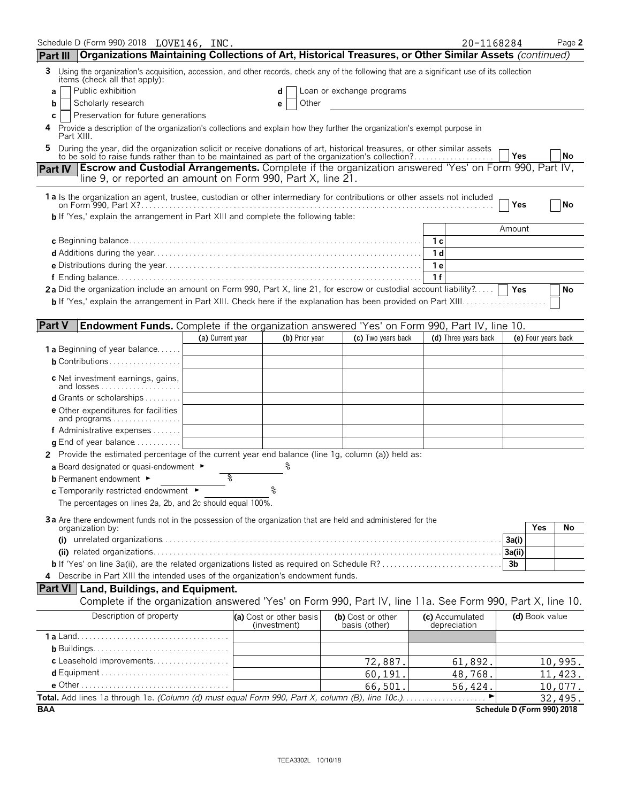| Organizations Maintaining Collections of Art, Historical Treasures, or Other Similar Assets (continued)<br>Using the organization's acquisition, accession, and other records, check any of the following that are a significant use of its collection<br>3<br>items (check all that apply):<br>Public exhibition<br>Loan or exchange programs<br>d<br>а<br>Scholarly research<br>Other<br>b<br>е<br>Preservation for future generations<br>c<br>4 Provide a description of the organization's collections and explain how they further the organization's exempt purpose in<br>Part XIII.<br>During the year, did the organization solicit or receive donations of art, historical treasures, or other similar assets to be sold to raise funds rather than to be maintained as part of the organization's collection?<br>5<br>Yes<br>No<br>Part IV Escrow and Custodial Arrangements. Complete if the organization answered 'Yes' on Form 990, Part IV,<br>line 9, or reported an amount on Form 990, Part X, line 21.<br>1 a Is the organization an agent, trustee, custodian or other intermediary for contributions or other assets not included<br><b>No</b><br>Yes<br><b>b</b> If 'Yes,' explain the arrangement in Part XIII and complete the following table:<br>Amount<br>1с<br>1 d<br>1e<br>1f<br>2a Did the organization include an amount on Form 990, Part X, line 21, for escrow or custodial account liability?<br>Yes<br>No<br><b>Part V</b><br>Endowment Funds. Complete if the organization answered 'Yes' on Form 990, Part IV, line 10.<br>(a) Current year<br>(b) Prior year<br>(c) Two years back<br>(d) Three years back<br>(e) Four years back<br><b>1 a</b> Beginning of year balance<br><b>b</b> Contributions<br><b>c</b> Net investment earnings, gains,<br>and losses<br><b>d</b> Grants or scholarships $\ldots \ldots \ldots$<br><b>e</b> Other expenditures for facilities<br>and programs 1<br>f Administrative expenses $\ldots$<br><b>g</b> End of year balance<br>2 Provide the estimated percentage of the current year end balance (line 1g, column (a)) held as:<br>a Board designated or quasi-endowment $\blacktriangleright$<br>နွ<br><b>b</b> Permanent endowment ►<br>c Temporarily restricted endowment ►<br>The percentages on lines 2a, 2b, and 2c should equal 100%.<br>3a Are there endowment funds not in the possession of the organization that are held and administered for the<br>Yes<br>No<br>organization by:<br>(i)<br>3a(i)<br>3a(ii)<br><b>b</b> If 'Yes' on line 3a(ii), are the related organizations listed as required on Schedule R?<br>3 <sub>b</sub><br>Describe in Part XIII the intended uses of the organization's endowment funds.<br><b>Part VI</b> Land, Buildings, and Equipment.<br>Complete if the organization answered 'Yes' on Form 990, Part IV, line 11a. See Form 990, Part X, line 10.<br>Description of property<br>(d) Book value<br>(a) Cost or other basis<br>(b) Cost or other<br>(c) Accumulated<br>(investment)<br>basis (other)<br>depreciation<br>c Leasehold improvements<br>72,887.<br>61,892.<br>10,995.<br>11,423.<br>60, 191.<br>48,768.<br>66,501.<br>56,424.<br>10,077.<br>Total. Add lines 1a through 1e. (Column (d) must equal Form 990, Part X, column (B), line 10c.)<br>32,495.<br>Schedule D (Form 990) 2018<br><b>BAA</b> | Schedule D (Form 990) 2018 LOVE146, INC.<br>Part III |  |  |  | 20-1168284 |  | Page 2 |
|---------------------------------------------------------------------------------------------------------------------------------------------------------------------------------------------------------------------------------------------------------------------------------------------------------------------------------------------------------------------------------------------------------------------------------------------------------------------------------------------------------------------------------------------------------------------------------------------------------------------------------------------------------------------------------------------------------------------------------------------------------------------------------------------------------------------------------------------------------------------------------------------------------------------------------------------------------------------------------------------------------------------------------------------------------------------------------------------------------------------------------------------------------------------------------------------------------------------------------------------------------------------------------------------------------------------------------------------------------------------------------------------------------------------------------------------------------------------------------------------------------------------------------------------------------------------------------------------------------------------------------------------------------------------------------------------------------------------------------------------------------------------------------------------------------------------------------------------------------------------------------------------------------------------------------------------------------------------------------------------------------------------------------------------------------------------------------------------------------------------------------------------------------------------------------------------------------------------------------------------------------------------------------------------------------------------------------------------------------------------------------------------------------------------------------------------------------------------------------------------------------------------------------------------------------------------------------------------------------------------------------------------------------------------------------------------------------------------------------------------------------------------------------------------------------------------------------------------------------------------------------------------------------------------------------------------------------------------------------------------------------------------------------------------------------------------------------------------------------------------------------------------------------------------------------------------------------------------------------------------------------------------------------------------------------------------------------------|------------------------------------------------------|--|--|--|------------|--|--------|
|                                                                                                                                                                                                                                                                                                                                                                                                                                                                                                                                                                                                                                                                                                                                                                                                                                                                                                                                                                                                                                                                                                                                                                                                                                                                                                                                                                                                                                                                                                                                                                                                                                                                                                                                                                                                                                                                                                                                                                                                                                                                                                                                                                                                                                                                                                                                                                                                                                                                                                                                                                                                                                                                                                                                                                                                                                                                                                                                                                                                                                                                                                                                                                                                                                                                                                                                       |                                                      |  |  |  |            |  |        |
|                                                                                                                                                                                                                                                                                                                                                                                                                                                                                                                                                                                                                                                                                                                                                                                                                                                                                                                                                                                                                                                                                                                                                                                                                                                                                                                                                                                                                                                                                                                                                                                                                                                                                                                                                                                                                                                                                                                                                                                                                                                                                                                                                                                                                                                                                                                                                                                                                                                                                                                                                                                                                                                                                                                                                                                                                                                                                                                                                                                                                                                                                                                                                                                                                                                                                                                                       |                                                      |  |  |  |            |  |        |
|                                                                                                                                                                                                                                                                                                                                                                                                                                                                                                                                                                                                                                                                                                                                                                                                                                                                                                                                                                                                                                                                                                                                                                                                                                                                                                                                                                                                                                                                                                                                                                                                                                                                                                                                                                                                                                                                                                                                                                                                                                                                                                                                                                                                                                                                                                                                                                                                                                                                                                                                                                                                                                                                                                                                                                                                                                                                                                                                                                                                                                                                                                                                                                                                                                                                                                                                       |                                                      |  |  |  |            |  |        |
|                                                                                                                                                                                                                                                                                                                                                                                                                                                                                                                                                                                                                                                                                                                                                                                                                                                                                                                                                                                                                                                                                                                                                                                                                                                                                                                                                                                                                                                                                                                                                                                                                                                                                                                                                                                                                                                                                                                                                                                                                                                                                                                                                                                                                                                                                                                                                                                                                                                                                                                                                                                                                                                                                                                                                                                                                                                                                                                                                                                                                                                                                                                                                                                                                                                                                                                                       |                                                      |  |  |  |            |  |        |
|                                                                                                                                                                                                                                                                                                                                                                                                                                                                                                                                                                                                                                                                                                                                                                                                                                                                                                                                                                                                                                                                                                                                                                                                                                                                                                                                                                                                                                                                                                                                                                                                                                                                                                                                                                                                                                                                                                                                                                                                                                                                                                                                                                                                                                                                                                                                                                                                                                                                                                                                                                                                                                                                                                                                                                                                                                                                                                                                                                                                                                                                                                                                                                                                                                                                                                                                       |                                                      |  |  |  |            |  |        |
|                                                                                                                                                                                                                                                                                                                                                                                                                                                                                                                                                                                                                                                                                                                                                                                                                                                                                                                                                                                                                                                                                                                                                                                                                                                                                                                                                                                                                                                                                                                                                                                                                                                                                                                                                                                                                                                                                                                                                                                                                                                                                                                                                                                                                                                                                                                                                                                                                                                                                                                                                                                                                                                                                                                                                                                                                                                                                                                                                                                                                                                                                                                                                                                                                                                                                                                                       |                                                      |  |  |  |            |  |        |
|                                                                                                                                                                                                                                                                                                                                                                                                                                                                                                                                                                                                                                                                                                                                                                                                                                                                                                                                                                                                                                                                                                                                                                                                                                                                                                                                                                                                                                                                                                                                                                                                                                                                                                                                                                                                                                                                                                                                                                                                                                                                                                                                                                                                                                                                                                                                                                                                                                                                                                                                                                                                                                                                                                                                                                                                                                                                                                                                                                                                                                                                                                                                                                                                                                                                                                                                       |                                                      |  |  |  |            |  |        |
|                                                                                                                                                                                                                                                                                                                                                                                                                                                                                                                                                                                                                                                                                                                                                                                                                                                                                                                                                                                                                                                                                                                                                                                                                                                                                                                                                                                                                                                                                                                                                                                                                                                                                                                                                                                                                                                                                                                                                                                                                                                                                                                                                                                                                                                                                                                                                                                                                                                                                                                                                                                                                                                                                                                                                                                                                                                                                                                                                                                                                                                                                                                                                                                                                                                                                                                                       |                                                      |  |  |  |            |  |        |
|                                                                                                                                                                                                                                                                                                                                                                                                                                                                                                                                                                                                                                                                                                                                                                                                                                                                                                                                                                                                                                                                                                                                                                                                                                                                                                                                                                                                                                                                                                                                                                                                                                                                                                                                                                                                                                                                                                                                                                                                                                                                                                                                                                                                                                                                                                                                                                                                                                                                                                                                                                                                                                                                                                                                                                                                                                                                                                                                                                                                                                                                                                                                                                                                                                                                                                                                       |                                                      |  |  |  |            |  |        |
|                                                                                                                                                                                                                                                                                                                                                                                                                                                                                                                                                                                                                                                                                                                                                                                                                                                                                                                                                                                                                                                                                                                                                                                                                                                                                                                                                                                                                                                                                                                                                                                                                                                                                                                                                                                                                                                                                                                                                                                                                                                                                                                                                                                                                                                                                                                                                                                                                                                                                                                                                                                                                                                                                                                                                                                                                                                                                                                                                                                                                                                                                                                                                                                                                                                                                                                                       |                                                      |  |  |  |            |  |        |
|                                                                                                                                                                                                                                                                                                                                                                                                                                                                                                                                                                                                                                                                                                                                                                                                                                                                                                                                                                                                                                                                                                                                                                                                                                                                                                                                                                                                                                                                                                                                                                                                                                                                                                                                                                                                                                                                                                                                                                                                                                                                                                                                                                                                                                                                                                                                                                                                                                                                                                                                                                                                                                                                                                                                                                                                                                                                                                                                                                                                                                                                                                                                                                                                                                                                                                                                       |                                                      |  |  |  |            |  |        |
|                                                                                                                                                                                                                                                                                                                                                                                                                                                                                                                                                                                                                                                                                                                                                                                                                                                                                                                                                                                                                                                                                                                                                                                                                                                                                                                                                                                                                                                                                                                                                                                                                                                                                                                                                                                                                                                                                                                                                                                                                                                                                                                                                                                                                                                                                                                                                                                                                                                                                                                                                                                                                                                                                                                                                                                                                                                                                                                                                                                                                                                                                                                                                                                                                                                                                                                                       |                                                      |  |  |  |            |  |        |
|                                                                                                                                                                                                                                                                                                                                                                                                                                                                                                                                                                                                                                                                                                                                                                                                                                                                                                                                                                                                                                                                                                                                                                                                                                                                                                                                                                                                                                                                                                                                                                                                                                                                                                                                                                                                                                                                                                                                                                                                                                                                                                                                                                                                                                                                                                                                                                                                                                                                                                                                                                                                                                                                                                                                                                                                                                                                                                                                                                                                                                                                                                                                                                                                                                                                                                                                       |                                                      |  |  |  |            |  |        |
|                                                                                                                                                                                                                                                                                                                                                                                                                                                                                                                                                                                                                                                                                                                                                                                                                                                                                                                                                                                                                                                                                                                                                                                                                                                                                                                                                                                                                                                                                                                                                                                                                                                                                                                                                                                                                                                                                                                                                                                                                                                                                                                                                                                                                                                                                                                                                                                                                                                                                                                                                                                                                                                                                                                                                                                                                                                                                                                                                                                                                                                                                                                                                                                                                                                                                                                                       |                                                      |  |  |  |            |  |        |
|                                                                                                                                                                                                                                                                                                                                                                                                                                                                                                                                                                                                                                                                                                                                                                                                                                                                                                                                                                                                                                                                                                                                                                                                                                                                                                                                                                                                                                                                                                                                                                                                                                                                                                                                                                                                                                                                                                                                                                                                                                                                                                                                                                                                                                                                                                                                                                                                                                                                                                                                                                                                                                                                                                                                                                                                                                                                                                                                                                                                                                                                                                                                                                                                                                                                                                                                       |                                                      |  |  |  |            |  |        |
|                                                                                                                                                                                                                                                                                                                                                                                                                                                                                                                                                                                                                                                                                                                                                                                                                                                                                                                                                                                                                                                                                                                                                                                                                                                                                                                                                                                                                                                                                                                                                                                                                                                                                                                                                                                                                                                                                                                                                                                                                                                                                                                                                                                                                                                                                                                                                                                                                                                                                                                                                                                                                                                                                                                                                                                                                                                                                                                                                                                                                                                                                                                                                                                                                                                                                                                                       |                                                      |  |  |  |            |  |        |
|                                                                                                                                                                                                                                                                                                                                                                                                                                                                                                                                                                                                                                                                                                                                                                                                                                                                                                                                                                                                                                                                                                                                                                                                                                                                                                                                                                                                                                                                                                                                                                                                                                                                                                                                                                                                                                                                                                                                                                                                                                                                                                                                                                                                                                                                                                                                                                                                                                                                                                                                                                                                                                                                                                                                                                                                                                                                                                                                                                                                                                                                                                                                                                                                                                                                                                                                       |                                                      |  |  |  |            |  |        |
|                                                                                                                                                                                                                                                                                                                                                                                                                                                                                                                                                                                                                                                                                                                                                                                                                                                                                                                                                                                                                                                                                                                                                                                                                                                                                                                                                                                                                                                                                                                                                                                                                                                                                                                                                                                                                                                                                                                                                                                                                                                                                                                                                                                                                                                                                                                                                                                                                                                                                                                                                                                                                                                                                                                                                                                                                                                                                                                                                                                                                                                                                                                                                                                                                                                                                                                                       |                                                      |  |  |  |            |  |        |
|                                                                                                                                                                                                                                                                                                                                                                                                                                                                                                                                                                                                                                                                                                                                                                                                                                                                                                                                                                                                                                                                                                                                                                                                                                                                                                                                                                                                                                                                                                                                                                                                                                                                                                                                                                                                                                                                                                                                                                                                                                                                                                                                                                                                                                                                                                                                                                                                                                                                                                                                                                                                                                                                                                                                                                                                                                                                                                                                                                                                                                                                                                                                                                                                                                                                                                                                       |                                                      |  |  |  |            |  |        |
|                                                                                                                                                                                                                                                                                                                                                                                                                                                                                                                                                                                                                                                                                                                                                                                                                                                                                                                                                                                                                                                                                                                                                                                                                                                                                                                                                                                                                                                                                                                                                                                                                                                                                                                                                                                                                                                                                                                                                                                                                                                                                                                                                                                                                                                                                                                                                                                                                                                                                                                                                                                                                                                                                                                                                                                                                                                                                                                                                                                                                                                                                                                                                                                                                                                                                                                                       |                                                      |  |  |  |            |  |        |
|                                                                                                                                                                                                                                                                                                                                                                                                                                                                                                                                                                                                                                                                                                                                                                                                                                                                                                                                                                                                                                                                                                                                                                                                                                                                                                                                                                                                                                                                                                                                                                                                                                                                                                                                                                                                                                                                                                                                                                                                                                                                                                                                                                                                                                                                                                                                                                                                                                                                                                                                                                                                                                                                                                                                                                                                                                                                                                                                                                                                                                                                                                                                                                                                                                                                                                                                       |                                                      |  |  |  |            |  |        |
|                                                                                                                                                                                                                                                                                                                                                                                                                                                                                                                                                                                                                                                                                                                                                                                                                                                                                                                                                                                                                                                                                                                                                                                                                                                                                                                                                                                                                                                                                                                                                                                                                                                                                                                                                                                                                                                                                                                                                                                                                                                                                                                                                                                                                                                                                                                                                                                                                                                                                                                                                                                                                                                                                                                                                                                                                                                                                                                                                                                                                                                                                                                                                                                                                                                                                                                                       |                                                      |  |  |  |            |  |        |
|                                                                                                                                                                                                                                                                                                                                                                                                                                                                                                                                                                                                                                                                                                                                                                                                                                                                                                                                                                                                                                                                                                                                                                                                                                                                                                                                                                                                                                                                                                                                                                                                                                                                                                                                                                                                                                                                                                                                                                                                                                                                                                                                                                                                                                                                                                                                                                                                                                                                                                                                                                                                                                                                                                                                                                                                                                                                                                                                                                                                                                                                                                                                                                                                                                                                                                                                       |                                                      |  |  |  |            |  |        |
|                                                                                                                                                                                                                                                                                                                                                                                                                                                                                                                                                                                                                                                                                                                                                                                                                                                                                                                                                                                                                                                                                                                                                                                                                                                                                                                                                                                                                                                                                                                                                                                                                                                                                                                                                                                                                                                                                                                                                                                                                                                                                                                                                                                                                                                                                                                                                                                                                                                                                                                                                                                                                                                                                                                                                                                                                                                                                                                                                                                                                                                                                                                                                                                                                                                                                                                                       |                                                      |  |  |  |            |  |        |
|                                                                                                                                                                                                                                                                                                                                                                                                                                                                                                                                                                                                                                                                                                                                                                                                                                                                                                                                                                                                                                                                                                                                                                                                                                                                                                                                                                                                                                                                                                                                                                                                                                                                                                                                                                                                                                                                                                                                                                                                                                                                                                                                                                                                                                                                                                                                                                                                                                                                                                                                                                                                                                                                                                                                                                                                                                                                                                                                                                                                                                                                                                                                                                                                                                                                                                                                       |                                                      |  |  |  |            |  |        |
|                                                                                                                                                                                                                                                                                                                                                                                                                                                                                                                                                                                                                                                                                                                                                                                                                                                                                                                                                                                                                                                                                                                                                                                                                                                                                                                                                                                                                                                                                                                                                                                                                                                                                                                                                                                                                                                                                                                                                                                                                                                                                                                                                                                                                                                                                                                                                                                                                                                                                                                                                                                                                                                                                                                                                                                                                                                                                                                                                                                                                                                                                                                                                                                                                                                                                                                                       |                                                      |  |  |  |            |  |        |
|                                                                                                                                                                                                                                                                                                                                                                                                                                                                                                                                                                                                                                                                                                                                                                                                                                                                                                                                                                                                                                                                                                                                                                                                                                                                                                                                                                                                                                                                                                                                                                                                                                                                                                                                                                                                                                                                                                                                                                                                                                                                                                                                                                                                                                                                                                                                                                                                                                                                                                                                                                                                                                                                                                                                                                                                                                                                                                                                                                                                                                                                                                                                                                                                                                                                                                                                       |                                                      |  |  |  |            |  |        |
|                                                                                                                                                                                                                                                                                                                                                                                                                                                                                                                                                                                                                                                                                                                                                                                                                                                                                                                                                                                                                                                                                                                                                                                                                                                                                                                                                                                                                                                                                                                                                                                                                                                                                                                                                                                                                                                                                                                                                                                                                                                                                                                                                                                                                                                                                                                                                                                                                                                                                                                                                                                                                                                                                                                                                                                                                                                                                                                                                                                                                                                                                                                                                                                                                                                                                                                                       |                                                      |  |  |  |            |  |        |
|                                                                                                                                                                                                                                                                                                                                                                                                                                                                                                                                                                                                                                                                                                                                                                                                                                                                                                                                                                                                                                                                                                                                                                                                                                                                                                                                                                                                                                                                                                                                                                                                                                                                                                                                                                                                                                                                                                                                                                                                                                                                                                                                                                                                                                                                                                                                                                                                                                                                                                                                                                                                                                                                                                                                                                                                                                                                                                                                                                                                                                                                                                                                                                                                                                                                                                                                       |                                                      |  |  |  |            |  |        |
|                                                                                                                                                                                                                                                                                                                                                                                                                                                                                                                                                                                                                                                                                                                                                                                                                                                                                                                                                                                                                                                                                                                                                                                                                                                                                                                                                                                                                                                                                                                                                                                                                                                                                                                                                                                                                                                                                                                                                                                                                                                                                                                                                                                                                                                                                                                                                                                                                                                                                                                                                                                                                                                                                                                                                                                                                                                                                                                                                                                                                                                                                                                                                                                                                                                                                                                                       |                                                      |  |  |  |            |  |        |
|                                                                                                                                                                                                                                                                                                                                                                                                                                                                                                                                                                                                                                                                                                                                                                                                                                                                                                                                                                                                                                                                                                                                                                                                                                                                                                                                                                                                                                                                                                                                                                                                                                                                                                                                                                                                                                                                                                                                                                                                                                                                                                                                                                                                                                                                                                                                                                                                                                                                                                                                                                                                                                                                                                                                                                                                                                                                                                                                                                                                                                                                                                                                                                                                                                                                                                                                       |                                                      |  |  |  |            |  |        |
|                                                                                                                                                                                                                                                                                                                                                                                                                                                                                                                                                                                                                                                                                                                                                                                                                                                                                                                                                                                                                                                                                                                                                                                                                                                                                                                                                                                                                                                                                                                                                                                                                                                                                                                                                                                                                                                                                                                                                                                                                                                                                                                                                                                                                                                                                                                                                                                                                                                                                                                                                                                                                                                                                                                                                                                                                                                                                                                                                                                                                                                                                                                                                                                                                                                                                                                                       |                                                      |  |  |  |            |  |        |
|                                                                                                                                                                                                                                                                                                                                                                                                                                                                                                                                                                                                                                                                                                                                                                                                                                                                                                                                                                                                                                                                                                                                                                                                                                                                                                                                                                                                                                                                                                                                                                                                                                                                                                                                                                                                                                                                                                                                                                                                                                                                                                                                                                                                                                                                                                                                                                                                                                                                                                                                                                                                                                                                                                                                                                                                                                                                                                                                                                                                                                                                                                                                                                                                                                                                                                                                       |                                                      |  |  |  |            |  |        |
|                                                                                                                                                                                                                                                                                                                                                                                                                                                                                                                                                                                                                                                                                                                                                                                                                                                                                                                                                                                                                                                                                                                                                                                                                                                                                                                                                                                                                                                                                                                                                                                                                                                                                                                                                                                                                                                                                                                                                                                                                                                                                                                                                                                                                                                                                                                                                                                                                                                                                                                                                                                                                                                                                                                                                                                                                                                                                                                                                                                                                                                                                                                                                                                                                                                                                                                                       |                                                      |  |  |  |            |  |        |
|                                                                                                                                                                                                                                                                                                                                                                                                                                                                                                                                                                                                                                                                                                                                                                                                                                                                                                                                                                                                                                                                                                                                                                                                                                                                                                                                                                                                                                                                                                                                                                                                                                                                                                                                                                                                                                                                                                                                                                                                                                                                                                                                                                                                                                                                                                                                                                                                                                                                                                                                                                                                                                                                                                                                                                                                                                                                                                                                                                                                                                                                                                                                                                                                                                                                                                                                       |                                                      |  |  |  |            |  |        |
|                                                                                                                                                                                                                                                                                                                                                                                                                                                                                                                                                                                                                                                                                                                                                                                                                                                                                                                                                                                                                                                                                                                                                                                                                                                                                                                                                                                                                                                                                                                                                                                                                                                                                                                                                                                                                                                                                                                                                                                                                                                                                                                                                                                                                                                                                                                                                                                                                                                                                                                                                                                                                                                                                                                                                                                                                                                                                                                                                                                                                                                                                                                                                                                                                                                                                                                                       |                                                      |  |  |  |            |  |        |
|                                                                                                                                                                                                                                                                                                                                                                                                                                                                                                                                                                                                                                                                                                                                                                                                                                                                                                                                                                                                                                                                                                                                                                                                                                                                                                                                                                                                                                                                                                                                                                                                                                                                                                                                                                                                                                                                                                                                                                                                                                                                                                                                                                                                                                                                                                                                                                                                                                                                                                                                                                                                                                                                                                                                                                                                                                                                                                                                                                                                                                                                                                                                                                                                                                                                                                                                       |                                                      |  |  |  |            |  |        |
|                                                                                                                                                                                                                                                                                                                                                                                                                                                                                                                                                                                                                                                                                                                                                                                                                                                                                                                                                                                                                                                                                                                                                                                                                                                                                                                                                                                                                                                                                                                                                                                                                                                                                                                                                                                                                                                                                                                                                                                                                                                                                                                                                                                                                                                                                                                                                                                                                                                                                                                                                                                                                                                                                                                                                                                                                                                                                                                                                                                                                                                                                                                                                                                                                                                                                                                                       |                                                      |  |  |  |            |  |        |
|                                                                                                                                                                                                                                                                                                                                                                                                                                                                                                                                                                                                                                                                                                                                                                                                                                                                                                                                                                                                                                                                                                                                                                                                                                                                                                                                                                                                                                                                                                                                                                                                                                                                                                                                                                                                                                                                                                                                                                                                                                                                                                                                                                                                                                                                                                                                                                                                                                                                                                                                                                                                                                                                                                                                                                                                                                                                                                                                                                                                                                                                                                                                                                                                                                                                                                                                       |                                                      |  |  |  |            |  |        |
|                                                                                                                                                                                                                                                                                                                                                                                                                                                                                                                                                                                                                                                                                                                                                                                                                                                                                                                                                                                                                                                                                                                                                                                                                                                                                                                                                                                                                                                                                                                                                                                                                                                                                                                                                                                                                                                                                                                                                                                                                                                                                                                                                                                                                                                                                                                                                                                                                                                                                                                                                                                                                                                                                                                                                                                                                                                                                                                                                                                                                                                                                                                                                                                                                                                                                                                                       |                                                      |  |  |  |            |  |        |
|                                                                                                                                                                                                                                                                                                                                                                                                                                                                                                                                                                                                                                                                                                                                                                                                                                                                                                                                                                                                                                                                                                                                                                                                                                                                                                                                                                                                                                                                                                                                                                                                                                                                                                                                                                                                                                                                                                                                                                                                                                                                                                                                                                                                                                                                                                                                                                                                                                                                                                                                                                                                                                                                                                                                                                                                                                                                                                                                                                                                                                                                                                                                                                                                                                                                                                                                       |                                                      |  |  |  |            |  |        |
|                                                                                                                                                                                                                                                                                                                                                                                                                                                                                                                                                                                                                                                                                                                                                                                                                                                                                                                                                                                                                                                                                                                                                                                                                                                                                                                                                                                                                                                                                                                                                                                                                                                                                                                                                                                                                                                                                                                                                                                                                                                                                                                                                                                                                                                                                                                                                                                                                                                                                                                                                                                                                                                                                                                                                                                                                                                                                                                                                                                                                                                                                                                                                                                                                                                                                                                                       |                                                      |  |  |  |            |  |        |
|                                                                                                                                                                                                                                                                                                                                                                                                                                                                                                                                                                                                                                                                                                                                                                                                                                                                                                                                                                                                                                                                                                                                                                                                                                                                                                                                                                                                                                                                                                                                                                                                                                                                                                                                                                                                                                                                                                                                                                                                                                                                                                                                                                                                                                                                                                                                                                                                                                                                                                                                                                                                                                                                                                                                                                                                                                                                                                                                                                                                                                                                                                                                                                                                                                                                                                                                       |                                                      |  |  |  |            |  |        |
|                                                                                                                                                                                                                                                                                                                                                                                                                                                                                                                                                                                                                                                                                                                                                                                                                                                                                                                                                                                                                                                                                                                                                                                                                                                                                                                                                                                                                                                                                                                                                                                                                                                                                                                                                                                                                                                                                                                                                                                                                                                                                                                                                                                                                                                                                                                                                                                                                                                                                                                                                                                                                                                                                                                                                                                                                                                                                                                                                                                                                                                                                                                                                                                                                                                                                                                                       |                                                      |  |  |  |            |  |        |
|                                                                                                                                                                                                                                                                                                                                                                                                                                                                                                                                                                                                                                                                                                                                                                                                                                                                                                                                                                                                                                                                                                                                                                                                                                                                                                                                                                                                                                                                                                                                                                                                                                                                                                                                                                                                                                                                                                                                                                                                                                                                                                                                                                                                                                                                                                                                                                                                                                                                                                                                                                                                                                                                                                                                                                                                                                                                                                                                                                                                                                                                                                                                                                                                                                                                                                                                       |                                                      |  |  |  |            |  |        |
|                                                                                                                                                                                                                                                                                                                                                                                                                                                                                                                                                                                                                                                                                                                                                                                                                                                                                                                                                                                                                                                                                                                                                                                                                                                                                                                                                                                                                                                                                                                                                                                                                                                                                                                                                                                                                                                                                                                                                                                                                                                                                                                                                                                                                                                                                                                                                                                                                                                                                                                                                                                                                                                                                                                                                                                                                                                                                                                                                                                                                                                                                                                                                                                                                                                                                                                                       |                                                      |  |  |  |            |  |        |
|                                                                                                                                                                                                                                                                                                                                                                                                                                                                                                                                                                                                                                                                                                                                                                                                                                                                                                                                                                                                                                                                                                                                                                                                                                                                                                                                                                                                                                                                                                                                                                                                                                                                                                                                                                                                                                                                                                                                                                                                                                                                                                                                                                                                                                                                                                                                                                                                                                                                                                                                                                                                                                                                                                                                                                                                                                                                                                                                                                                                                                                                                                                                                                                                                                                                                                                                       |                                                      |  |  |  |            |  |        |
|                                                                                                                                                                                                                                                                                                                                                                                                                                                                                                                                                                                                                                                                                                                                                                                                                                                                                                                                                                                                                                                                                                                                                                                                                                                                                                                                                                                                                                                                                                                                                                                                                                                                                                                                                                                                                                                                                                                                                                                                                                                                                                                                                                                                                                                                                                                                                                                                                                                                                                                                                                                                                                                                                                                                                                                                                                                                                                                                                                                                                                                                                                                                                                                                                                                                                                                                       |                                                      |  |  |  |            |  |        |

TEEA3302L 10/10/18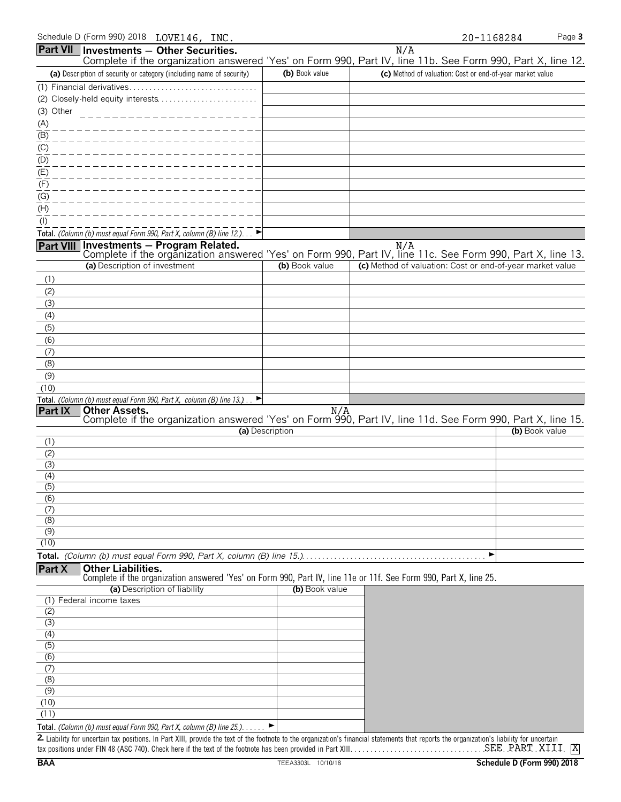| Schedule D (Form 990) 2018 | LOVE146, INC. |  |
|----------------------------|---------------|--|
|----------------------------|---------------|--|

|                  | Schedule D (Form 990) 2018 LOVE146, INC.                                     |                              |   |                                                                      |                                                                                                                                                                                                                           | 20-1168284 | Page 3         |
|------------------|------------------------------------------------------------------------------|------------------------------|---|----------------------------------------------------------------------|---------------------------------------------------------------------------------------------------------------------------------------------------------------------------------------------------------------------------|------------|----------------|
| <b>Part VII</b>  | Investments - Other Securities.                                              |                              |   |                                                                      | N/A<br>Complete if the organization answered 'Yes' on Form 990, Part IV, line 11b. See Form 990, Part X, line 12.                                                                                                         |            |                |
|                  | (a) Description of security or category (including name of security)         |                              |   | (b) Book value                                                       | (c) Method of valuation: Cost or end-of-year market value                                                                                                                                                                 |            |                |
|                  |                                                                              |                              |   |                                                                      |                                                                                                                                                                                                                           |            |                |
|                  |                                                                              |                              |   |                                                                      |                                                                                                                                                                                                                           |            |                |
| (3) Other        |                                                                              | --------------------         |   |                                                                      |                                                                                                                                                                                                                           |            |                |
| (A)              |                                                                              |                              |   |                                                                      |                                                                                                                                                                                                                           |            |                |
| (B)              |                                                                              |                              |   |                                                                      |                                                                                                                                                                                                                           |            |                |
| (C)              |                                                                              |                              |   |                                                                      |                                                                                                                                                                                                                           |            |                |
| (D)              |                                                                              |                              |   |                                                                      |                                                                                                                                                                                                                           |            |                |
| (E)              |                                                                              |                              |   |                                                                      |                                                                                                                                                                                                                           |            |                |
| (F)<br>(G)       |                                                                              |                              |   |                                                                      |                                                                                                                                                                                                                           |            |                |
| (H)              |                                                                              |                              |   |                                                                      |                                                                                                                                                                                                                           |            |                |
| $($ l $)$        |                                                                              |                              |   |                                                                      |                                                                                                                                                                                                                           |            |                |
|                  | Total. (Column (b) must equal Form 990, Part X, column (B) line 12.). $\Box$ |                              |   |                                                                      |                                                                                                                                                                                                                           |            |                |
|                  |                                                                              |                              |   |                                                                      |                                                                                                                                                                                                                           |            |                |
|                  |                                                                              |                              |   |                                                                      | N/A Nill <b>Investments – Program Related.</b> N/A N/A Nill <b>Part VIII</b> Investments – Program Related.<br>Complete if the organization answered 'Yes' on Form 990, Part IV, line 11c. See Form 990, Part X, line 13. |            |                |
|                  | (a) Description of investment                                                |                              |   | (b) Book value                                                       | (c) Method of valuation: Cost or end-of-year market value                                                                                                                                                                 |            |                |
| (1)              |                                                                              |                              |   |                                                                      |                                                                                                                                                                                                                           |            |                |
| (2)              |                                                                              |                              |   |                                                                      |                                                                                                                                                                                                                           |            |                |
| (3)              |                                                                              |                              |   |                                                                      |                                                                                                                                                                                                                           |            |                |
| (4)              |                                                                              |                              |   |                                                                      |                                                                                                                                                                                                                           |            |                |
| (5)              |                                                                              |                              |   |                                                                      |                                                                                                                                                                                                                           |            |                |
| (6)<br>(7)       |                                                                              |                              |   |                                                                      |                                                                                                                                                                                                                           |            |                |
| (8)              |                                                                              |                              |   |                                                                      |                                                                                                                                                                                                                           |            |                |
| (9)              |                                                                              |                              |   |                                                                      |                                                                                                                                                                                                                           |            |                |
| (10)             |                                                                              |                              |   |                                                                      |                                                                                                                                                                                                                           |            |                |
|                  | Total. (Column (b) must equal Form 990, Part X, column (B) line 13.).        |                              | ▸ |                                                                      |                                                                                                                                                                                                                           |            |                |
| <b>Part IX</b>   | <b>Other Assets.</b>                                                         |                              |   | N/A                                                                  | Complete if the organization answered 'Yes' on Form 990, Part IV, line 11d. See Form 990, Part X, line 15.                                                                                                                |            |                |
|                  |                                                                              |                              |   | (a) Description                                                      |                                                                                                                                                                                                                           |            | (b) Book value |
| (1)              |                                                                              |                              |   |                                                                      |                                                                                                                                                                                                                           |            |                |
| (2)              |                                                                              |                              |   |                                                                      |                                                                                                                                                                                                                           |            |                |
| (3)              |                                                                              |                              |   |                                                                      |                                                                                                                                                                                                                           |            |                |
| (4)              |                                                                              |                              |   |                                                                      |                                                                                                                                                                                                                           |            |                |
| (5)<br>(6)       |                                                                              |                              |   |                                                                      |                                                                                                                                                                                                                           |            |                |
| (7)              |                                                                              |                              |   |                                                                      |                                                                                                                                                                                                                           |            |                |
| (8)              |                                                                              |                              |   |                                                                      |                                                                                                                                                                                                                           |            |                |
| $\overline{(9)}$ |                                                                              |                              |   |                                                                      |                                                                                                                                                                                                                           |            |                |
| (10)             |                                                                              |                              |   |                                                                      |                                                                                                                                                                                                                           |            |                |
|                  |                                                                              |                              |   | Total. (Column (b) must equal Form 990, Part X, column (B) line 15.) |                                                                                                                                                                                                                           | ▶          |                |
| Part X           | <b>Other Liabilities.</b>                                                    |                              |   |                                                                      | Complete if the organization answered 'Yes' on Form 990, Part IV, line 11e or 11f. See Form 990, Part X, line 25.                                                                                                         |            |                |
|                  |                                                                              | (a) Description of liability |   | (b) Book value                                                       |                                                                                                                                                                                                                           |            |                |
|                  | (1) Federal income taxes                                                     |                              |   |                                                                      |                                                                                                                                                                                                                           |            |                |
| (2)              |                                                                              |                              |   |                                                                      |                                                                                                                                                                                                                           |            |                |
| (3)              |                                                                              |                              |   |                                                                      |                                                                                                                                                                                                                           |            |                |
| (4)<br>(5)       |                                                                              |                              |   |                                                                      |                                                                                                                                                                                                                           |            |                |
| (6)              |                                                                              |                              |   |                                                                      |                                                                                                                                                                                                                           |            |                |
| (7)              |                                                                              |                              |   |                                                                      |                                                                                                                                                                                                                           |            |                |
| (8)              |                                                                              |                              |   |                                                                      |                                                                                                                                                                                                                           |            |                |
| (9)              |                                                                              |                              |   |                                                                      |                                                                                                                                                                                                                           |            |                |
| (10)             |                                                                              |                              |   |                                                                      |                                                                                                                                                                                                                           |            |                |

**Total.** *(Column (b) must equal Form 990, Part X, column (B) line 25.)*. . . . . . G 2. Liability for uncertain tax positions. In Part XIII, provide the text of the footnote to the organization's financial statements that reports the organization's liability for uncertain tax positions under FIN 48 (ASC 740). Check here if the text of the footnote has been provided in Part XIII. . . . . . . . . . . . . . . . . . . . . . . . . . . . . . . . . . . . . . . . . . . . . . . . . . . . . . SEE PART XIII X

(11)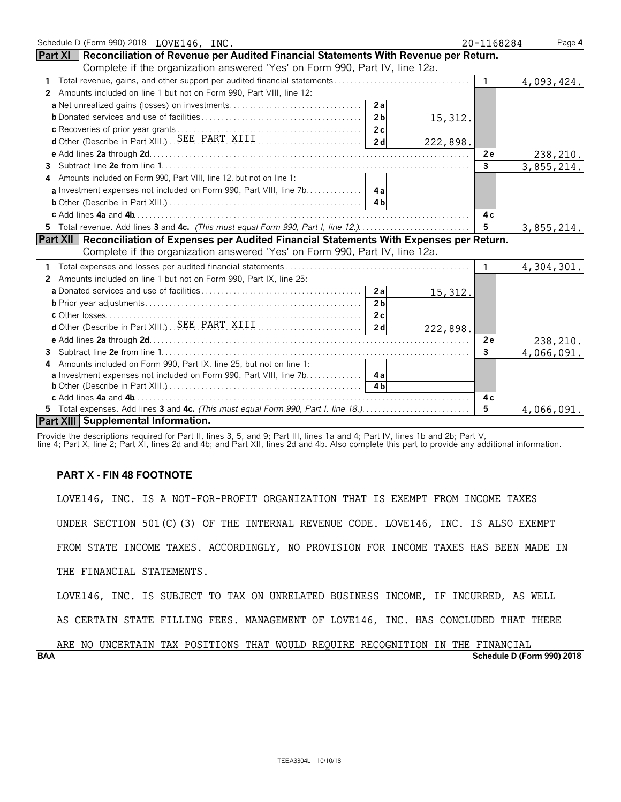| Schedule D (Form 990) 2018 LOVE146, INC.                                                         | 20-1168284   | Page 4     |
|--------------------------------------------------------------------------------------------------|--------------|------------|
| Part XI   Reconciliation of Revenue per Audited Financial Statements With Revenue per Return.    |              |            |
| Complete if the organization answered 'Yes' on Form 990, Part IV, line 12a.                      |              |            |
| 1                                                                                                | 1            | 4,093,424. |
| Amounts included on line 1 but not on Form 990, Part VIII, line 12:<br>2                         |              |            |
| 2a                                                                                               |              |            |
| 2 <sub>b</sub><br>15,312.                                                                        |              |            |
| c Recoveries of prior year grants<br>d'Other (Describe in Part XIII.)  SEE PART XIII             |              |            |
| 2d<br>222,898.                                                                                   |              |            |
|                                                                                                  | 2e           | 238,210.   |
| 3.                                                                                               | $\mathbf{3}$ | 3,855,214. |
| Amounts included on Form 990, Part VIII, line 12, but not on line 1:<br>4                        |              |            |
| a Investment expenses not included on Form 990, Part VIII, line 7b. 4a                           |              |            |
| 4 <sub>h</sub>                                                                                   |              |            |
|                                                                                                  | 4c           |            |
| 5 Total revenue. Add lines 3 and 4c. (This must equal Form 990, Part I, line 12.)                | 5            | 3,855,214. |
| Part XII   Reconciliation of Expenses per Audited Financial Statements With Expenses per Return. |              |            |
| Complete if the organization answered 'Yes' on Form 990, Part IV, line 12a.                      |              |            |
|                                                                                                  | 1.           | 4,304,301. |
| Amounts included on line 1 but not on Form 990, Part IX, line 25:<br>2                           |              |            |
| 2a<br>15,312.                                                                                    |              |            |
| 2 <sub>b</sub>                                                                                   |              |            |
| 2c                                                                                               |              |            |
| 2d<br>222,898.                                                                                   |              |            |
|                                                                                                  | 2e           | 238,210.   |
| 3.                                                                                               | 3            | 4,066,091. |
| Amounts included on Form 990, Part IX, line 25, but not on line 1:<br>4                          |              |            |
| a Investment expenses not included on Form 990, Part VIII, line 7b. 4a                           |              |            |
| 4 <sub>h</sub>                                                                                   |              |            |
|                                                                                                  | 4c           |            |
| 5 Total expenses. Add lines 3 and 4c. (This must equal Form 990, Part I, line 18.)               | 5            | 4,066,091. |
| Part XIII Supplemental Information.                                                              |              |            |

Provide the descriptions required for Part II, lines 3, 5, and 9; Part III, lines 1a and 4; Part IV, lines 1b and 2b; Part V,

line 4; Part X, line 2; Part XI, lines 2d and 4b; and Part XII, lines 2d and 4b. Also complete this part to provide any additional information.

# **PART X - FIN 48 FOOTNOTE**

LOVE146, INC. IS A NOT-FOR-PROFIT ORGANIZATION THAT IS EXEMPT FROM INCOME TAXES

UNDER SECTION 501(C)(3) OF THE INTERNAL REVENUE CODE. LOVE146, INC. IS ALSO EXEMPT

FROM STATE INCOME TAXES. ACCORDINGLY, NO PROVISION FOR INCOME TAXES HAS BEEN MADE IN

THE FINANCIAL STATEMENTS.

LOVE146, INC. IS SUBJECT TO TAX ON UNRELATED BUSINESS INCOME, IF INCURRED, AS WELL

AS CERTAIN STATE FILLING FEES. MANAGEMENT OF LOVE146, INC. HAS CONCLUDED THAT THERE

# **BAA Schedule D (Form 990) 2018** ARE NO UNCERTAIN TAX POSITIONS THAT WOULD REQUIRE RECOGNITION IN THE FINANCIAL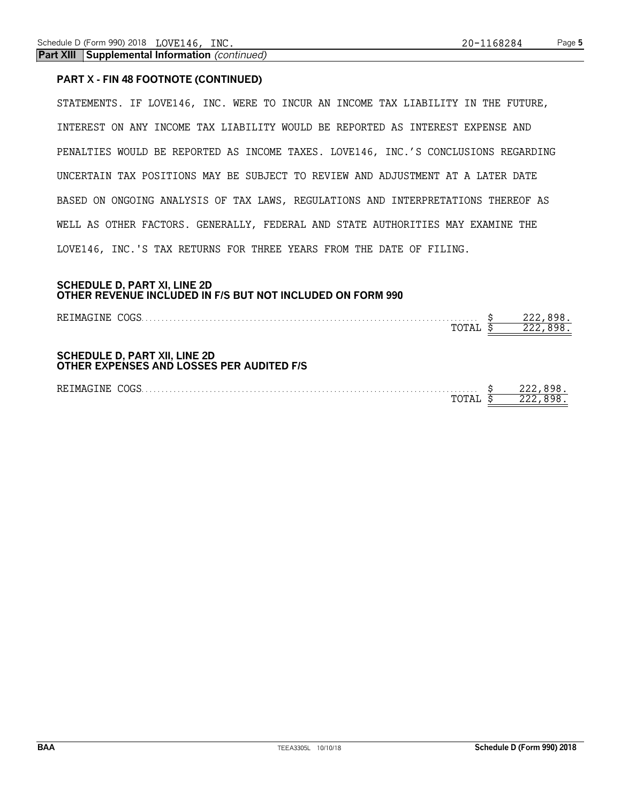**Part XIII Supplemental Information** *(continued)*

# **PART X - FIN 48 FOOTNOTE (CONTINUED)**

STATEMENTS. IF LOVE146, INC. WERE TO INCUR AN INCOME TAX LIABILITY IN THE FUTURE, INTEREST ON ANY INCOME TAX LIABILITY WOULD BE REPORTED AS INTEREST EXPENSE AND PENALTIES WOULD BE REPORTED AS INCOME TAXES. LOVE146, INC.'S CONCLUSIONS REGARDING UNCERTAIN TAX POSITIONS MAY BE SUBJECT TO REVIEW AND ADJUSTMENT AT A LATER DATE BASED ON ONGOING ANALYSIS OF TAX LAWS, REGULATIONS AND INTERPRETATIONS THEREOF AS WELL AS OTHER FACTORS. GENERALLY, FEDERAL AND STATE AUTHORITIES MAY EXAMINE THE LOVE146, INC.'S TAX RETURNS FOR THREE YEARS FROM THE DATE OF FILING.

# **SCHEDULE D, PART XI, LINE 2D OTHER REVENUE INCLUDED IN F/S BUT NOT INCLUDED ON FORM 990**

| REIMAGINE COGS                                                                    |  |
|-----------------------------------------------------------------------------------|--|
| TOTAI                                                                             |  |
|                                                                                   |  |
| <b>SCHEDULE D, PART XII, LINE 2D</b><br>OTHER EXPENSES AND LOSSES PER AUDITED F/S |  |
| REIMAGINE COGS                                                                    |  |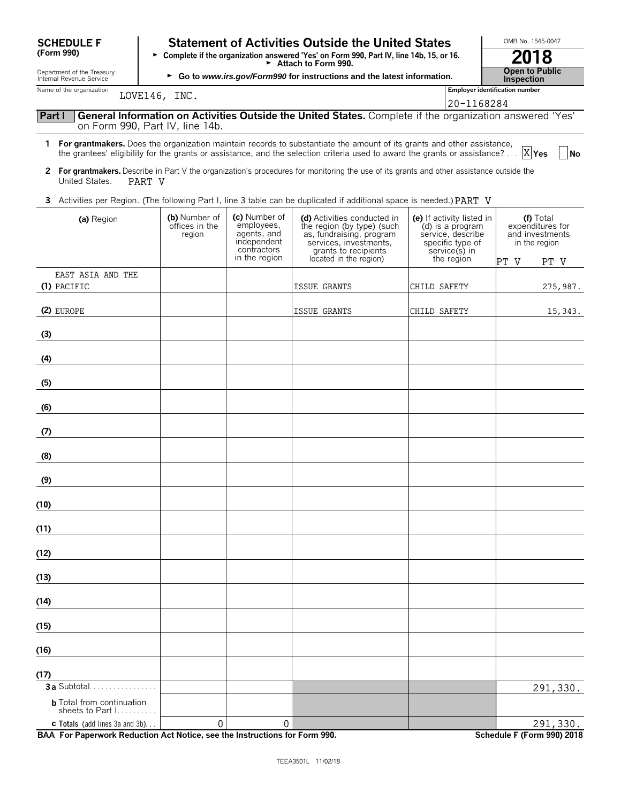| <b>SCHEDULE F</b>                                                                             |                                                                                          |                                                                                           | <b>Statement of Activities Outside the United States</b>                                                                                                                                                                                                                |                                                                                                                       | OMB No. 1545-0047                                                                 |
|-----------------------------------------------------------------------------------------------|------------------------------------------------------------------------------------------|-------------------------------------------------------------------------------------------|-------------------------------------------------------------------------------------------------------------------------------------------------------------------------------------------------------------------------------------------------------------------------|-----------------------------------------------------------------------------------------------------------------------|-----------------------------------------------------------------------------------|
| (Form 990)                                                                                    | > Complete if the organization answered 'Yes' on Form 990, Part IV, line 14b, 15, or 16. | 2018                                                                                      |                                                                                                                                                                                                                                                                         |                                                                                                                       |                                                                                   |
| Department of the Treasury<br>Internal Revenue Service                                        |                                                                                          |                                                                                           | Attach to Form 990.<br>► Go to www.irs.gov/Form990 for instructions and the latest information.                                                                                                                                                                         |                                                                                                                       | <b>Open to Public</b><br>Inspection                                               |
| Name of the organization                                                                      | LOVE146, INC.                                                                            |                                                                                           |                                                                                                                                                                                                                                                                         |                                                                                                                       | <b>Employer identification number</b>                                             |
| Part I                                                                                        |                                                                                          |                                                                                           | General Information on Activities Outside the United States. Complete if the organization answered 'Yes'                                                                                                                                                                | 20-1168284                                                                                                            |                                                                                   |
|                                                                                               | on Form 990, Part IV, line 14b.                                                          |                                                                                           |                                                                                                                                                                                                                                                                         |                                                                                                                       |                                                                                   |
|                                                                                               |                                                                                          |                                                                                           | 1 For grantmakers. Does the organization maintain records to substantiate the amount of its grants and other assistance,<br>the grantees' eligibility for the grants or assistance, and the selection criteria used to award the grants or assistance? $\ldots  X $ Yes |                                                                                                                       | <b>No</b>                                                                         |
| $\mathbf{2}$<br>United States.<br>PART V                                                      |                                                                                          |                                                                                           | For grantmakers. Describe in Part V the organization's procedures for monitoring the use of its grants and other assistance outside the                                                                                                                                 |                                                                                                                       |                                                                                   |
|                                                                                               |                                                                                          |                                                                                           | 3 Activities per Region. (The following Part I, line 3 table can be duplicated if additional space is needed.) PART V                                                                                                                                                   |                                                                                                                       |                                                                                   |
| (a) Region                                                                                    | (b) Number of<br>offices in the<br>region                                                | (c) Number of<br>employees,<br>agents, and<br>independent<br>contractors<br>in the region | (d) Activities conducted in<br>the region (by type) (such<br>as, fundraising, program<br>services, investments,<br>grants to recipients<br>located in the region)                                                                                                       | (e) If activity listed in<br>(d) is a program<br>service, describe<br>specific type of<br>service(s) in<br>the region | (f) Total<br>expenditures for<br>and investments<br>in the region<br>PT V<br>PT V |
| EAST ASIA AND THE<br>(1) PACIFIC                                                              |                                                                                          |                                                                                           | <b>ISSUE GRANTS</b>                                                                                                                                                                                                                                                     | CHILD SAFETY                                                                                                          | 275,987.                                                                          |
| (2) EUROPE                                                                                    |                                                                                          |                                                                                           | ISSUE GRANTS                                                                                                                                                                                                                                                            | CHILD SAFETY                                                                                                          | 15,343.                                                                           |
| (3)                                                                                           |                                                                                          |                                                                                           |                                                                                                                                                                                                                                                                         |                                                                                                                       |                                                                                   |
| (4)                                                                                           |                                                                                          |                                                                                           |                                                                                                                                                                                                                                                                         |                                                                                                                       |                                                                                   |
| (5)                                                                                           |                                                                                          |                                                                                           |                                                                                                                                                                                                                                                                         |                                                                                                                       |                                                                                   |
| (6)                                                                                           |                                                                                          |                                                                                           |                                                                                                                                                                                                                                                                         |                                                                                                                       |                                                                                   |
| (7)                                                                                           |                                                                                          |                                                                                           |                                                                                                                                                                                                                                                                         |                                                                                                                       |                                                                                   |
| (8)                                                                                           |                                                                                          |                                                                                           |                                                                                                                                                                                                                                                                         |                                                                                                                       |                                                                                   |
| (9)                                                                                           |                                                                                          |                                                                                           |                                                                                                                                                                                                                                                                         |                                                                                                                       |                                                                                   |
| (10)                                                                                          |                                                                                          |                                                                                           |                                                                                                                                                                                                                                                                         |                                                                                                                       |                                                                                   |
| (11)                                                                                          |                                                                                          |                                                                                           |                                                                                                                                                                                                                                                                         |                                                                                                                       |                                                                                   |
| (12)                                                                                          |                                                                                          |                                                                                           |                                                                                                                                                                                                                                                                         |                                                                                                                       |                                                                                   |
| (13)                                                                                          |                                                                                          |                                                                                           |                                                                                                                                                                                                                                                                         |                                                                                                                       |                                                                                   |
| (14)                                                                                          |                                                                                          |                                                                                           |                                                                                                                                                                                                                                                                         |                                                                                                                       |                                                                                   |
| (15)                                                                                          |                                                                                          |                                                                                           |                                                                                                                                                                                                                                                                         |                                                                                                                       |                                                                                   |
| (16)                                                                                          |                                                                                          |                                                                                           |                                                                                                                                                                                                                                                                         |                                                                                                                       |                                                                                   |
| (17)                                                                                          |                                                                                          |                                                                                           |                                                                                                                                                                                                                                                                         |                                                                                                                       |                                                                                   |
| <b>3a</b> Subtotal.<br><b>b</b> Total from continuation<br>sheets to Part $1, \ldots, \ldots$ |                                                                                          |                                                                                           |                                                                                                                                                                                                                                                                         |                                                                                                                       | 291, 330.                                                                         |
| <b>c</b> Totals (add lines 3a and 3b).                                                        | 0                                                                                        | 0                                                                                         |                                                                                                                                                                                                                                                                         |                                                                                                                       | 291,330.                                                                          |

**BAA For Paperwork Reduction Act Notice, see the Instructions for Form 990. Schedule F (Form 990) 2018**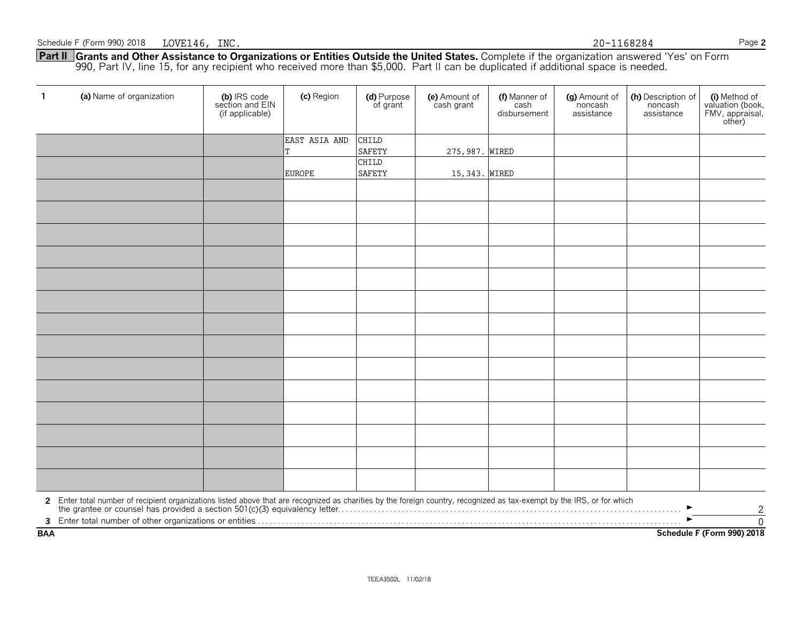**Part II Grants and Other Assistance to Organizations or Entities Outside the United States.** Complete if the organization answered 'Yes' on Form 990, Part IV, line 15, for any recipient who received more than \$5,000. Part II can be duplicated if additional space is needed.

| $\mathbf{1}$ | (a) Name of organization                                                                                                                                                                                                                            | (b) IRS code<br>section and EIN<br>(if applicable) | (c) Region    | (d) Purpose<br>of grant       | (e) Amount of<br>cash grant | (f) Manner of<br>cash<br>disbursement | (g) Amount of<br>noncash<br>assistance | (h) Description of<br>noncash<br>assistance | (i) Method of<br>valuation (book,<br>FMV, appraisal,<br>other) |  |
|--------------|-----------------------------------------------------------------------------------------------------------------------------------------------------------------------------------------------------------------------------------------------------|----------------------------------------------------|---------------|-------------------------------|-----------------------------|---------------------------------------|----------------------------------------|---------------------------------------------|----------------------------------------------------------------|--|
|              |                                                                                                                                                                                                                                                     |                                                    | EAST ASIA AND | CHILD                         |                             |                                       |                                        |                                             |                                                                |  |
|              |                                                                                                                                                                                                                                                     |                                                    |               | <b>SAFETY</b><br><b>CHILD</b> | 275, 987. WIRED             |                                       |                                        |                                             |                                                                |  |
|              |                                                                                                                                                                                                                                                     |                                                    | <b>EUROPE</b> | SAFETY                        | 15,343. WIRED               |                                       |                                        |                                             |                                                                |  |
|              |                                                                                                                                                                                                                                                     |                                                    |               |                               |                             |                                       |                                        |                                             |                                                                |  |
|              |                                                                                                                                                                                                                                                     |                                                    |               |                               |                             |                                       |                                        |                                             |                                                                |  |
|              |                                                                                                                                                                                                                                                     |                                                    |               |                               |                             |                                       |                                        |                                             |                                                                |  |
|              |                                                                                                                                                                                                                                                     |                                                    |               |                               |                             |                                       |                                        |                                             |                                                                |  |
|              |                                                                                                                                                                                                                                                     |                                                    |               |                               |                             |                                       |                                        |                                             |                                                                |  |
|              |                                                                                                                                                                                                                                                     |                                                    |               |                               |                             |                                       |                                        |                                             |                                                                |  |
|              |                                                                                                                                                                                                                                                     |                                                    |               |                               |                             |                                       |                                        |                                             |                                                                |  |
|              |                                                                                                                                                                                                                                                     |                                                    |               |                               |                             |                                       |                                        |                                             |                                                                |  |
|              |                                                                                                                                                                                                                                                     |                                                    |               |                               |                             |                                       |                                        |                                             |                                                                |  |
|              |                                                                                                                                                                                                                                                     |                                                    |               |                               |                             |                                       |                                        |                                             |                                                                |  |
|              |                                                                                                                                                                                                                                                     |                                                    |               |                               |                             |                                       |                                        |                                             |                                                                |  |
|              |                                                                                                                                                                                                                                                     |                                                    |               |                               |                             |                                       |                                        |                                             |                                                                |  |
|              |                                                                                                                                                                                                                                                     |                                                    |               |                               |                             |                                       |                                        |                                             |                                                                |  |
|              |                                                                                                                                                                                                                                                     |                                                    |               |                               |                             |                                       |                                        |                                             |                                                                |  |
|              | 2 Enter total number of recipient organizations listed above that are recognized as charities by the foreign country, recognized as tax-exempt by the IRS, or for which<br>the grantee or counsel has provided a section 501(c)(3<br>$\overline{c}$ |                                                    |               |                               |                             |                                       |                                        |                                             |                                                                |  |
|              |                                                                                                                                                                                                                                                     |                                                    |               |                               |                             |                                       |                                        |                                             | $\overline{0}$                                                 |  |
| <b>BAA</b>   | Schedule F (Form 990) 2018                                                                                                                                                                                                                          |                                                    |               |                               |                             |                                       |                                        |                                             |                                                                |  |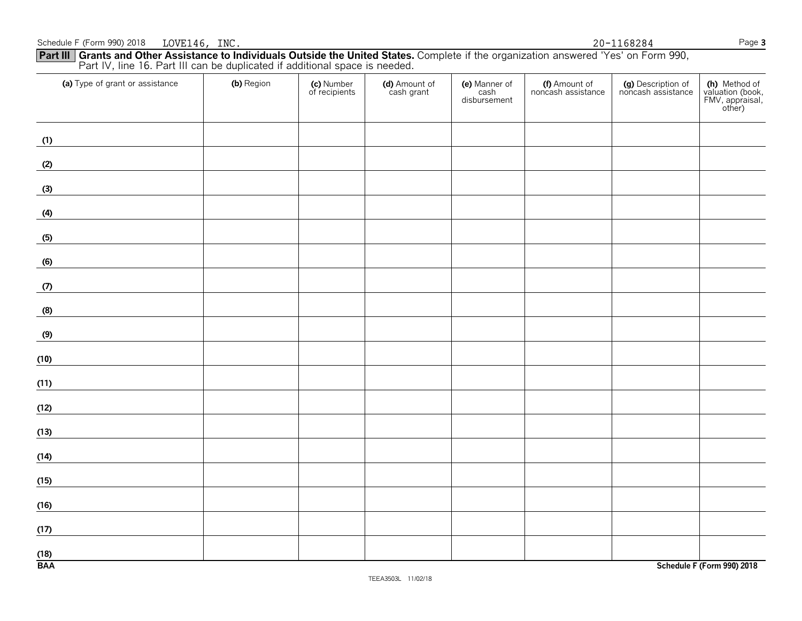| <b>TEEA3503L</b> | 11/02/18 |
|------------------|----------|
|------------------|----------|

| Part IV, line 16. Part III can be duplicated if additional space is needed. |            |                             |                             |                                       |                                     |                                          |                                                                |  |  |
|-----------------------------------------------------------------------------|------------|-----------------------------|-----------------------------|---------------------------------------|-------------------------------------|------------------------------------------|----------------------------------------------------------------|--|--|
| (a) Type of grant or assistance                                             | (b) Region | (c) Number<br>of recipients | (d) Amount of<br>cash grant | (e) Manner of<br>cash<br>disbursement | (f) Amount of<br>noncash assistance | (g) Description of<br>noncash assistance | (h) Method of<br>valuation (book,<br>FMV, appraisal,<br>other) |  |  |
| (1)                                                                         |            |                             |                             |                                       |                                     |                                          |                                                                |  |  |
| (2)                                                                         |            |                             |                             |                                       |                                     |                                          |                                                                |  |  |
| (3)                                                                         |            |                             |                             |                                       |                                     |                                          |                                                                |  |  |
| (4)                                                                         |            |                             |                             |                                       |                                     |                                          |                                                                |  |  |
| (5)                                                                         |            |                             |                             |                                       |                                     |                                          |                                                                |  |  |
| (6)                                                                         |            |                             |                             |                                       |                                     |                                          |                                                                |  |  |
| (7)                                                                         |            |                             |                             |                                       |                                     |                                          |                                                                |  |  |
| (8)                                                                         |            |                             |                             |                                       |                                     |                                          |                                                                |  |  |
| (9)                                                                         |            |                             |                             |                                       |                                     |                                          |                                                                |  |  |
| (10)                                                                        |            |                             |                             |                                       |                                     |                                          |                                                                |  |  |
| (11)                                                                        |            |                             |                             |                                       |                                     |                                          |                                                                |  |  |
| (12)                                                                        |            |                             |                             |                                       |                                     |                                          |                                                                |  |  |
| (13)                                                                        |            |                             |                             |                                       |                                     |                                          |                                                                |  |  |
| (14)                                                                        |            |                             |                             |                                       |                                     |                                          |                                                                |  |  |
| (15)                                                                        |            |                             |                             |                                       |                                     |                                          |                                                                |  |  |
| (16)                                                                        |            |                             |                             |                                       |                                     |                                          |                                                                |  |  |
| (17)                                                                        |            |                             |                             |                                       |                                     |                                          |                                                                |  |  |
| (18)<br><b>BAA</b>                                                          |            |                             |                             |                                       |                                     |                                          | Schedule F (Form 990) 2018                                     |  |  |

**Part III Grants and Other Assistance to Individuals Outside the United States.** Complete if the organization answered 'Yes' on Form 990,

# Schedule F (Form 990) 2018 LOVE146, INC. 20-1168284

LOVE146, INC. 20-1168284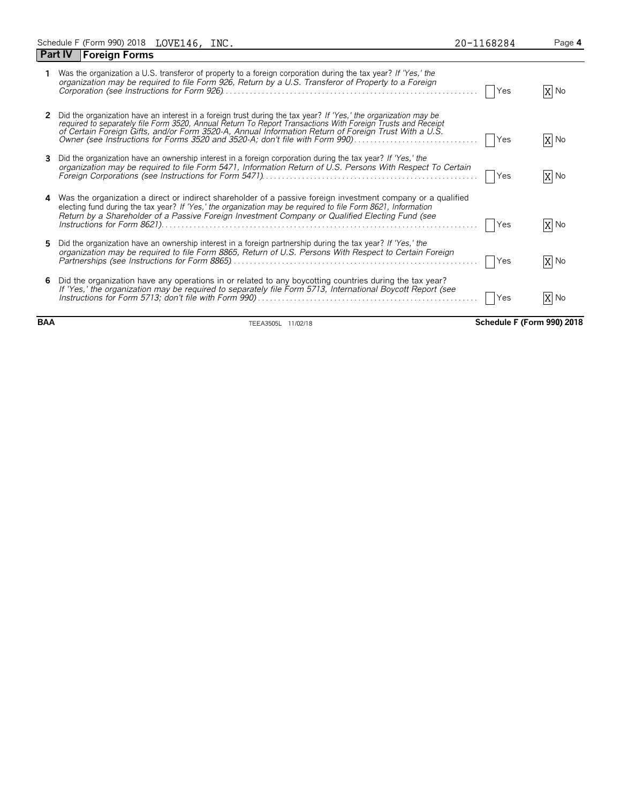|              | Schedule F (Form 990) 2018 LOVE146, INC.                                                                                                                                                                                                                                                                                                                                                                               | 20-1168284 | Page 4 |
|--------------|------------------------------------------------------------------------------------------------------------------------------------------------------------------------------------------------------------------------------------------------------------------------------------------------------------------------------------------------------------------------------------------------------------------------|------------|--------|
|              | Part IV Foreign Forms                                                                                                                                                                                                                                                                                                                                                                                                  |            |        |
|              | Was the organization a U.S. transferor of property to a foreign corporation during the tax year? If 'Yes,' the<br>organization may be required to file Form 926, Return by a U.S. Transferor of Property to a Foreign                                                                                                                                                                                                  | Yes        | X No   |
| $\mathbf{2}$ | Did the organization have an interest in a foreign trust during the tax year? If 'Yes,' the organization may be<br>required to separately file Form 3520, Annual Return To Report Transactions With Foreign Trusts and Receipt<br>of Certain Foreign Gifts, and/or Form 3520-A, Annual Information Return of Foreign Trust With a U.S.<br>Owner (see Instructions for Forms 3520 and 3520-A; don't file with Form 990) | Yes        | $X$ No |
|              | Did the organization have an ownership interest in a foreign corporation during the tax year? If 'Yes,' the<br>organization may be required to file Form 5471, Information Return of U.S. Persons With Respect To Certain                                                                                                                                                                                              | Yes        | $X$ No |
|              | 4 Was the organization a direct or indirect shareholder of a passive foreign investment company or a qualified<br>electing fund during the tax year? If 'Yes,' the organization may be required to file Form 8621, Information<br>Return by a Shareholder of a Passive Foreign Investment Company or Qualified Electing Fund (see                                                                                      | Yes        | $X$ No |
| 5.           | Did the organization have an ownership interest in a foreign partnership during the tax year? If 'Yes,' the<br>organization may be required to file Form 8865, Return of U.S. Persons With Respect to Certain Foreign                                                                                                                                                                                                  | Yes        | X No   |
| 6            | Did the organization have any operations in or related to any boycotting countries during the tax year?<br>If 'Yes,' the organization may be required to separately file Form 5713, International Boycott Report (see                                                                                                                                                                                                  | <b>Yes</b> | X No   |

**BAA** TEEA3505L 11/02/18 **Schedule F (Form 990) 2018**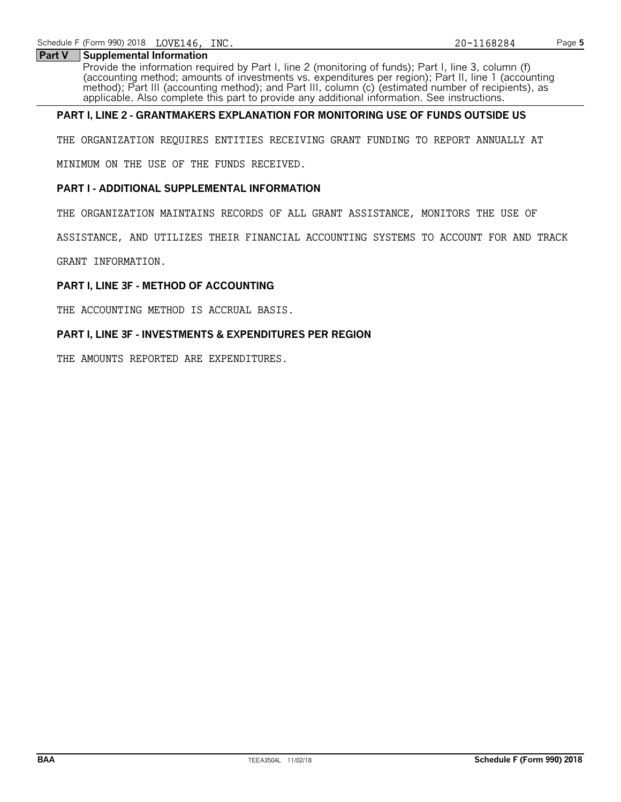# **Part V Supplemental Information**

Provide the information required by Part I, line 2 (monitoring of funds); Part I, line 3, column (f) (accounting method; amounts of investments vs. expenditures per region); Part II, line 1 (accounting method); Part III (accounting method); and Part III, column (c) (estimated number of recipients), as applicable. Also complete this part to provide any additional information. See instructions.

# **PART I, LINE 2 - GRANTMAKERS EXPLANATION FOR MONITORING USE OF FUNDS OUTSIDE US**

THE ORGANIZATION REQUIRES ENTITIES RECEIVING GRANT FUNDING TO REPORT ANNUALLY AT

MINIMUM ON THE USE OF THE FUNDS RECEIVED.

# **PART I - ADDITIONAL SUPPLEMENTAL INFORMATION**

THE ORGANIZATION MAINTAINS RECORDS OF ALL GRANT ASSISTANCE, MONITORS THE USE OF

ASSISTANCE, AND UTILIZES THEIR FINANCIAL ACCOUNTING SYSTEMS TO ACCOUNT FOR AND TRACK

GRANT INFORMATION.

# **PART I, LINE 3F - METHOD OF ACCOUNTING**

THE ACCOUNTING METHOD IS ACCRUAL BASIS.

# **PART I, LINE 3F - INVESTMENTS & EXPENDITURES PER REGION**

THE AMOUNTS REPORTED ARE EXPENDITURES.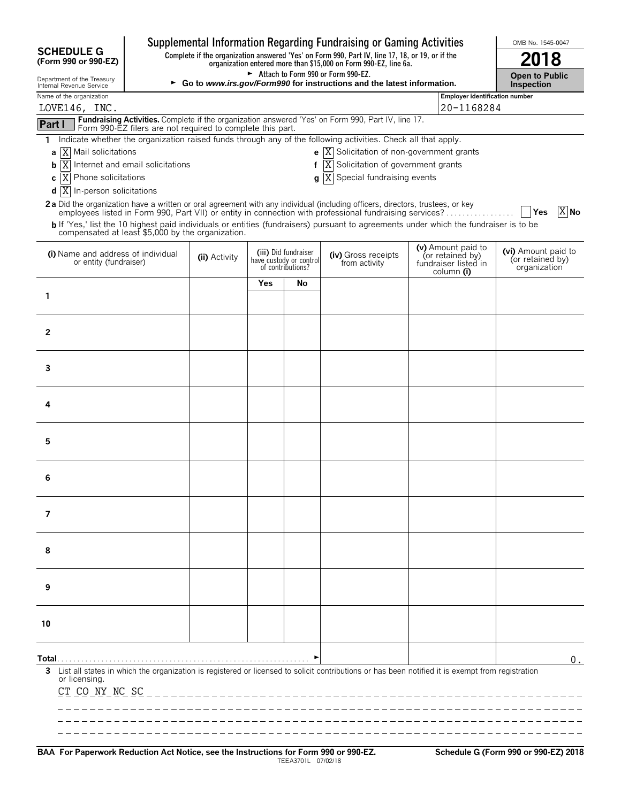|                                                              |                                                                                                                                                                  |                                     |     |                                                                      | Supplemental Information Regarding Fundraising or Gaming Activities                                                                                                                                                                      |                                                                              | OMB No. 1545-0047                                       |
|--------------------------------------------------------------|------------------------------------------------------------------------------------------------------------------------------------------------------------------|-------------------------------------|-----|----------------------------------------------------------------------|------------------------------------------------------------------------------------------------------------------------------------------------------------------------------------------------------------------------------------------|------------------------------------------------------------------------------|---------------------------------------------------------|
| <b>SCHEDULE G</b><br>(Form 990 or 990-EZ)                    | Complete if the organization answered 'Yes' on Form 990, Part IV, line 17, 18, or 19, or if the organization entered more than \$15,000 on Form 990-EZ, line 6a. | 2018                                |     |                                                                      |                                                                                                                                                                                                                                          |                                                                              |                                                         |
| Department of the Treasury<br>Internal Revenue Service       | ► Go to www.irs.gov/Form990 for instructions and the latest information.                                                                                         | <b>Open to Public</b><br>Inspection |     |                                                                      |                                                                                                                                                                                                                                          |                                                                              |                                                         |
| Name of the organization                                     |                                                                                                                                                                  |                                     |     |                                                                      |                                                                                                                                                                                                                                          | Employer identification number                                               |                                                         |
| LOVE146, INC.                                                |                                                                                                                                                                  |                                     |     |                                                                      | Fundraising Activities. Complete if the organization answered 'Yes' on Form 990, Part IV, line 17.                                                                                                                                       | 20-1168284                                                                   |                                                         |
| Part I<br>1.                                                 | Form 990-EZ filers are not required to complete this part.                                                                                                       |                                     |     |                                                                      | Indicate whether the organization raised funds through any of the following activities. Check all that apply.                                                                                                                            |                                                                              |                                                         |
| a X Mail solicitations                                       |                                                                                                                                                                  |                                     |     |                                                                      | <b>e</b> $\overline{X}$ Solicitation of non-government grants                                                                                                                                                                            |                                                                              |                                                         |
| ΙX<br>b                                                      | Internet and email solicitations                                                                                                                                 |                                     |     | f                                                                    | Solicitation of government grants<br>X                                                                                                                                                                                                   |                                                                              |                                                         |
| Phone solicitations<br><sup>X</sup><br>C                     |                                                                                                                                                                  |                                     |     |                                                                      | $\mathbf{g}$ $\overline{X}$ Special fundraising events                                                                                                                                                                                   |                                                                              |                                                         |
| $\overline{X}$<br>In-person solicitations<br>d               |                                                                                                                                                                  |                                     |     |                                                                      |                                                                                                                                                                                                                                          |                                                                              |                                                         |
|                                                              |                                                                                                                                                                  |                                     |     |                                                                      | 2a Did the organization have a written or oral agreement with any individual (including officers, directors, trustees, or key<br>employees listed in Form 990, Part VII) or entity in connection with professional fundraising services? |                                                                              | X No<br><b>Yes</b>                                      |
| compensated at least \$5,000 by the organization.            |                                                                                                                                                                  |                                     |     |                                                                      | b If 'Yes,' list the 10 highest paid individuals or entities (fundraisers) pursuant to agreements under which the fundraiser is to be                                                                                                    |                                                                              |                                                         |
| (i) Name and address of individual<br>or entity (fundraiser) |                                                                                                                                                                  | (ii) Activity                       |     | (iii) Did fundraiser<br>have custody or control<br>of contributions? | (iv) Gross receipts<br>from activity                                                                                                                                                                                                     | (v) Amount paid to<br>(or retained by)<br>fundraiser listed in<br>column (i) | (vi) Amount paid to<br>(or retained by)<br>organization |
|                                                              |                                                                                                                                                                  |                                     | Yes | No                                                                   |                                                                                                                                                                                                                                          |                                                                              |                                                         |
| 1                                                            |                                                                                                                                                                  |                                     |     |                                                                      |                                                                                                                                                                                                                                          |                                                                              |                                                         |
|                                                              |                                                                                                                                                                  |                                     |     |                                                                      |                                                                                                                                                                                                                                          |                                                                              |                                                         |
| $\mathbf{2}$                                                 |                                                                                                                                                                  |                                     |     |                                                                      |                                                                                                                                                                                                                                          |                                                                              |                                                         |
| 3                                                            |                                                                                                                                                                  |                                     |     |                                                                      |                                                                                                                                                                                                                                          |                                                                              |                                                         |
|                                                              |                                                                                                                                                                  |                                     |     |                                                                      |                                                                                                                                                                                                                                          |                                                                              |                                                         |
| 4                                                            |                                                                                                                                                                  |                                     |     |                                                                      |                                                                                                                                                                                                                                          |                                                                              |                                                         |
|                                                              |                                                                                                                                                                  |                                     |     |                                                                      |                                                                                                                                                                                                                                          |                                                                              |                                                         |
| 5                                                            |                                                                                                                                                                  |                                     |     |                                                                      |                                                                                                                                                                                                                                          |                                                                              |                                                         |
| 6                                                            |                                                                                                                                                                  |                                     |     |                                                                      |                                                                                                                                                                                                                                          |                                                                              |                                                         |
|                                                              |                                                                                                                                                                  |                                     |     |                                                                      |                                                                                                                                                                                                                                          |                                                                              |                                                         |
| 7                                                            |                                                                                                                                                                  |                                     |     |                                                                      |                                                                                                                                                                                                                                          |                                                                              |                                                         |
|                                                              |                                                                                                                                                                  |                                     |     |                                                                      |                                                                                                                                                                                                                                          |                                                                              |                                                         |
| 8                                                            |                                                                                                                                                                  |                                     |     |                                                                      |                                                                                                                                                                                                                                          |                                                                              |                                                         |
| 9                                                            |                                                                                                                                                                  |                                     |     |                                                                      |                                                                                                                                                                                                                                          |                                                                              |                                                         |
| 10                                                           |                                                                                                                                                                  |                                     |     |                                                                      |                                                                                                                                                                                                                                          |                                                                              |                                                         |
| Total…                                                       |                                                                                                                                                                  |                                     |     |                                                                      |                                                                                                                                                                                                                                          |                                                                              | 0.                                                      |
| 3<br>or licensing.<br>CT CO NY NC SC                         |                                                                                                                                                                  |                                     |     |                                                                      | List all states in which the organization is registered or licensed to solicit contributions or has been notified it is exempt from registration                                                                                         |                                                                              |                                                         |
|                                                              |                                                                                                                                                                  |                                     |     |                                                                      |                                                                                                                                                                                                                                          |                                                                              |                                                         |
|                                                              |                                                                                                                                                                  |                                     |     |                                                                      |                                                                                                                                                                                                                                          |                                                                              |                                                         |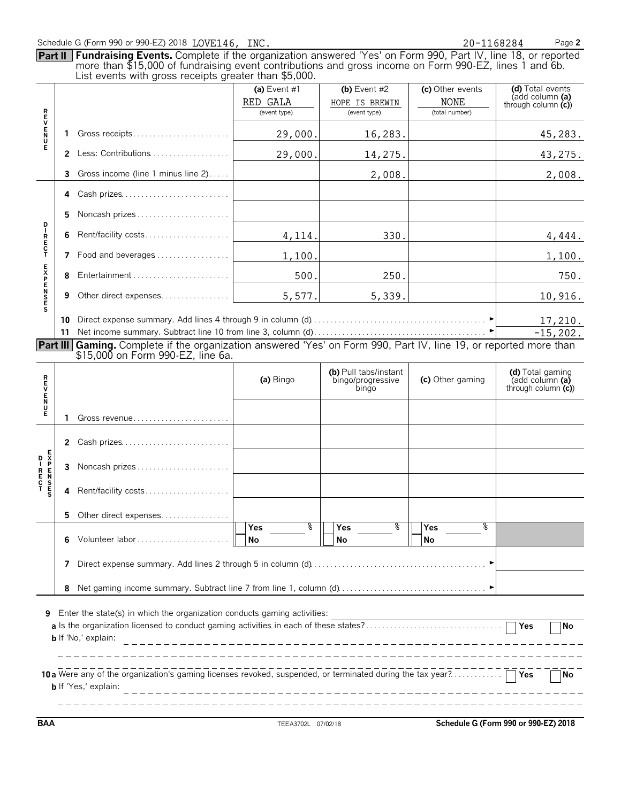# Schedule G (Form 990 or 990-EZ) 2018 LOVE146, INC. 20 20 20 - 1168284 Page 2

**Part II Fundraising Events.** Complete if the organization answered 'Yes' on Form 990, Part IV, line 18, or reported more than \$15,000 of fundraising event contributions and gross income on Form 990-EZ, lines 1 and 6b.

|                                                                                                                                                                                                                                                                                                  |          | List events with gross receipts greater than \$5,000.                                                             |                                          |                                                     |                                                   |                                                             |  |  |  |
|--------------------------------------------------------------------------------------------------------------------------------------------------------------------------------------------------------------------------------------------------------------------------------------------------|----------|-------------------------------------------------------------------------------------------------------------------|------------------------------------------|-----------------------------------------------------|---------------------------------------------------|-------------------------------------------------------------|--|--|--|
|                                                                                                                                                                                                                                                                                                  |          |                                                                                                                   | (a) Event #1<br>RED GALA<br>(event type) | (b) Event $#2$<br>HOPE IS BREWIN<br>(event type)    | (c) Other events<br><b>NONE</b><br>(total number) | (d) Total events<br>(add column (a)<br>through column $(c)$ |  |  |  |
| <b>R<br/>U<br/>N<br/>U</b>                                                                                                                                                                                                                                                                       | 1.       | Gross receipts                                                                                                    | 29,000.                                  | 16,283.                                             |                                                   | 45,283.                                                     |  |  |  |
| Е                                                                                                                                                                                                                                                                                                |          | 2 Less: Contributions                                                                                             | 29,000.                                  | 14,275.                                             |                                                   | 43,275.                                                     |  |  |  |
|                                                                                                                                                                                                                                                                                                  | 3        | Gross income (line 1 minus line 2)                                                                                |                                          | 2,008.                                              |                                                   | 2,008.                                                      |  |  |  |
|                                                                                                                                                                                                                                                                                                  | 4        | Cash prizes                                                                                                       |                                          |                                                     |                                                   |                                                             |  |  |  |
|                                                                                                                                                                                                                                                                                                  | 5        | Noncash prizes                                                                                                    |                                          |                                                     |                                                   |                                                             |  |  |  |
| p<br>I                                                                                                                                                                                                                                                                                           | 6        | Rent/facility costs                                                                                               | 4,114.                                   | 330.                                                |                                                   | 4,444.                                                      |  |  |  |
| R<br>E<br>C<br>T                                                                                                                                                                                                                                                                                 | 7        | Food and beverages                                                                                                | 1,100.                                   |                                                     |                                                   | 1,100.                                                      |  |  |  |
| <b>EXPENSES</b>                                                                                                                                                                                                                                                                                  | 8        | Entertainment                                                                                                     | 500.                                     | 250.                                                |                                                   | 750.                                                        |  |  |  |
|                                                                                                                                                                                                                                                                                                  | 9        | Other direct expenses                                                                                             | 5,577.                                   | 5,339.                                              |                                                   | 10,916.                                                     |  |  |  |
|                                                                                                                                                                                                                                                                                                  | 10<br>11 | Part III Gaming. Complete if the organization answered 'Yes' on Form 990, Part IV, line 19, or reported more than | 17,210.<br>$-15, 202.$                   |                                                     |                                                   |                                                             |  |  |  |
|                                                                                                                                                                                                                                                                                                  |          | \$15,000 on Form 990-EZ, line 6a.                                                                                 |                                          |                                                     |                                                   |                                                             |  |  |  |
| <b>REVENU</b>                                                                                                                                                                                                                                                                                    |          |                                                                                                                   | (a) Bingo                                | (b) Pull tabs/instant<br>bingo/progressive<br>bingo | (c) Other gaming                                  | (d) Total gaming<br>(add column (a)<br>through column $(c)$ |  |  |  |
| Е                                                                                                                                                                                                                                                                                                | 1        | Gross revenue                                                                                                     |                                          |                                                     |                                                   |                                                             |  |  |  |
|                                                                                                                                                                                                                                                                                                  |          | 2 Cash prizes                                                                                                     |                                          |                                                     |                                                   |                                                             |  |  |  |
|                                                                                                                                                                                                                                                                                                  | 3        | Noncash prizes                                                                                                    |                                          |                                                     |                                                   |                                                             |  |  |  |
|                                                                                                                                                                                                                                                                                                  | 4        | Rent/facility costs                                                                                               |                                          |                                                     |                                                   |                                                             |  |  |  |
|                                                                                                                                                                                                                                                                                                  |          | 5 Other direct expenses                                                                                           |                                          |                                                     |                                                   |                                                             |  |  |  |
|                                                                                                                                                                                                                                                                                                  | 6        |                                                                                                                   | Yes<br>No                                | $\frac{1}{8}$     Yes<br>No                         | $\sqrt[3]{\frac{1}{1-\epsilon}}$ Yes<br>ত্<br>No  |                                                             |  |  |  |
|                                                                                                                                                                                                                                                                                                  | 7        |                                                                                                                   |                                          |                                                     |                                                   |                                                             |  |  |  |
| 8                                                                                                                                                                                                                                                                                                |          |                                                                                                                   |                                          |                                                     |                                                   |                                                             |  |  |  |
| Enter the state(s) in which the organization conducts gaming activities:<br>9<br>Yes<br><b>No</b><br><b>b</b> If 'No,' explain:<br>10 a Were any of the organization's gaming licenses revoked, suspended, or terminated during the tax year?<br><b>Yes</b><br>No<br><b>b</b> If 'Yes,' explain: |          |                                                                                                                   |                                          |                                                     |                                                   |                                                             |  |  |  |
|                                                                                                                                                                                                                                                                                                  |          |                                                                                                                   |                                          |                                                     |                                                   |                                                             |  |  |  |

**BAA** TEEA3702L 07/02/18 **Schedule G (Form 990 or 990-EZ) 2018**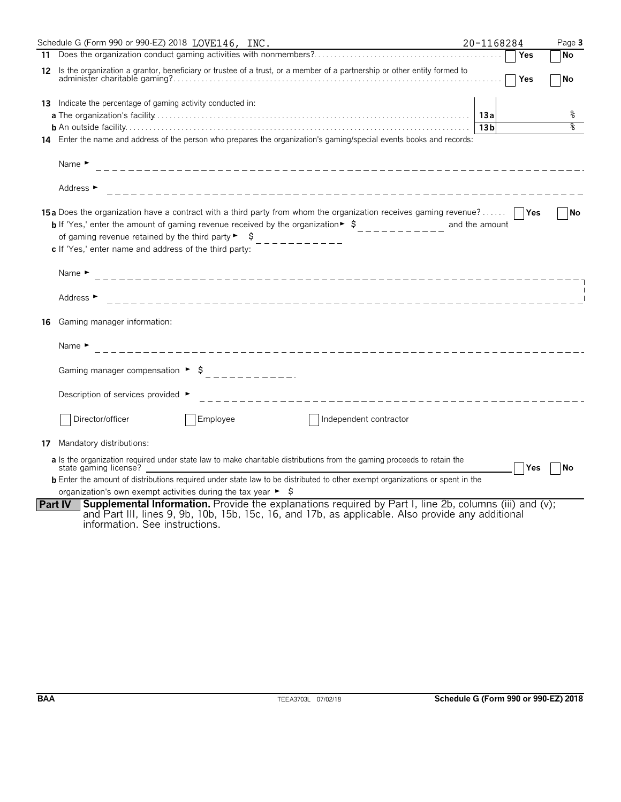|    | Schedule G (Form 990 or 990-EZ) 2018 LOVE146, INC.                                                                                                                                                                                                                                                                                                                                     | 20-1168284      |     | Page 3 |
|----|----------------------------------------------------------------------------------------------------------------------------------------------------------------------------------------------------------------------------------------------------------------------------------------------------------------------------------------------------------------------------------------|-----------------|-----|--------|
|    |                                                                                                                                                                                                                                                                                                                                                                                        |                 | Yes | No     |
|    | 12 Is the organization a grantor, beneficiary or trustee of a trust, or a member of a partnership or other entity formed to                                                                                                                                                                                                                                                            |                 | Yes | No     |
|    | <b>13</b> Indicate the percentage of gaming activity conducted in:                                                                                                                                                                                                                                                                                                                     |                 |     |        |
|    |                                                                                                                                                                                                                                                                                                                                                                                        |                 |     |        |
|    |                                                                                                                                                                                                                                                                                                                                                                                        | 13 <sub>b</sub> |     | ०१०    |
|    | 14 Enter the name and address of the person who prepares the organization's gaming/special events books and records:                                                                                                                                                                                                                                                                   |                 |     |        |
|    | Name $\blacktriangleright$                                                                                                                                                                                                                                                                                                                                                             |                 |     |        |
|    | Address ►                                                                                                                                                                                                                                                                                                                                                                              |                 |     |        |
|    | <b>15a</b> Does the organization have a contract with a third party from whom the organization receives gaming revenue?<br><b>b</b> If 'Yes,' enter the amount of gaming revenue received by the organization $\ast$ $\uparrow$<br>of gaming revenue retained by the third party $\blacktriangleright$ $\blacktriangleright$<br>c If 'Yes,' enter name and address of the third party: | and the amount  |     | No     |
|    | Name $\blacktriangleright$                                                                                                                                                                                                                                                                                                                                                             |                 |     |        |
|    | Address ►                                                                                                                                                                                                                                                                                                                                                                              |                 |     |        |
| 16 | Gaming manager information:                                                                                                                                                                                                                                                                                                                                                            |                 |     |        |
|    | Name $\blacktriangleright$                                                                                                                                                                                                                                                                                                                                                             |                 |     |        |
|    | Gaming manager compensation ► $\oint$<br>____________                                                                                                                                                                                                                                                                                                                                  |                 |     |        |
|    | Description of services provided ►<br>____________________________________                                                                                                                                                                                                                                                                                                             |                 |     |        |
|    | Director/officer<br>Employee<br>Independent contractor                                                                                                                                                                                                                                                                                                                                 |                 |     |        |
|    | 17 Mandatory distributions:                                                                                                                                                                                                                                                                                                                                                            |                 |     |        |
|    | a Is the organization required under state law to make charitable distributions from the gaming proceeds to retain the<br>state gaming license?                                                                                                                                                                                                                                        |                 | Yes | l No   |
|    | <b>b</b> Enter the amount of distributions required under state law to be distributed to other exempt organizations or spent in the                                                                                                                                                                                                                                                    |                 |     |        |
|    | organization's own exempt activities during the tax year $\blacktriangleright$ $\blacklozenge$                                                                                                                                                                                                                                                                                         |                 |     |        |
|    | <b>Supplemental Information.</b> Provide the explanations required by Part I, line 2b, columns (iii) and (v);<br><b>Part IV</b><br>and Part III, lines 9, 9b, 10b, 15b, 15c, 16, and 17b, as applicable. Also provide any additional<br>information. See instructions.                                                                                                                 |                 |     |        |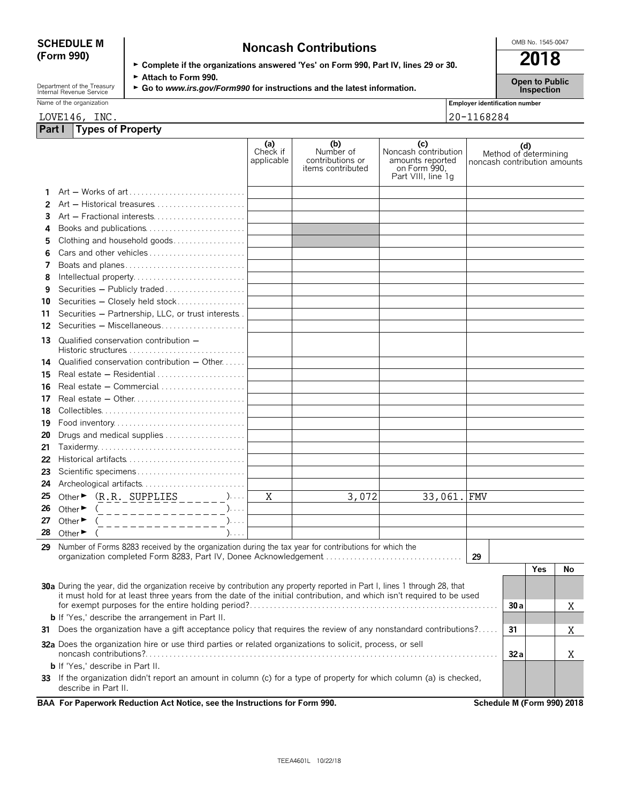| <b>SCHEDULE M</b> | <b>Noncash Contributions</b>                                                         | OMB No. 1545-0047 |
|-------------------|--------------------------------------------------------------------------------------|-------------------|
| (Form 990)        |                                                                                      | 2018              |
|                   | ► Complete if the organizations answered 'Yes' on Form 990, Part IV, lines 29 or 30. |                   |
|                   | $\blacktriangleright$ Attack to Equat 000                                            |                   |

Department of the Treasury **Comment of the Treasury Comment of the Treasury <b>Comment of the Treasury Comment Comment Comment Comment Comment Comment Comment Comment Comment Comment Comment Comment Comment Comment Comment C** 

|  | Name of the organization |  |
|--|--------------------------|--|
|  |                          |  |

**Part I Types of Property**

|                                       | ------- |
|---------------------------------------|---------|
| <b>Employer identification number</b> |         |

LOVE146, INC. 20-1168284

|    |                                                                                                                                                                 | (a)<br>Check if<br>applicable | (b)<br>Number of<br>contributions or<br>items contributed | (c)<br>Noncash contribution<br>amounts reported<br>on Form 990.<br>Part VIII, line 1q | noncash contribution amounts | (d)  | Method of determining |                            |
|----|-----------------------------------------------------------------------------------------------------------------------------------------------------------------|-------------------------------|-----------------------------------------------------------|---------------------------------------------------------------------------------------|------------------------------|------|-----------------------|----------------------------|
| 1. |                                                                                                                                                                 |                               |                                                           |                                                                                       |                              |      |                       |                            |
| 2  | Art - Historical treasures                                                                                                                                      |                               |                                                           |                                                                                       |                              |      |                       |                            |
| 3  | Art - Fractional interests                                                                                                                                      |                               |                                                           |                                                                                       |                              |      |                       |                            |
| 4  | Books and publications                                                                                                                                          |                               |                                                           |                                                                                       |                              |      |                       |                            |
| 5  | Clothing and household goods                                                                                                                                    |                               |                                                           |                                                                                       |                              |      |                       |                            |
| 6  | Cars and other vehicles                                                                                                                                         |                               |                                                           |                                                                                       |                              |      |                       |                            |
| 7  | Boats and planes                                                                                                                                                |                               |                                                           |                                                                                       |                              |      |                       |                            |
| 8  | Intellectual property                                                                                                                                           |                               |                                                           |                                                                                       |                              |      |                       |                            |
| 9  | Securities - Publicly traded                                                                                                                                    |                               |                                                           |                                                                                       |                              |      |                       |                            |
| 10 | Securities - Closely held stock                                                                                                                                 |                               |                                                           |                                                                                       |                              |      |                       |                            |
| 11 | Securities - Partnership, LLC, or trust interests.                                                                                                              |                               |                                                           |                                                                                       |                              |      |                       |                            |
| 12 | Securities - Miscellaneous                                                                                                                                      |                               |                                                           |                                                                                       |                              |      |                       |                            |
| 13 | Qualified conservation contribution -                                                                                                                           |                               |                                                           |                                                                                       |                              |      |                       |                            |
| 14 | Qualified conservation contribution - Other                                                                                                                     |                               |                                                           |                                                                                       |                              |      |                       |                            |
| 15 | Real estate $-$ Residential $\ldots$ , $\ldots$ , $\ldots$ , $\ldots$ , $\ldots$                                                                                |                               |                                                           |                                                                                       |                              |      |                       |                            |
| 16 | Real estate - Commercial                                                                                                                                        |                               |                                                           |                                                                                       |                              |      |                       |                            |
| 17 |                                                                                                                                                                 |                               |                                                           |                                                                                       |                              |      |                       |                            |
| 18 |                                                                                                                                                                 |                               |                                                           |                                                                                       |                              |      |                       |                            |
| 19 | Food inventory                                                                                                                                                  |                               |                                                           |                                                                                       |                              |      |                       |                            |
| 20 | Drugs and medical supplies                                                                                                                                      |                               |                                                           |                                                                                       |                              |      |                       |                            |
| 21 |                                                                                                                                                                 |                               |                                                           |                                                                                       |                              |      |                       |                            |
| 22 | Historical artifacts                                                                                                                                            |                               |                                                           |                                                                                       |                              |      |                       |                            |
| 23 | Scientific specimens                                                                                                                                            |                               |                                                           |                                                                                       |                              |      |                       |                            |
| 24 | Archeological artifacts                                                                                                                                         |                               |                                                           |                                                                                       |                              |      |                       |                            |
| 25 | Other $\triangleright$ $(\underline{R}.\underline{R}.\underline{SupPLLIES}\underline{\square}\underline{\square}\underline{\square})$                           | Χ                             | 3,072                                                     | 33,061. FMV                                                                           |                              |      |                       |                            |
| 26 | Other $\blacktriangleright$<br>. _ _ _ _ _ _ _ _ _ _ _ _ _ _ _ <sup>).</sup>                                                                                    |                               |                                                           |                                                                                       |                              |      |                       |                            |
| 27 | ).<br>Other $\blacktriangleright$<br>_____________                                                                                                              |                               |                                                           |                                                                                       |                              |      |                       |                            |
| 28 | Other $\blacktriangleright$<br>$). \ldots$                                                                                                                      |                               |                                                           |                                                                                       |                              |      |                       |                            |
| 29 | Number of Forms 8283 received by the organization during the tax year for contributions for which the                                                           |                               |                                                           |                                                                                       |                              |      |                       |                            |
|    | organization completed Form 8283, Part IV, Donee Acknowledgement                                                                                                |                               |                                                           |                                                                                       | 29                           |      |                       |                            |
|    |                                                                                                                                                                 |                               |                                                           |                                                                                       |                              |      | <b>Yes</b>            | No                         |
|    | 30a During the year, did the organization receive by contribution any property reported in Part I, lines 1 through 28, that                                     |                               |                                                           |                                                                                       |                              |      |                       |                            |
|    | it must hold for at least three years from the date of the initial contribution, and which isn't required to be used                                            |                               |                                                           |                                                                                       |                              | 30 a |                       | Χ                          |
|    | <b>b</b> If 'Yes,' describe the arrangement in Part II.                                                                                                         |                               |                                                           |                                                                                       |                              |      |                       |                            |
|    | 31 Does the organization have a gift acceptance policy that requires the review of any nonstandard contributions?                                               |                               |                                                           |                                                                                       |                              |      |                       | Χ                          |
|    |                                                                                                                                                                 |                               |                                                           |                                                                                       |                              | 31   |                       |                            |
|    | 32a Does the organization hire or use third parties or related organizations to solicit, process, or sell                                                       |                               |                                                           |                                                                                       |                              | 32a  |                       | Χ                          |
|    | <b>b</b> If 'Yes,' describe in Part II.<br>33 If the organization didn't report an amount in column (c) for a type of property for which column (a) is checked, |                               |                                                           |                                                                                       |                              |      |                       |                            |
|    | describe in Part II.                                                                                                                                            |                               |                                                           |                                                                                       |                              |      |                       |                            |
|    | BAA For Paperwork Reduction Act Notice, see the Instructions for Form 990.                                                                                      |                               |                                                           |                                                                                       |                              |      |                       | Schedule M (Form 990) 2018 |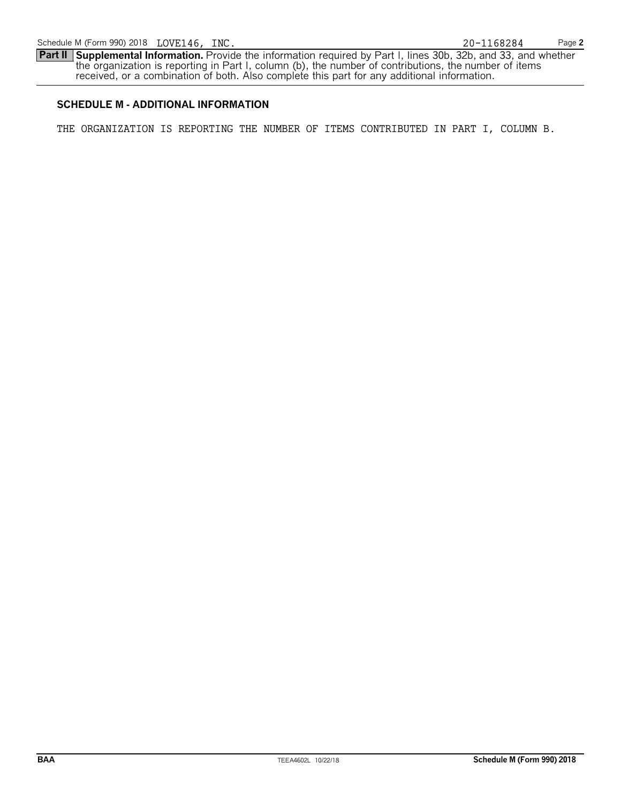**Part II Supplemental Information.** Provide the information required by Part I, lines 30b, 32b, and 33, and whether the organization is reporting in Part I, column (b), the number of contributions, the number of items received, or a combination of both. Also complete this part for any additional information.

# **SCHEDULE M - ADDITIONAL INFORMATION**

THE ORGANIZATION IS REPORTING THE NUMBER OF ITEMS CONTRIBUTED IN PART I, COLUMN B.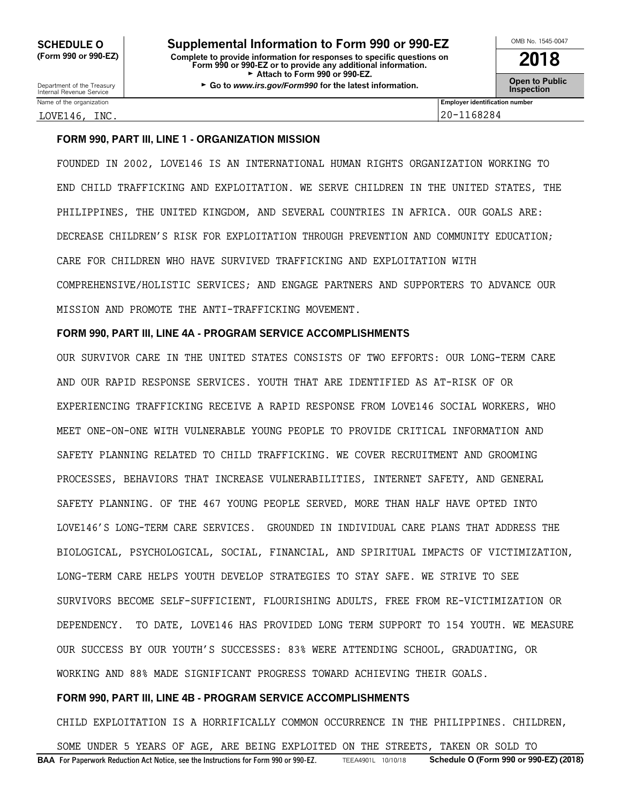Department of the Treasury **Constant Comment of the Collaboration Constant Constant Comment Constant Constant Constant Constant Constant Constant Constant Constant Constant Constant Constant Constant Constant Constant C** 

Name of the organization **Employer identification number Employer identification number** 

# LOVE146, <u>INC. 20-1168284</u>

# **FORM 990, PART III, LINE 1 - ORGANIZATION MISSION**

FOUNDED IN 2002, LOVE146 IS AN INTERNATIONAL HUMAN RIGHTS ORGANIZATION WORKING TO END CHILD TRAFFICKING AND EXPLOITATION. WE SERVE CHILDREN IN THE UNITED STATES, THE PHILIPPINES, THE UNITED KINGDOM, AND SEVERAL COUNTRIES IN AFRICA. OUR GOALS ARE: DECREASE CHILDREN'S RISK FOR EXPLOITATION THROUGH PREVENTION AND COMMUNITY EDUCATION; CARE FOR CHILDREN WHO HAVE SURVIVED TRAFFICKING AND EXPLOITATION WITH COMPREHENSIVE/HOLISTIC SERVICES; AND ENGAGE PARTNERS AND SUPPORTERS TO ADVANCE OUR MISSION AND PROMOTE THE ANTI-TRAFFICKING MOVEMENT.

# **FORM 990, PART III, LINE 4A - PROGRAM SERVICE ACCOMPLISHMENTS**

OUR SURVIVOR CARE IN THE UNITED STATES CONSISTS OF TWO EFFORTS: OUR LONG-TERM CARE AND OUR RAPID RESPONSE SERVICES. YOUTH THAT ARE IDENTIFIED AS AT-RISK OF OR EXPERIENCING TRAFFICKING RECEIVE A RAPID RESPONSE FROM LOVE146 SOCIAL WORKERS, WHO MEET ONE-ON-ONE WITH VULNERABLE YOUNG PEOPLE TO PROVIDE CRITICAL INFORMATION AND SAFETY PLANNING RELATED TO CHILD TRAFFICKING. WE COVER RECRUITMENT AND GROOMING PROCESSES, BEHAVIORS THAT INCREASE VULNERABILITIES, INTERNET SAFETY, AND GENERAL SAFETY PLANNING. OF THE 467 YOUNG PEOPLE SERVED, MORE THAN HALF HAVE OPTED INTO LOVE146'S LONG-TERM CARE SERVICES. GROUNDED IN INDIVIDUAL CARE PLANS THAT ADDRESS THE BIOLOGICAL, PSYCHOLOGICAL, SOCIAL, FINANCIAL, AND SPIRITUAL IMPACTS OF VICTIMIZATION, LONG-TERM CARE HELPS YOUTH DEVELOP STRATEGIES TO STAY SAFE. WE STRIVE TO SEE SURVIVORS BECOME SELF-SUFFICIENT, FLOURISHING ADULTS, FREE FROM RE-VICTIMIZATION OR DEPENDENCY. TO DATE, LOVE146 HAS PROVIDED LONG TERM SUPPORT TO 154 YOUTH. WE MEASURE OUR SUCCESS BY OUR YOUTH'S SUCCESSES: 83% WERE ATTENDING SCHOOL, GRADUATING, OR WORKING AND 88% MADE SIGNIFICANT PROGRESS TOWARD ACHIEVING THEIR GOALS.

# **FORM 990, PART III, LINE 4B - PROGRAM SERVICE ACCOMPLISHMENTS**

CHILD EXPLOITATION IS A HORRIFICALLY COMMON OCCURRENCE IN THE PHILIPPINES. CHILDREN,

**BAA For Paperwork Reduction Act Notice, see the Instructions for Form 990 or 990-EZ.** TEEA4901L 10/10/18 **Schedule O (Form 990 or 990-EZ) (2018)** SOME UNDER 5 YEARS OF AGE, ARE BEING EXPLOITED ON THE STREETS, TAKEN OR SOLD TO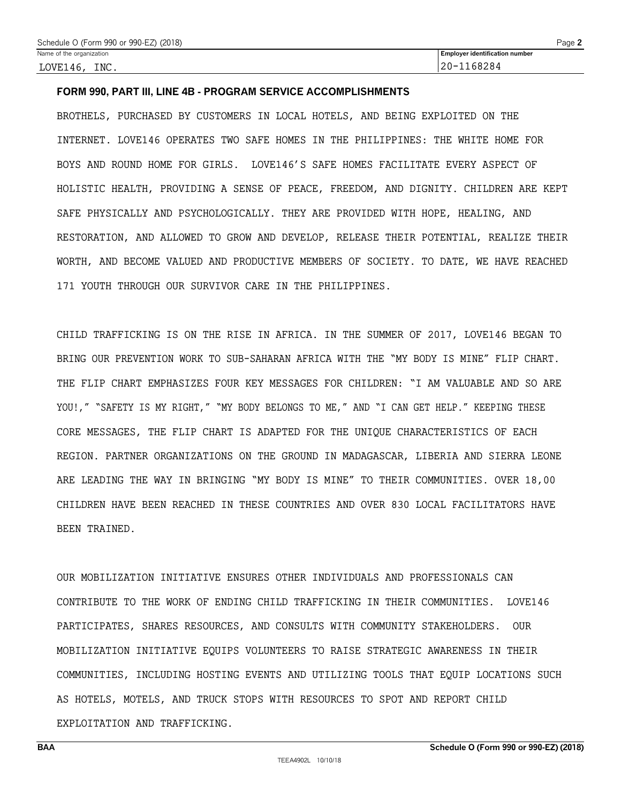# **FORM 990, PART III, LINE 4B - PROGRAM SERVICE ACCOMPLISHMENTS**

BROTHELS, PURCHASED BY CUSTOMERS IN LOCAL HOTELS, AND BEING EXPLOITED ON THE INTERNET. LOVE146 OPERATES TWO SAFE HOMES IN THE PHILIPPINES: THE WHITE HOME FOR BOYS AND ROUND HOME FOR GIRLS. LOVE146'S SAFE HOMES FACILITATE EVERY ASPECT OF HOLISTIC HEALTH, PROVIDING A SENSE OF PEACE, FREEDOM, AND DIGNITY. CHILDREN ARE KEPT SAFE PHYSICALLY AND PSYCHOLOGICALLY. THEY ARE PROVIDED WITH HOPE, HEALING, AND RESTORATION, AND ALLOWED TO GROW AND DEVELOP, RELEASE THEIR POTENTIAL, REALIZE THEIR WORTH, AND BECOME VALUED AND PRODUCTIVE MEMBERS OF SOCIETY. TO DATE, WE HAVE REACHED 171 YOUTH THROUGH OUR SURVIVOR CARE IN THE PHILIPPINES.

CHILD TRAFFICKING IS ON THE RISE IN AFRICA. IN THE SUMMER OF 2017, LOVE146 BEGAN TO BRING OUR PREVENTION WORK TO SUB-SAHARAN AFRICA WITH THE "MY BODY IS MINE" FLIP CHART. THE FLIP CHART EMPHASIZES FOUR KEY MESSAGES FOR CHILDREN: "I AM VALUABLE AND SO ARE YOU!," "SAFETY IS MY RIGHT," "MY BODY BELONGS TO ME," AND "I CAN GET HELP." KEEPING THESE CORE MESSAGES, THE FLIP CHART IS ADAPTED FOR THE UNIQUE CHARACTERISTICS OF EACH REGION. PARTNER ORGANIZATIONS ON THE GROUND IN MADAGASCAR, LIBERIA AND SIERRA LEONE ARE LEADING THE WAY IN BRINGING "MY BODY IS MINE" TO THEIR COMMUNITIES. OVER 18,00 CHILDREN HAVE BEEN REACHED IN THESE COUNTRIES AND OVER 830 LOCAL FACILITATORS HAVE BEEN TRAINED.

OUR MOBILIZATION INITIATIVE ENSURES OTHER INDIVIDUALS AND PROFESSIONALS CAN CONTRIBUTE TO THE WORK OF ENDING CHILD TRAFFICKING IN THEIR COMMUNITIES. LOVE146 PARTICIPATES, SHARES RESOURCES, AND CONSULTS WITH COMMUNITY STAKEHOLDERS. OUR MOBILIZATION INITIATIVE EQUIPS VOLUNTEERS TO RAISE STRATEGIC AWARENESS IN THEIR COMMUNITIES, INCLUDING HOSTING EVENTS AND UTILIZING TOOLS THAT EQUIP LOCATIONS SUCH AS HOTELS, MOTELS, AND TRUCK STOPS WITH RESOURCES TO SPOT AND REPORT CHILD EXPLOITATION AND TRAFFICKING.